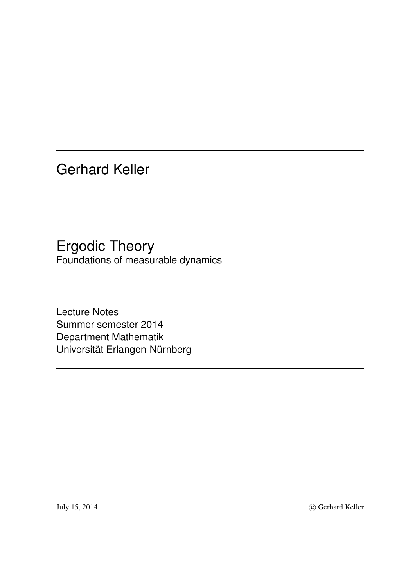Gerhard Keller

Ergodic Theory Foundations of measurable dynamics

Lecture Notes Summer semester 2014 Department Mathematik Universität Erlangen-Nürnberg

July 15, 2014 C Gerhard Keller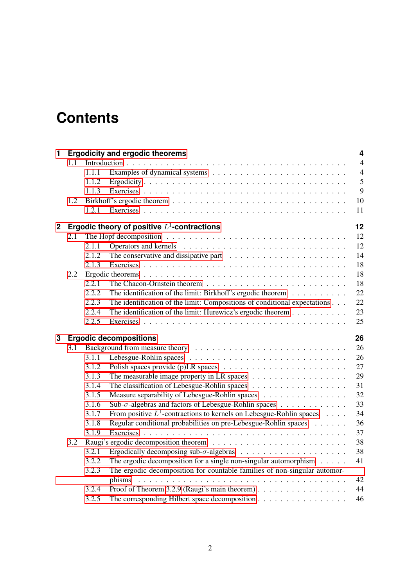# **Contents**

| $\mathbf{1}$ |     |       | <b>Ergodicity and ergodic theorems</b>                                                         | $\overline{\mathbf{4}}$ |
|--------------|-----|-------|------------------------------------------------------------------------------------------------|-------------------------|
|              | 1.1 |       |                                                                                                | $\overline{4}$          |
|              |     | 1.1.1 |                                                                                                | $\overline{4}$          |
|              |     | 1.1.2 |                                                                                                | 5                       |
|              |     | 1.1.3 |                                                                                                | 9                       |
|              | 1.2 |       |                                                                                                | 10                      |
|              |     | 1.2.1 |                                                                                                | 11                      |
| $\mathbf 2$  |     |       | Ergodic theory of positive $L^1$ -contractions                                                 | 12                      |
|              | 2.1 |       | The Hopf decomposition $\ldots \ldots \ldots \ldots \ldots \ldots \ldots \ldots \ldots \ldots$ | 12                      |
|              |     | 2.1.1 |                                                                                                | 12                      |
|              |     | 2.1.2 | The conservative and dissipative part $\dots \dots \dots \dots \dots \dots \dots \dots$        | 14                      |
|              |     | 2.1.3 |                                                                                                | 18                      |
|              | 2.2 |       |                                                                                                | 18                      |
|              |     | 2.2.1 |                                                                                                | 18                      |
|              |     | 2.2.2 | The identification of the limit: Birkhoff's ergodic theorem                                    | 22                      |
|              |     | 2.2.3 | The identification of the limit: Compositions of conditional expectations                      | 22                      |
|              |     | 2.2.4 | The identification of the limit: Hurewicz's ergodic theorem                                    | 23                      |
|              |     | 2.2.5 |                                                                                                | 25                      |
|              |     |       |                                                                                                |                         |
| 3            |     |       | <b>Ergodic decompositions</b>                                                                  | 26                      |
|              | 3.1 |       |                                                                                                | 26                      |
|              |     | 3.1.1 |                                                                                                | 26                      |
|              |     | 3.1.2 |                                                                                                | 27                      |
|              |     | 3.1.3 |                                                                                                | 29                      |
|              |     | 3.1.4 |                                                                                                | 31                      |
|              |     | 3.1.5 | Measure separability of Lebesgue-Rohlin spaces                                                 | 32                      |
|              |     | 3.1.6 | Sub-σ-algebras and factors of Lebesgue-Rohlin spaces                                           | 33                      |
|              |     | 3.1.7 | From positive $L^1$ -contractions to kernels on Lebesgue-Rohlin spaces                         | 34                      |
|              |     | 3.1.8 | Regular conditional probabilities on pre-Lebesgue-Rohlin spaces                                | 36                      |
|              |     | 3.1.9 |                                                                                                | 37                      |
|              | 3.2 |       |                                                                                                | 38                      |
|              |     | 3.2.1 |                                                                                                | 38                      |
|              |     | 3.2.2 | The ergodic decomposition for a single non-singular automorphism $\dots$ .                     | 41                      |
|              |     | 3.2.3 | The ergodic decomposition for countable families of non-singular automor-                      |                         |
|              |     |       |                                                                                                | 42                      |
|              |     | 3.2.4 | Proof of Theorem 3.2.9 (Raugi's main theorem)<br>The corresponding Hilbert space decomposition | 44<br>46                |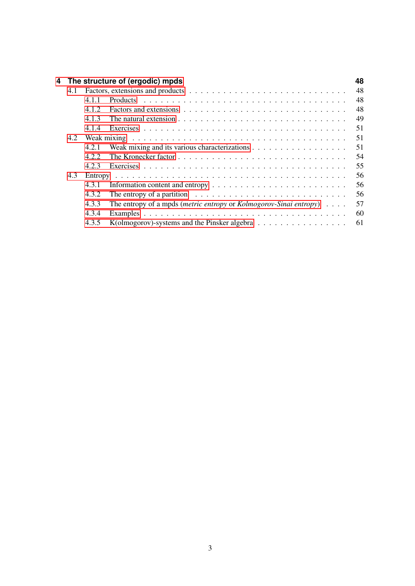| 4 |     |       | The structure of (ergodic) mpds                                                                                          | 48  |
|---|-----|-------|--------------------------------------------------------------------------------------------------------------------------|-----|
|   | 4.1 |       |                                                                                                                          | 48  |
|   |     | 411   |                                                                                                                          | 48  |
|   |     | 412   |                                                                                                                          | 48  |
|   |     | 413   | The natural extension $\cdots$ $\cdots$ $\cdots$ $\cdots$ $\cdots$ $\cdots$ $\cdots$ $\cdots$ $\cdots$ $\cdots$ $\cdots$ | 49  |
|   |     | 4.1.4 |                                                                                                                          | 51  |
|   | 4.2 |       |                                                                                                                          | 51  |
|   |     | 4.2.1 |                                                                                                                          | 51  |
|   |     | 422   |                                                                                                                          | 54  |
|   |     | 423   |                                                                                                                          | 55  |
|   | 4.3 |       |                                                                                                                          | 56  |
|   |     | 4.3.1 | Information content and entropy $\dots \dots \dots \dots \dots \dots \dots \dots \dots$                                  | 56  |
|   |     | 4.3.2 | The entropy of a partition $\dots \dots \dots \dots \dots \dots \dots \dots \dots \dots \dots$                           | -56 |
|   |     | 4.3.3 | The entropy of a mpds ( <i>metric entropy</i> or <i>Kolmogorov-Sinai entropy</i> ) $\ldots$ .                            | 57  |
|   |     | 4.3.4 |                                                                                                                          | 60  |
|   |     | 4.3.5 | K(olmogorov)-systems and the Pinsker algebra                                                                             | 61  |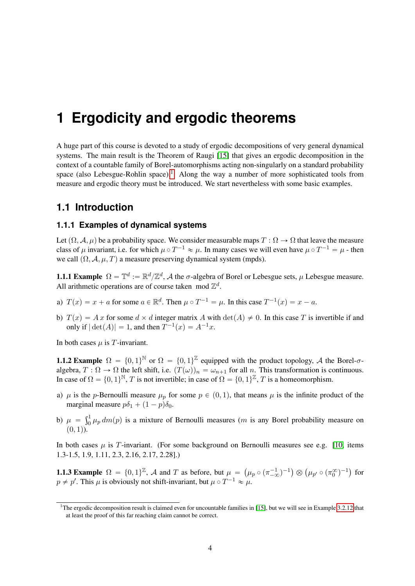# <span id="page-3-0"></span>**1 Ergodicity and ergodic theorems**

A huge part of this course is devoted to a study of ergodic decompositions of very general dynamical systems. The main result is the Theorem of Raugi [\[15\]](#page-64-0) that gives an ergodic decomposition in the context of a countable family of Borel-automorphisms acting non-singularly on a standard probability space (also Lebesgue-Rohlin space).<sup>[1](#page-3-3)</sup> Along the way a number of more sophisticated tools from measure and ergodic theory must be introduced. We start nevertheless with some basic examples.

# <span id="page-3-1"></span>**1.1 Introduction**

# <span id="page-3-2"></span>**1.1.1 Examples of dynamical systems**

Let  $(\Omega, \mathcal{A}, \mu)$  be a probability space. We consider measurable maps  $T : \Omega \to \Omega$  that leave the measure class of  $\mu$  invariant, i.e. for which  $\mu \circ T^{-1} \approx \mu$ . In many cases we will even have  $\mu \circ T^{-1} = \mu$  - then we call  $(\Omega, \mathcal{A}, \mu, T)$  a measure preserving dynamical system (mpds).

<span id="page-3-4"></span>**1.1.1 Example**  $\Omega = \mathbb{T}^d := \mathbb{R}^d / \mathbb{Z}^d$ , A the  $\sigma$ -algebra of Borel or Lebesgue sets,  $\mu$  Lebesgue measure. All arithmetic operations are of course taken mod  $\mathbb{Z}^d$ .

- a)  $T(x) = x + a$  for some  $a \in \mathbb{R}^d$ . Then  $\mu \circ T^{-1} = \mu$ . In this case  $T^{-1}(x) = x a$ .
- b)  $T(x) = Ax$  for some  $d \times d$  integer matrix A with  $\det(A) \neq 0$ . In this case T is invertible if and only if  $|\det(A)| = 1$ , and then  $T^{-1}(x) = A^{-1}x$ .

In both cases  $\mu$  is T-invariant.

<span id="page-3-5"></span>**1.1.2 Example**  $\Omega = \{0, 1\}^{\mathbb{N}}$  or  $\Omega = \{0, 1\}^{\mathbb{Z}}$  equipped with the product topology, A the Borel- $\sigma$ algebra,  $T : \Omega \to \Omega$  the left shift, i.e.  $(T(\omega))_n = \omega_{n+1}$  for all n. This transformation is continuous. In case of  $\Omega = \{0, 1\}^{\mathbb{N}}, T$  is not invertible; in case of  $\Omega = \{0, 1\}^{\mathbb{Z}}, T$  is a homeomorphism.

- a)  $\mu$  is the p-Bernoulli measure  $\mu_p$  for some  $p \in (0, 1)$ , that means  $\mu$  is the infinite product of the marginal measure  $p\delta_1 + (1 - p)\delta_0$ .
- b)  $\mu = \int_0^1$  $\int_0^1 \mu_p dm(p)$  is a mixture of Bernoulli measures (*m* is any Borel probability measure on  $(0, 1)$ .

In both cases  $\mu$  is T-invariant. (For some background on Bernoulli measures see e.g. [\[10,](#page-64-1) items 1.3-1.5, 1.9, 1.11, 2.3, 2.16, 2.17, 2.28].)

<span id="page-3-6"></span>**1.1.3 Example**  $\Omega = \{0, 1\}^{\mathbb{Z}}$ , A and T as before, but  $\mu = \emptyset$  $(\mu_p \circ (\pi^{-1}_{-\infty})^{-1})$  $\otimes$  $(\mu_{p'}\circ(\pi_0^{\infty})^{-1})$ for  $p \neq p'$ . This  $\mu$  is obviously not shift-invariant, but  $\mu \circ T^{-1} \approx \mu$ .

<span id="page-3-7"></span><span id="page-3-3"></span><sup>&</sup>lt;sup>1</sup>The ergodic decomposition result is claimed even for uncountable families in [\[15\]](#page-64-0), but we will see in Example [3.2.12](#page-42-0) that at least the proof of this far reaching claim cannot be correct.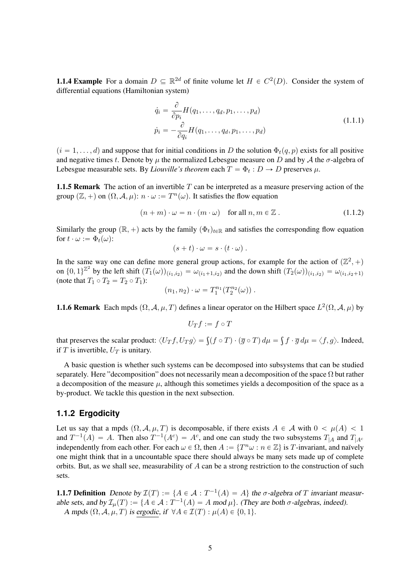**1.1.4 Example** For a domain  $D \subseteq \mathbb{R}^{2d}$  of finite volume let  $H \in C^2(D)$ . Consider the system of differential equations (Hamiltonian system)

$$
\dot{q}_i = \frac{\partial}{\partial p_i} H(q_1, \dots, q_d, p_1, \dots, p_d)
$$
  
\n
$$
\dot{p}_i = -\frac{\partial}{\partial q_i} H(q_1, \dots, q_d, p_1, \dots, p_d)
$$
\n(1.1.1)

 $(i = 1, \ldots, d)$  and suppose that for initial conditions in D the solution  $\Phi_t(q, p)$  exists for all positive and negative times t. Denote by  $\mu$  the normalized Lebesgue measure on D and by A the  $\sigma$ -algebra of Lebesgue measurable sets. By *Liouville's theorem* each  $T = \Phi_t : D \to D$  preserves  $\mu$ .

**1.1.5 Remark** The action of an invertible  $T$  can be interpreted as a measure preserving action of the group  $(\mathbb{Z}, +)$  on  $(\Omega, \mathcal{A}, \mu)$ :  $n \cdot \omega := T^n(\omega)$ . It satisfies the flow equation

$$
(n+m)\cdot\omega=n\cdot(m\cdot\omega)\quad\text{for all }n,m\in\mathbb{Z}.
$$
 (1.1.2)

Similarly the group  $(\mathbb{R}, +)$  acts by the family  $(\Phi_t)_{t \in \mathbb{R}}$  and satisfies the corresponding flow equation for  $t \cdot \omega := \Phi_t(\omega)$ :

$$
(s+t)\cdot\omega=s\cdot(t\cdot\omega).
$$

In the same way one can define more general group actions, for example for the action of  $(\mathbb{Z}^2, +)$ on  $\{0,1\}^{\mathbb{Z}^2}$  by the left shift  $(T_1(\omega))_{(i_1,i_2)} = \omega_{(i_1+1,i_2)}$  and the down shift  $(T_2(\omega))_{(i_1,i_2)} = \omega_{(i_1,i_2+1)}$ (note that  $T_1 \circ T_2 = T_2 \circ T_1$ ):

$$
(n_1, n_2) \cdot \omega = T_1^{n_1}(T_2^{n_2}(\omega)) \ .
$$

**1.1.6 Remark** Each mpds  $(\Omega, \mathcal{A}, \mu, T)$  defines a linear operator on the Hilbert space  $L^2(\Omega, \mathcal{A}, \mu)$  by

$$
U_Tf:=f\circ T
$$

that preserves the scalar product:  $\langle U_T f, U_T g \rangle = \int (f \circ T) \cdot (\overline{g} \circ T) d\mu =$  $f \cdot \overline{g} d\mu = \langle f, g \rangle$ . Indeed, if T is invertible,  $U_T$  is unitary.

A basic question is whether such systems can be decomposed into subsystems that can be studied separately. Here "decomposition" does not necessarily mean a decomposition of the space  $\Omega$  but rather a decomposition of the measure  $\mu$ , although this sometimes yields a decomposition of the space as a by-product. We tackle this question in the next subsection.

## <span id="page-4-0"></span>**1.1.2 Ergodicity**

Let us say that a mpds  $(\Omega, \mathcal{A}, \mu, T)$  is decomposable, if there exists  $A \in \mathcal{A}$  with  $0 < \mu(A) < 1$ and  $T^{-1}(A) = A$ . Then also  $T^{-1}(A^c) = A^c$ , and one can study the two subsystems  $T_{|A}$  and  $T_{|A^c}$ independently from each other. For each  $\omega \in \Omega$ , then  $A := \{T^n \omega : n \in \mathbb{Z}\}\)$  is T-invariant, and naïvely one might think that in a uncountable space there should always be many sets made up of complete orbits. But, as we shall see, measurability of  $A$  can be a strong restriction to the construction of such sets.

<span id="page-4-1"></span>**1.1.7 Definition** Denote by  $\mathcal{I}(T) := \{A \in \mathcal{A} : T^{-1}(A) = A\}$  the  $\sigma$ -algebra of T invariant measurable sets, and by  $\mathcal{I}_{\mu}(T) := \{A \in \mathcal{A} : T^{-1}(A) = A \text{ mod } \mu\}$ . (They are both  $\sigma$ -algebras, indeed). A mpds  $(\Omega, \mathcal{A}, \mu, T)$  is ergodic, if  $\forall A \in \mathcal{I}(T) : \mu(A) \in \{0, 1\}.$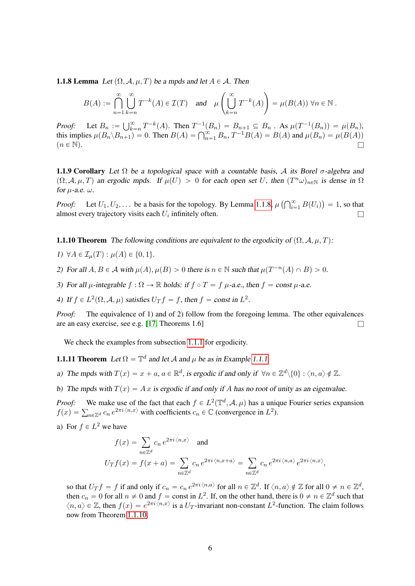**1.1.8 Lemma** Let  $(\Omega, \mathcal{A}, \mu, T)$  be a mpds and let  $A \in \mathcal{A}$ . Then

$$
B(A) := \bigcap_{n=1}^{\infty} \bigcup_{k=n}^{\infty} T^{-k}(A) \in \mathcal{I}(T) \quad \text{and} \quad \mu\left(\bigcup_{k=n}^{\infty} T^{-k}(A)\right) = \mu(B(A)) \,\forall n \in \mathbb{N} \; .
$$

*Proof:* Let  $B_n := \bigcup_{k=1}^{\infty}$ *Proof:* Let  $B_n := \bigcup_{k=n}^{\infty} T^{-k}(A)$ . Then  $T^{-1}(B_n) = B_{n+1} \subseteq B_n$ . As  $\mu(T^{-1}(B_n)) = \mu(B_n)$ , this implies  $\mu(B_n \setminus B_{n+1}) = 0$ . Then  $B(A) = \bigcap_{n=1}^{\infty} B_n$ ,  $T^{-1}B(A) = B(A)$  and  $\mu(B_n) = \mu(B(A))$  $(n \in \mathbb{N}).$ 

<span id="page-5-2"></span>**1.1.9 Corollary** Let  $\Omega$  be a topological space with a countable basis, A its Borel  $\sigma$ -algebra and  $(\Omega, \mathcal{A}, \mu, T)$  an ergodic mpds. If  $\mu(U) > 0$  for each open set U, then  $(T^n \omega)_{n \in \mathbb{N}}$  is dense in  $\Omega$ for  $\mu$ -a.e.  $\omega$ .

*Proof:* Let  $U_1, U_2, \ldots$  be a basis for the topology. By Lemma [1.1.8,](#page-4-1)  $\mu$  ( $\bigcap_{i=1}^{\infty}$  $\sum_{i=1}^{\infty} B(U_i)$  $= 1$ , so that almost every trajectory visits each  $U_i$  infinitely often.

<span id="page-5-0"></span>**1.1.10 Theorem** The following conditions are equivalent to the ergodicity of  $(\Omega, \mathcal{A}, \mu, T)$ :

- 1)  $\forall A \in \mathcal{I}_u(T) : \mu(A) \in \{0, 1\}.$
- 2) For all  $A, B \in \mathcal{A}$  with  $\mu(A), \mu(B) > 0$  there is  $n \in \mathbb{N}$  such that  $\mu(T^{-n}(A) \cap B) > 0$ .
- 3) For all  $\mu$ -integrable  $f : \Omega \to \mathbb{R}$  holds: if  $f \circ T = f \mu$ -a.e., then  $f = const \mu$ -a.e.

4) If  $f \in L^2(\Omega, \mathcal{A}, \mu)$  satisfies  $U_T f = f$ , then  $f = \text{const}$  in  $L^2$ .

*Proof:* The equivalence of 1) and of 2) follow from the foregoing lemma. The other equivalences are an easy exercise, see e.g. [\[17,](#page-64-2) Theorems 1.6]

We check the examples from subsection [1.1.1](#page-3-2) for ergodicity.

<span id="page-5-1"></span>**1.1.11 Theorem** Let  $\Omega = \mathbb{T}^d$  and let A and  $\mu$  be as in Example [1.1.1.](#page-3-4)

a) The mpds with  $T(x) = x + a$ ,  $a \in \mathbb{R}^d$ , is ergodic if and only if  $\forall n \in \mathbb{Z}^d \setminus \{0\} : \langle n, a \rangle \notin \mathbb{Z}$ .

b) The mpds with  $T(x) = Ax$  is ergodic if and only if A has no root of unity as an eigenvalue.

*Proof:* We make use of the fact that each  $f \in L^2(\mathbb{T}^d, \mathcal{A}, \mu)$  has a unique Fourier series expansion *Proof:* We make use of the fact that each  $f \in L^2(\mathbb{T}^n, \mathcal{A}, \mu)$  has a unic  $f(x) = \sum_{n \in \mathbb{Z}^d} c_n e^{2\pi i \langle n, x \rangle}$  with coefficients  $c_n \in \mathbb{C}$  (convergence in  $L^2$ ).

a) For  $f \in L^2$  we have

$$
f(x) = \sum_{n \in \mathbb{Z}^d} c_n e^{2\pi i \langle n, x \rangle} \quad \text{and}
$$
  

$$
U_T f(x) = f(x+a) = \sum_{n \in \mathbb{Z}^d} c_n e^{2\pi i \langle n, x+a \rangle} = \sum_{n \in \mathbb{Z}^d} c_n e^{2\pi i \langle n, a \rangle} e^{2\pi i \langle n, x \rangle},
$$

so that  $U_T f = f$  if and only if  $c_n = c_n e^{2\pi i \langle n, a \rangle}$  for all  $n \in \mathbb{Z}^d$ . If  $\langle n, a \rangle \notin \mathbb{Z}$  for all  $0 \neq n \in \mathbb{Z}^d$ , then  $c_n = 0$  for all  $n \neq 0$  and  $f =$  const in  $L^2$ . If, on the other hand, there is  $0 \neq n \in \mathbb{Z}^d$  such that  $\langle n, a \rangle \in \mathbb{Z}$ , then  $f(x) = e^{2\pi i \langle n, x \rangle}$  is a  $U_T$ -invariant non-constant  $L^2$ -function. The claim follows now from Theorem [1.1.10.](#page-5-0)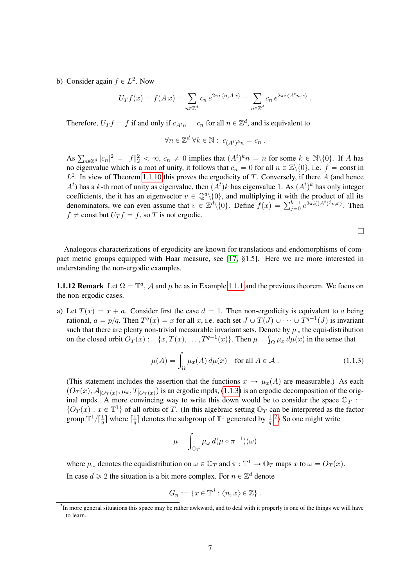b) Consider again  $f \in L^2$ . Now

$$
U_T f(x) = f(A x) = \sum_{n \in \mathbb{Z}^d} c_n e^{2\pi i \langle n, Ax \rangle} = \sum_{n \in \mathbb{Z}^d} c_n e^{2\pi i \langle A^t n, x \rangle}.
$$

Therefore,  $U_T f = f$  if and only if  $c_{A_t n} = c_n$  for all  $n \in \mathbb{Z}^d$ , and is equivalent to

$$
\forall n \in \mathbb{Z}^d \ \forall k \in \mathbb{N}: \ c_{(A^t)^k n} = c_n \ .
$$

As  $\sum_{n\in\mathbb{Z}^d} |c_n|^2 = ||f||_2^2 < \infty$ ,  $c_n \neq 0$  implies that  $(A^t)^k n = n$  for some  $k \in \mathbb{N}\setminus\{0\}$ . If A has no eigenvalue which is a root of unity, it follows that  $c_n = 0$  for all  $n \in \mathbb{Z}\backslash\{0\}$ , i.e.  $f = \text{const}$  in  $L^2$ . In view of Theorem [1.1.10](#page-5-0) this proves the ergodicity of T. Conversely, if there A (and hence  $A<sup>t</sup>$ ) has a k-th root of unity as eigenvalue, then  $(A<sup>t</sup>)k$  has eigenvalue 1. As  $(A<sup>t</sup>)<sup>k</sup>$  has only integer coefficients, the it has an eigenvector  $v \in \mathbb{Q}^d \setminus \{0\}$ , and multiplying it with the product of all its coefficients, the it has an eigenvector  $v \in \mathbb{Q}^u \setminus \{0\}$ , and multiplying it with the product of all its<br>denominators, we can even assume that  $v \in \mathbb{Z}^d \setminus \{0\}$ . Define  $f(x) = \sum_{j=0}^{k-1} e^{2\pi i \langle (A^t)^j v, x \rangle}$ . The  $f \neq$  const but  $U_T f = f$ , so T is not ergodic.

Analogous characterizations of ergodicity are known for translations and endomorphisms of compact metric groups equipped with Haar measure, see [\[17,](#page-64-2) §1.5]. Here we are more interested in understanding the non-ergodic examples.

**1.1.12 Remark** Let  $\Omega = \mathbb{T}^d$ , A and  $\mu$  be as in Example [1.1.1](#page-3-4) and the previous theorem. We focus on the non-ergodic cases.

a) Let  $T(x) = x + a$ . Consider first the case  $d = 1$ . Then non-ergodicity is equivalent to a being rational,  $a = p/q$ . Then  $T^q(x) = x$  for all x, i.e. each set  $J \cup T(J) \cup \cdots \cup T^{q-1}(J)$  is invariant such that there are plenty non-trivial measurable invariant sets. Denote by  $\mu_x$  the equi-distribution on the closed orbit  $O_T(x) := \{x, T(x), \ldots, T^{q-1}(x)\}\.$  Then  $\mu = \int_{\Omega} \mu_x d\mu(x)$  in the sense that

<span id="page-6-0"></span>
$$
\mu(A) = \int_{\Omega} \mu_x(A) d\mu(x) \quad \text{for all } A \in \mathcal{A} \,.
$$
 (1.1.3)

(This statement includes the assertion that the functions  $x \mapsto \mu_x(A)$  are measurable.) As each  $(O_T(x), A_{|O_T(x)}, \mu_x, T_{|O_T(x)})$  is an ergodic mpds, [\(1.1.3\)](#page-6-0) is an ergodic decomposition of the original mpds. A more convincing way to write this down would be to consider the space  $\mathbb{O}_T$  :=  $\{O_T(x) : x \in \mathbb{T}^1\}$  of all orbits of T. (In this algebraic setting  $\mathbb{O}_T$  can be interpreted as the factor group  $\mathbb{T}^{1}/[\frac{1}{q}]$  where  $[\frac{1}{q}]$  $\frac{1}{q}$ ] denotes the subgroup of  $\mathbb{T}^1$  generated by  $\frac{1}{q}$ .<sup>[2](#page-6-1)</sup>) So one might write

$$
\mu = \int_{\mathbb{O}_T} \mu_{\omega} \, d(\mu \circ \pi^{-1})(\omega)
$$

where  $\mu_\omega$  denotes the equidistribution on  $\omega \in \mathbb{O}_T$  and  $\pi : \mathbb{T}^1 \to \mathbb{O}_T$  maps x to  $\omega = O_T(x)$ . In case  $d \geq 2$  the situation is a bit more complex. For  $n \in \mathbb{Z}^d$  denote

$$
G_n := \{ x \in \mathbb{T}^d : \langle n, x \rangle \in \mathbb{Z} \} .
$$

<span id="page-6-1"></span><sup>&</sup>lt;sup>2</sup>In more general situations this space may be rather awkward, and to deal with it properly is one of the things we will have to learn.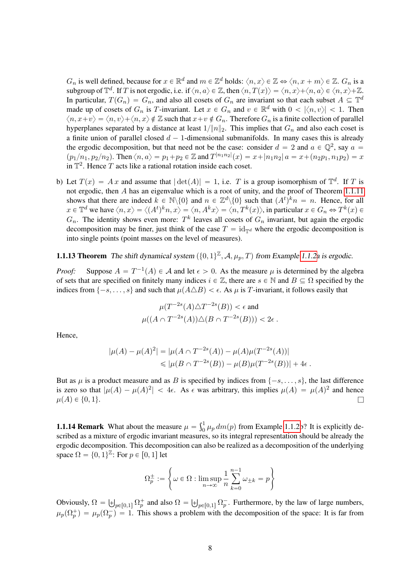$G_n$  is well defined, because for  $x \in \mathbb{R}^d$  and  $m \in \mathbb{Z}^d$  holds:  $\langle n, x \rangle \in \mathbb{Z} \Leftrightarrow \langle n, x + m \rangle \in \mathbb{Z}$ .  $G_n$  is a subgroup of  $\mathbb{T}^d$ . If T is not ergodic, i.e. if  $\langle n, a \rangle \in \mathbb{Z}$ , then  $\langle n, T(x) \rangle = \langle n, x \rangle + \langle n, a \rangle \in \langle n, x \rangle + \mathbb{Z}$ . In particular,  $T(G_n) = G_n$ , and also all cosets of  $G_n$  are invariant so that each subset  $A \subseteq \mathbb{T}^d$ made up of cosets of  $G_n$  is T-invariant. Let  $x \in G_n$  and  $v \in \mathbb{R}^d$  with  $0 < |\langle n, v \rangle| < 1$ . Then  $\langle n, x+v\rangle = \langle n, v\rangle + \langle n, x\rangle \notin \mathbb{Z}$  such that  $x+v \notin G_n$ . Therefore  $G_n$  is a finite collection of parallel hyperplanes separated by a distance at least  $1/\|n\|_2$ . This implies that  $G_n$  and also each coset is a finite union of parallel closed  $d - 1$ -dimensional submanifolds. In many cases this is already the ergodic decomposition, but that need not be the case: consider  $d = 2$  and  $a \in \mathbb{Q}^2$ , say  $a =$  $(p_1/n_1, p_2/n_2)$ . Then  $\langle n, a \rangle = p_1 + p_2 \in \mathbb{Z}$  and  $T^{|n_1 n_2|}(x) = x + |n_1 n_2|$   $a = x + (n_2 p_1, n_1 p_2) = x$ in  $\mathbb{T}^2$ . Hence T acts like a rational rotation inside each coset.

b) Let  $T(x) = Ax$  and assume that  $|\det(A)| = 1$ , i.e. T is a group isomorphism of  $\mathbb{T}^d$ . If T is not ergodic, then A has an eigenvalue which is a root of unity, and the proof of Theorem [1.1.11](#page-5-1) shows that there are indeed  $k \in \mathbb{N} \setminus \{0\}$  and  $n \in \mathbb{Z}^d \setminus \{0\}$  such that  $(A^t)^k n = n$ . Hence, for all  $x \in \mathbb{T}^d$  we have  $\langle n, x \rangle = \langle (A^t)^k n, x \rangle = \langle n, A^k x \rangle = \langle n, T^k(x) \rangle$ , in particular  $x \in G_n \Leftrightarrow T^k(x) \in$  $G_n$ . The identity shows even more:  $T^k$  leaves all cosets of  $G_n$  invariant, but again the ergodic decomposition may be finer, just think of the case  $T = id_{\mathbb{T}^d}$  where the ergodic decomposition is into single points (point masses on the level of measures).

**1.1.13 Theorem** The shift dynamical system  $(\{0, 1\}^{\mathbb{Z}}, \mathcal{A}, \mu_p, T)$  from Example [1.1.2a](#page-3-5) is ergodic.

*Proof:* Suppose  $A = T^{-1}(A) \in \mathcal{A}$  and let  $\epsilon > 0$ . As the measure  $\mu$  is determined by the algebra of sets that are specified on finitely many indices  $i \in \mathbb{Z}$ , there are  $s \in \mathbb{N}$  and  $B \subseteq \Omega$  specified by the indices from  $\{-s, \ldots, s\}$  and such that  $\mu(A \triangle B) < \epsilon$ . As  $\mu$  is T-invariant, it follows easily that

$$
\mu(T^{-2s}(A)\triangle T^{-2s}(B)) < \epsilon \text{ and}
$$
\n
$$
\mu((A \cap T^{-2s}(A))\triangle (B \cap T^{-2s}(B))) < 2\epsilon \, .
$$

Hence,

$$
|\mu(A) - \mu(A)^2| = |\mu(A \cap T^{-2s}(A)) - \mu(A)\mu(T^{-2s}(A))|
$$
  
\$\leqslant \mu(B \cap T^{-2s}(B)) - \mu(B)\mu(T^{-2s}(B))| + 4\epsilon\$ .

But as  $\mu$  is a product measure and as B is specified by indices from  $\{-s, \ldots, s\}$ , the last difference is zero so that  $|\mu(A) - \mu(A)^2| < 4\epsilon$ . As  $\epsilon$  was arbitrary, this implies  $\mu(A) = \mu(A)^2$  and hence  $\mu(A) \in \{0, 1\}.$ 

<span id="page-7-0"></span>**1.1.14 Remark** What about the measure  $\mu = \int_0^1$  $\int_0^1 \mu_p dm(p)$  from Example [1.1.2b](#page-3-5)? It is explicitly described as a mixture of ergodic invariant measures, so its integral representation should be already the ergodic decomposition. This decomposition can also be realized as a decomposition of the underlying space  $\Omega = \{0, 1\}^{\mathbb{Z}}$ : For  $p \in [0, 1]$  let

$$
\Omega_p^\pm := \left\{\omega\in \Omega: \limsup_{n\to\infty} \frac{1}{n}\sum_{k=0}^{n-1} \omega_{\pm k} = p\right\}
$$

Obviously,  $\Omega =$  $_{p\in[0,1]}\Omega^+_p$  and also  $\Omega=$  $p \in [0,1]$   $\Omega_p^-$ . Furthermore, by the law of large numbers,  $\mu_p(\Omega_p^+) = \mu_p(\Omega_p^-) = 1$ . This shows a problem with the decomposition of the space: It is far from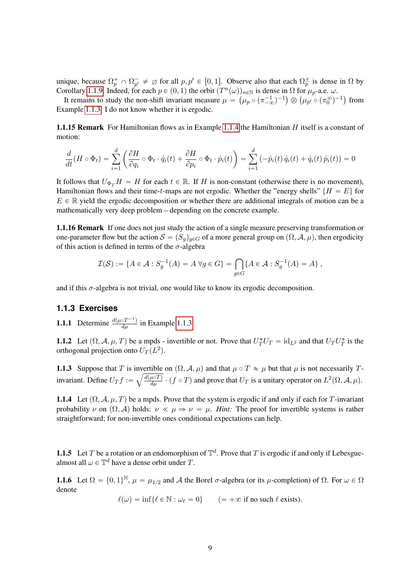unique, because  $\Omega_p^+ \cap \Omega_{p'}^- \neq \emptyset$  for all  $p, p' \in [0, 1]$ . Observe also that each  $\Omega_p^{\pm}$  is dense in  $\Omega$  by Corollary [1.1.9.](#page-5-2) Indeed, for each  $p \in (0, 1)$  the orbit  $(T^n(\omega))_{n \in \mathbb{N}}$  is dense in  $\Omega$  for  $\mu_p$ -a.e.  $\omega$ .

It remains to study the non-shift invariant measure  $\mu = (\mu_p \circ (\pi_{-\infty}^{-1})^{-1}) \otimes (\mu_{p'} \circ (\pi_0^{\infty})^{-1})$  from Example [1.1.3.](#page-3-6) I do not know whether it is ergodic.

**1.1.15 Remark** For Hamiltonian flows as in Example [1.1.4](#page-3-7) the Hamiltonian  $H$  itself is a constant of motion:

$$
\frac{d}{dt}(H \circ \Phi_t) = \sum_{i=1}^d \left( \frac{\partial H}{\partial q_i} \circ \Phi_t \cdot \dot{q}_i(t) + \frac{\partial H}{\partial p_i} \circ \Phi_t \cdot \dot{p}_i(t) \right) = \sum_{i=1}^d \left( -\dot{p}_i(t) \dot{q}_i(t) + \dot{q}_i(t) \dot{p}_i(t) \right) = 0
$$

It follows that  $U_{\Phi_{T}}H = H$  for each  $t \in \mathbb{R}$ . If H is non-constant (otherwise there is no movement), Hamiltonian flows and their time-t-maps are not ergodic. Whether the "energy shells" { $H = E$ } for  $E \in \mathbb{R}$  yield the ergodic decomposition or whether there are additional integrals of motion can be a mathematically very deep problem – depending on the concrete example.

1.1.16 Remark If one does not just study the action of a single measure preserving transformation or one-parameter flow but the action  $S = (S_g)_{g \in G}$  of a more general group on  $(\Omega, \mathcal{A}, \mu)$ , then ergodicity of this action is defined in terms of the  $\sigma$ -algebra

$$
\mathcal{I}(\mathcal{S}) := \{ A \in \mathcal{A} : S_g^{-1}(A) = A \,\forall g \in G \} = \bigcap_{g \in G} \{ A \in \mathcal{A} : S_g^{-1}(A) = A \},
$$

and if this  $\sigma$ -algebra is not trivial, one would like to know its ergodic decomposition.

## <span id="page-8-0"></span>**1.1.3 Exercises**

**1.1.1** Determine  $\frac{d(\mu \circ T^{-1})}{d\mu}$  in Example [1.1.3.](#page-3-6)

**1.1.2** Let  $(\Omega, \mathcal{A}, \mu, T)$  be a mpds - invertible or not. Prove that  $U_T^*U_T = id_{L^2}$  and that  $U_T U_T^*$  is the orthogonal projection onto  $U_T(L^2)$ .

**1.1.3** Suppose that T is invertible on  $(\Omega, \mathcal{A}, \mu)$  and that  $\mu \circ T \approx \mu$  but that  $\mu$  is not necessarily Tinvariant. Define  $U_T f := \sqrt{\frac{d(\mu \circ T)}{d\mu}} \cdot (f \circ T)$  and prove that  $U_T$  is a unitary operator on  $L^2(\Omega, \mathcal{A}, \mu)$ .

1.1.4 Let  $(\Omega, \mathcal{A}, \mu, T)$  be a mpds. Prove that the system is ergodic if and only if each for T-invariant probability v on  $(\Omega, \mathcal{A})$  holds:  $\nu \ll \mu \Rightarrow \nu = \mu$ . *Hint:* The proof for invertible systems is rather straightforward; for non-invertible ones conditional expectations can help.

**1.1.5** Let T be a rotation or an endomorphism of  $\mathbb{T}^d$ . Prove that T is ergodic if and only if Lebesguealmost all  $\omega \in \mathbb{T}^d$  have a dense orbit under T.

**1.1.6** Let  $\Omega = \{0, 1\}^{\mathbb{N}}, \mu = \mu_{1/2}$  and A the Borel  $\sigma$ -algebra (or its  $\mu$ -completion) of  $\Omega$ . For  $\omega \in \Omega$ denote

 $\ell(\omega) = \inf \{ \ell \in \mathbb{N} : \omega_{\ell} = 0 \}$   $(= +\infty \text{ if no such } \ell \text{ exists}).$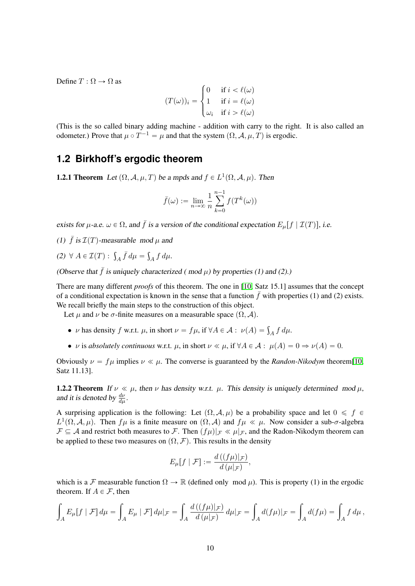Define  $T : \Omega \rightarrow \Omega$  as

$$
(T(\omega))_i = \begin{cases} 0 & \text{if } i < \ell(\omega) \\ 1 & \text{if } i = \ell(\omega) \\ \omega_i & \text{if } i > \ell(\omega) \end{cases}
$$

(This is the so called binary adding machine - addition with carry to the right. It is also called an odometer.) Prove that  $\mu \circ T^{-1} = \mu$  and that the system  $(\Omega, \mathcal{A}, \mu, T)$  is ergodic.

# <span id="page-9-0"></span>**1.2 Birkhoff's ergodic theorem**

**1.2.1 Theorem** Let  $(\Omega, \mathcal{A}, \mu, T)$  be a mpds and  $f \in L^1(\Omega, \mathcal{A}, \mu)$ . Then

$$
\bar{f}(\omega) := \lim_{n \to \infty} \frac{1}{n} \sum_{k=0}^{n-1} f(T^k(\omega))
$$

exists for  $\mu$ -a.e.  $\omega \in \Omega$ , and  $\bar{f}$  is a version of the conditional expectation  $E_{\mu}[f | \mathcal{I}(T)]$ , i.e.

- (1)  $\bar{f}$  is  $\mathcal{I}(T)$ -measurable mod u and
- (2)  $\forall A \in \mathcal{I}(T)$ :  $\int_A \bar{f} d\mu =$  $\int_A f d\mu.$

(Observe that  $\bar{f}$  is uniquely characterized (mod  $\mu$ ) by properties (1) and (2).)

There are many different *proofs* of this theorem. The one in [\[10,](#page-64-1) Satz 15.1] assumes that the concept of a conditional expectation is known in the sense that a function  $\bar{f}$  with properties (1) and (2) exists. We recall briefly the main steps to the construction of this object.

Let  $\mu$  and  $\nu$  be  $\sigma$ -finite measures on a measurable space  $(\Omega, \mathcal{A})$ .

- *ν* has density f w.r.t. *μ*, in short  $\nu = f\mu$ , if  $\forall A \in \mathcal{A} : \nu(A) = \int_A f d\mu$ .
- *ν* is *absolutely continuous* w.r.t.  $\mu$ , in short  $\nu \ll \mu$ , if  $\forall A \in \mathcal{A} : \mu(A) = 0 \Rightarrow \nu(A) = 0$ .

Obviously  $\nu = f\mu$  implies  $\nu \ll \mu$ . The converse is guaranteed by the *Randon-Nikodym* theorem[\[10,](#page-64-1) Satz 11.13].

**1.2.2 Theorem** If  $\nu \ll \mu$ , then  $\nu$  has density w.r.t.  $\mu$ . This density is uniquely determined mod  $\mu$ , and it is denoted by  $\frac{d\nu}{d\mu}$ .

A surprising application is the following: Let  $(\Omega, \mathcal{A}, \mu)$  be a probability space and let  $0 \leq f \in$  $L^1(\Omega, \mathcal{A}, \mu)$ . Then  $f\mu$  is a finite measure on  $(\Omega, \mathcal{A})$  and  $f\mu \ll \mu$ . Now consider a sub- $\sigma$ -algebra  $\mathcal{F} \subseteq \mathcal{A}$  and restrict both measures to F. Then  $(f\mu)|_{\mathcal{F}} \ll \mu|_{\mathcal{F}}$ , and the Radon-Nikodym theorem can be applied to these two measures on  $(\Omega, \mathcal{F})$ . This results in the density

$$
E_{\mu}[f \mid \mathcal{F}] := \frac{d((f\mu)|_{\mathcal{F}})}{d(\mu|_{\mathcal{F}})},
$$

which is a F measurable function  $\Omega \to \mathbb{R}$  (defined only mod  $\mu$ ). This is property (1) in the ergodic theorem. If  $A \in \mathcal{F}$ , then

$$
\int_A E_\mu[f \mid \mathcal{F}] d\mu = \int_A E_\mu \mid \mathcal{F}] d\mu|_{\mathcal{F}} = \int_A \frac{d\left((f\mu)|_{\mathcal{F}}\right)}{d\left(\mu|_{\mathcal{F}}\right)} d\mu|_{\mathcal{F}} = \int_A d(f\mu)|_{\mathcal{F}} = \int_A d(f\mu) = \int_A f d\mu,
$$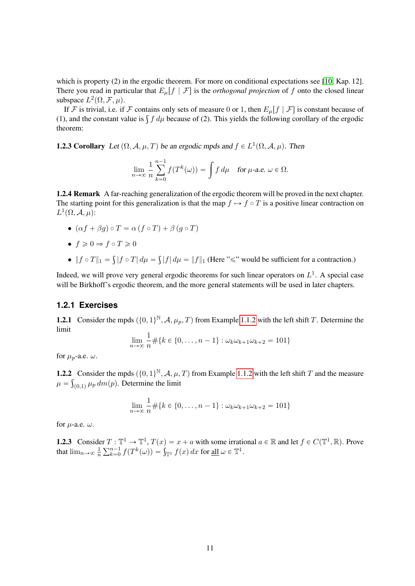which is property (2) in the ergodic theorem. For more on conditional expectations see [\[10,](#page-64-1) Kap. 12]. There you read in particular that  $E_{\mu}[f | \mathcal{F}]$  is the *orthogonal projection* of f onto the closed linear subspace  $L^2(\Omega, \mathcal{F}, \mu)$ .

If F is trivial, i.e. if F contains only sets of measure 0 or 1, then  $E_{\mu}[f | \mathcal{F}]$  is constant because of If  $\mathcal F$  is trivial, i.e. if  $\mathcal F$  contains only sets of measure 0 or 1, then  $E_{\mu}[f | \mathcal F]$  is constant because of (1), and the constant value is  $\int f d\mu$  because of (2). This yields the following corollary of the ergo theorem:

**1.2.3 Corollary** Let  $(\Omega, \mathcal{A}, \mu, T)$  be an ergodic mpds and  $f \in L^1(\Omega, \mathcal{A}, \mu)$ . Then

$$
\lim_{n \to \infty} \frac{1}{n} \sum_{k=0}^{n-1} f(T^k(\omega)) = \int f d\mu \quad \text{for } \mu\text{-a.e. } \omega \in \Omega.
$$

<span id="page-10-1"></span>1.2.4 Remark A far-reaching generalization of the ergodic theorem will be proved in the next chapter. The starting point for this generalization is that the map  $f \mapsto f \circ T$  is a positive linear contraction on  $L^1(\Omega, \mathcal{A}, \mu)$ :

•  $(\alpha f + \beta q) \circ T = \alpha (f \circ T) + \beta (q \circ T)$ 

$$
\bullet\ f\geqslant 0\Rightarrow f\circ T\geqslant 0
$$

 $\bullet \ \| f \circ T \|_1 =$ ş  $|f \circ T| d\mu =$ ş  $|f| d\mu = ||f||_1$  (Here " $\leq$ " would be sufficient for a contraction.)

Indeed, we will prove very general ergodic theorems for such linear operators on  $L<sup>1</sup>$ . A special case will be Birkhoff's ergodic theorem, and the more general statements will be used in later chapters.

### <span id="page-10-0"></span>**1.2.1 Exercises**

**1.2.1** Consider the mpds  $(\{0, 1\}^{\mathbb{N}}, \mathcal{A}, \mu_p, T)$  from Example [1.1.2](#page-3-5) with the left shift T. Determine the limit

$$
\lim_{n \to \infty} \frac{1}{n} \# \{ k \in \{0, \dots, n-1\} : \omega_k \omega_{k+1} \omega_{k+2} = 101 \}
$$

for  $\mu_p$ -a.e.  $\omega$ .

**1.2.2** Consider the mpds  $(\{0, 1\}^{\mathbb{N}}, A, \mu, T)$  from Example [1.1.2](#page-3-5) with the left shift T and the measure  $\mu = \int_{(0,1)} \mu_p \, dm(p)$ . Determine the limit

$$
\lim_{n \to \infty} \frac{1}{n} \# \{ k \in \{0, \dots, n-1\} : \omega_k \omega_{k+1} \omega_{k+2} = 101 \}
$$

for  $\mu$ -a.e.  $\omega$ .

**1.2.3** Consider  $T : \mathbb{T}^1 \to \mathbb{T}^1$ ,  $T(x) = x + a$  with some irrational  $a \in \mathbb{R}$  and let  $f \in C(\mathbb{T}^1, \mathbb{R})$ . Prove that  $\lim_{n\to\infty}\frac{1}{n}$  $\overline{n}$ r $T:1$  $f: \mathbb{T}^1 \to \mathbb{T}^1, T(x) = x + a$  with some irration-<br> $\lim_{k \to 0} f(T^k(\omega)) = \int_{\mathbb{T}^1} f(x) dx$  for <u>all</u>  $\omega \in \mathbb{T}^1$ .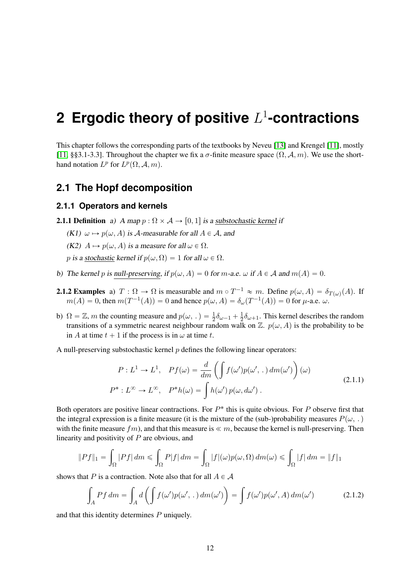# <span id="page-11-0"></span>**2 Ergodic theory of positive** L 1 **-contractions**

This chapter follows the corresponding parts of the textbooks by Neveu [\[13\]](#page-64-3) and Krengel [\[11\]](#page-64-4), mostly [\[11,](#page-64-4) §§3.1-3.3]. Throughout the chapter we fix a  $\sigma$ -finite measure space  $(\Omega, \mathcal{A}, m)$ . We use the shorthand notation  $L^p$  for  $L^p(\Omega, \mathcal{A}, m)$ .

# <span id="page-11-1"></span>**2.1 The Hopf decomposition**

#### <span id="page-11-2"></span>**2.1.1 Operators and kernels**

- **2.1.1 Definition** a) A map  $p : \Omega \times A \rightarrow [0, 1]$  is a substochastic kernel if
	- $(K1)$   $\omega \mapsto p(\omega, A)$  is A-measurable for all  $A \in \mathcal{A}$ , and
	- (K2)  $A \mapsto p(\omega, A)$  is a measure for all  $\omega \in \Omega$ .
	- p is a stochastic kernel if  $p(\omega, \Omega) = 1$  for all  $\omega \in \Omega$ .
- b) The kernel p is null-preserving, if  $p(\omega, A) = 0$  for m-a.e.  $\omega$  if  $A \in \mathcal{A}$  and  $m(A) = 0$ .
- <span id="page-11-4"></span><span id="page-11-3"></span>**2.1.2 Examples** a)  $T : \Omega \to \Omega$  is measurable and  $m \circ T^{-1} \approx m$ . Define  $p(\omega, A) = \delta_{T(\omega)}(A)$ . If  $m(A) = 0$ , then  $m(T^{-1}(A)) = 0$  and hence  $p(\omega, A) = \delta_{\omega}(T^{-1}(A)) = 0$  for  $\mu$ -a.e.  $\omega$ .
- <span id="page-11-5"></span>b)  $\Omega = \mathbb{Z}$ , *m* the counting measure and  $p(\omega, .) = \frac{1}{2}\delta_{\omega-1} + \frac{1}{2}$  $\frac{1}{2}\delta_{\omega+1}$ . This kernel describes the random transitions of a symmetric nearest neighbour random walk on  $\mathbb{Z}$ .  $p(\omega, A)$  is the probability to be in A at time  $t + 1$  if the process is in  $\omega$  at time t.
- <span id="page-11-6"></span>A null-preserving substochastic kernel  $p$  defines the following linear operators:

$$
P: L^{1} \to L^{1}, \quad Pf(\omega) = \frac{d}{dm} \left( \int f(\omega') p(\omega', \cdot) dm(\omega') \right) (\omega)
$$
  

$$
P^{*}: L^{\infty} \to L^{\infty}, \quad P^{*}h(\omega) = \int h(\omega') p(\omega, d\omega'). \tag{2.1.1}
$$

Both operators are positive linear contractions. For  $P^*$  this is quite obvious. For  $P$  observe first that the integral expression is a finite measure (it is the mixture of the (sub-)probability measures  $P(\omega,.)$ with the finite measure  $fm$ ), and that this measure is  $\ll m$ , because the kernel is null-preserving. Then linearity and positivity of P are obvious, and

$$
||Pf||_1 = \int_{\Omega} |Pf| \, dm \le \int_{\Omega} P|f| \, dm = \int_{\Omega} |f|(\omega)p(\omega,\Omega) \, dm(\omega) \le \int_{\Omega} |f| \, dm = ||f||_1
$$

shows that P is a contraction. Note also that for all  $A \in \mathcal{A}$ 

<span id="page-11-7"></span>
$$
\int_{A} Pf dm = \int_{A} d\left(\int f(\omega')p(\omega',\,.\,) dm(\omega')\right) = \int f(\omega')p(\omega',A) dm(\omega')
$$
\n(2.1.2)

and that this identity determines P uniquely.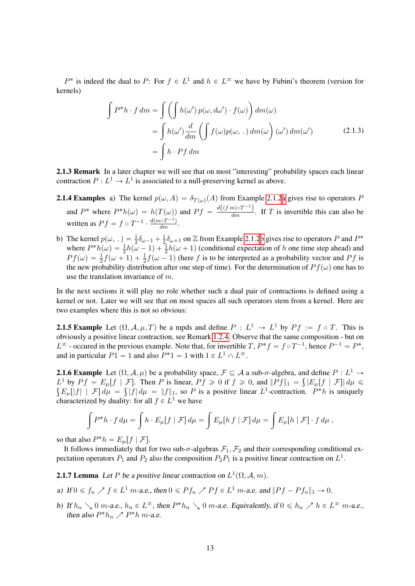$P^*$  is indeed the dual to P: For  $f \in L^1$  and  $h \in L^{\infty}$  we have by Fubini's theorem (version for kernels)

$$
\int P^*h \cdot f \, dm = \int \left( \int h(\omega') p(\omega, d\omega') \cdot f(\omega) \right) dm(\omega)
$$
  
= 
$$
\int h(\omega') \frac{d}{dm} \left( \int f(\omega) p(\omega, \cdot) dm(\omega') \left( \omega' \right) dm(\omega') \right)
$$
  
= 
$$
\int h \cdot Pf \, dm
$$
 (2.1.3)

2.1.3 Remark In a later chapter we will see that on most "interesting" probability spaces each linear contraction  $P: L^1 \to L^1$  is associated to a null-preserving kernel as above.

- <span id="page-12-5"></span><span id="page-12-3"></span>**2.1.4 Ex[a](#page-11-4)mples** a) The kernel  $p(\omega, A) = \delta_{T(\omega)}(A)$  from Example [2.1.2](#page-11-3)a gives rise to operators P and  $P^*$  where  $P^*h(\omega) = h(T(\omega))$  and  $Pf = \frac{d((fm) \circ T^{-1})}{dm}$ . If T is invertible this can also be written as  $Pf = f \circ T^{-1} \cdot \frac{d(m \circ T^{-1})}{dm}$ .
- b) The kernel  $p(\omega,.) = \frac{1}{2}\delta_{\omega-1} + \frac{1}{2}$  $\frac{1}{2}\delta_{\omega+1}$  on Z from Example [2.1.2](#page-11-3)[b](#page-11-5) gives rise to operators P and  $P^*$ where  $P^*h(\omega) = \frac{1}{2}h(\omega - 1) + \frac{1}{2}h(\omega + 1)$  (conditional expectation of h one time step ahead) and  $Pf(\omega) = \frac{1}{2}f(\omega + 1) + \frac{1}{2}f(\omega - 1)$  (here f is to be interpreted as a probability vector and Pf is the new probability distribution after one step of time). For the determination of  $Pf(\omega)$  one has to use the translation invariance of m.

In the next sections it will play no role whether such a dual pair of contractions is defined using a kernel or not. Later we will see that on most spaces all such operators stem from a kernel. Here are two examples where this is not so obvious:

<span id="page-12-4"></span>**2.1.5 Example** Let  $(\Omega, \mathcal{A}, \mu, T)$  be a mpds and define  $P : L^1 \to L^1$  by  $Pf := f \circ T$ . This is obviously a positive linear contraction, see Remark [1.2.4.](#page-10-1) Observe that the same composition - but on  $L^{\infty}$  - occured in the previous example. Note that, for invertible T,  $P^*f = f \circ T^{-1}$ , hence  $P^{-1} = P^*$ , and in particular  $P1 = 1$  and also  $P^*1 = 1$  with  $1 \in L^1 \cap L^\infty$ .

<span id="page-12-0"></span>**2.1.6 Example** Let  $(\Omega, \mathcal{A}, \mu)$  be a probability space,  $\mathcal{F} \subseteq \mathcal{A}$  a sub- $\sigma$ -algebra, and define  $P : L^1 \to$  $L^1$  by  $Pf = E_\mu[f | \mathcal{F}]$ . Then P is linear,  $Pf \ge 0$  if  $f \ge 0$ , and  $||Pf||_1 = \int |E_\mu[f | \mathcal{F}]| d\mu \le$  $E_{\mu}[[f] | \mathcal{F}] d\mu = \int |f| d\mu = ||f||_1$ , so P is a positive linear  $L^1$ -contraction.  $P^*h$  is uniquely characterized by duality: for all  $f \in L^1$  we have

$$
\int P^*h \cdot f d\mu = \int h \cdot E_\mu[f | \mathcal{F}] d\mu = \int E_\mu[h f | \mathcal{F}] d\mu = \int E_\mu[h | \mathcal{F}] \cdot f d\mu,
$$

so that also  $P^*h = E_\mu[f | \mathcal{F}]$ .

It follows immediately that for two sub- $\sigma$ -algebras  $\mathcal{F}_1, \mathcal{F}_2$  and their corresponding conditional expectation operators  $P_1$  and  $P_2$  also the composition  $P_2P_1$  is a positive linear contraction on  $L^1$ .

<span id="page-12-1"></span>**2.1.7 Lemma** Let P be a positive linear contraction on  $L^1(\Omega, \mathcal{A}, m)$ .

- a) If  $0 \leq f_n \nearrow f \in L^1$  m-a.e., then  $0 \leq P f_n \nearrow P f \in L^1$  m-a.e. and  $||P f P f_n||_1 \rightarrow 0$ .
- <span id="page-12-2"></span>b) If  $h_n \searrow 0$  m-a.e.,  $h_n \in L^{\infty}$ , then  $P^*h_n \searrow 0$  m-a.e. Equivalently, if  $0 \le h_n \nearrow h \in L^{\infty}$  m-a.e., then also  $P^*h_n \nearrow P^*h$  m-a.e.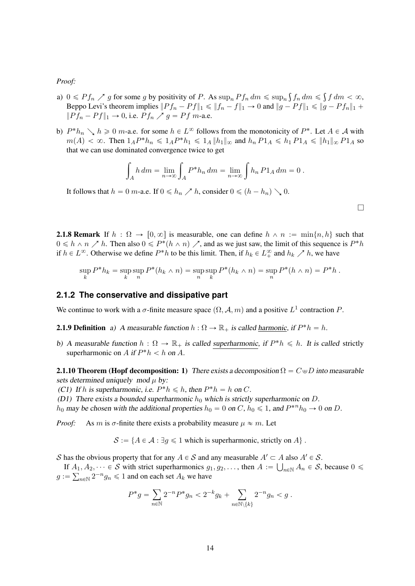*Proof:*

- a)  $0 \leq P f_n \nearrow g$  for some g by positivity of P. As  $\sup_n Pf_n dm \leq \sup_n$  $f_n dm \leq$  $f dm < \infty$ , Beppo Levi's theorem implies  $||P f_n - P f||_1 \le ||f_n - f||_1 \to 0$  and  $||g - P f||_1 \le ||g - P f_n||_1 +$  $||P f_n - P f||_1 \to 0$ , i.e.  $P f_n \nearrow g = P f$  m-a.e.
- b)  $P^*h_n \searrow h \ge 0$  m-a.e. for some  $h \in L^{\infty}$  follows from the monotonicity of  $P^*$ . Let  $A \in \mathcal{A}$  with  $m(A) < \infty$ . Then  $1_A P^* h_n \leq 1_A P^* h_1 \leq 1_A ||h_1||_{\infty}$  and  $h_n P1_A \leq h_1 P1_A \leq ||h_1||_{\infty} P1_A$  so that we can use dominated convergence twice to get

$$
\int_A h dm = \lim_{n \to \infty} \int_A P^* h_n dm = \lim_{n \to \infty} \int h_n P 1_A dm = 0.
$$

l

It follows that  $h = 0$  m-a.e. If  $0 \le h_n \nearrow h$ , consider  $0 \le (h - h_n) \searrow 0$ .

**2.1.8 Remark** If  $h : \Omega \to [0, \infty]$  is measurable, one can define  $h \wedge n := \min\{n, h\}$  such that  $0 \le h \wedge n \nearrow h$ . Then also  $0 \le P^*(h \wedge n) \nearrow$ , and as we just saw, the limit of this sequence is  $P^*h$ if  $h \in L^{\infty}$ . Otherwise we define  $P^*h$  to be this limit. Then, if  $h_k \in L^{\infty}_+$  and  $h_k \nearrow h$ , we have

$$
\sup_{k} P^* h_k = \sup_{k} \sup_{n} P^*(h_k \wedge n) = \sup_{n} \sup_{k} P^*(h_k \wedge n) = \sup_{n} P^*(h \wedge n) = P^* h.
$$

#### <span id="page-13-0"></span>**2.1.2 The conservative and dissipative part**

We continue to work with a  $\sigma$ -finite measure space  $(\Omega, \mathcal{A}, m)$  and a positive  $L^1$  contraction P.

**2.1.9 Definition** a) A measurable function  $h : \Omega \to \mathbb{R}_+$  is called <u>harmonic</u>, if  $P^*h = h$ .

b) A measurable function  $h : \Omega \to \mathbb{R}_+$  is called superharmonic, if  $P^*h \le h$ . It is called strictly superharmonic on A if  $P^*h < h$  on A.

<span id="page-13-1"></span>**2.1.10 Theorem (Hopf decomposition: 1)** There exists a decomposition  $\Omega = C \oplus D$  into measurable sets determined uniquely mod  $\mu$  by:

(C1) If h is superharmonic, i.e.  $P^*h \le h$ , then  $P^*h = h$  on C.

(D1) There exists a bounded superharmonic  $h_0$  which is strictly superharmonic on D.

 $h_0$  may be chosen with the additional properties  $h_0 = 0$  on  $C$ ,  $h_0 \le 1$ , and  $P^{*n}h_0 \to 0$  on  $D$ .

*Proof:* As m is  $\sigma$ -finite there exists a probability measure  $\mu \approx m$ . Let

 $S := \{A \in \mathcal{A} : \exists g \leq 1 \text{ which is superharmonic, strictly on } A\}.$ 

S has the obvious property that for any  $A \in S$  and any measurable  $A' \subset A$  also  $A' \in S$ .

If  $A_1, A_2, \dots \in S$  with strict superharmonics  $g_1, g_2, \dots$ , then  $A := \bigcup_{n \in \mathbb{N}} A_n \in S$ , because  $0 \leq \dots \leq S$  $g := \sum_{n \in \mathbb{N}} 2^{-n} g_n \leq 1$  and on each set  $A_k$  we have

$$
P^*g = \sum_{n \in \mathbb{N}} 2^{-n} P^* g_n < 2^{-k} g_k + \sum_{n \in \mathbb{N} \setminus \{k\}} 2^{-n} g_n < g.
$$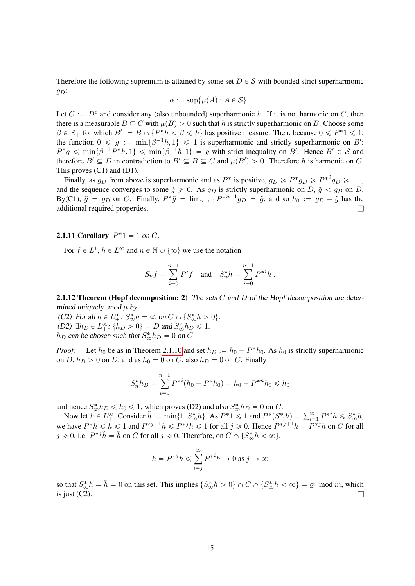Therefore the following supremum is attained by some set  $D \in S$  with bounded strict superharmonic  $g_D$ :

$$
\alpha := \sup \{ \mu(A) : A \in \mathcal{S} \} .
$$

Let  $C := D<sup>c</sup>$  and consider any (also unbounded) superharmonic h. If it is not harmonic on C, then there is a measurable  $B \subseteq C$  with  $\mu(B) > 0$  such that h is strictly superharmonic on B. Choose some  $\beta \in \mathbb{R}_+$  for which  $B' := B \cap {P^*h < \beta \leq h}$  has positive measure. Then, because  $0 \leq P^*1 \leq 1$ , the function  $0 \le g := \min\{\beta^{-1}h, 1\} \le 1$  is superharmonic and strictly superharmonic on B':  $P^*g \leq \min\{\beta^{-1}P^*h,1\} \leq \min\{\beta^{-1}h,1\} = g$  with strict inequality on B'. Hence  $B' \in S$  and therefore  $B' \subseteq D$  in contradiction to  $B' \subseteq B \subseteq C$  and  $\mu(B') > 0$ . Therefore h is harmonic on C. This proves (C1) and (D1).

Finally, as  $g_D$  from above is superharmonic and as  $P^*$  is positive,  $g_D \geqslant P^* g_D \geqslant P^{*2} g_D \geqslant \ldots$ , and the sequence converges to some  $\tilde{g} \ge 0$ . As  $g_D$  is strictly superharmonic on D,  $\tilde{g} < g_D$  on D. By(C1),  $\tilde{g} = g_D$  on C. Finally,  $P^*\tilde{g} = \lim_{n\to\infty} P^{*n+1}g_D = \tilde{g}$ , and so  $h_0 := g_D - \tilde{g}$  has the additional required properties.

# <span id="page-14-0"></span>**2.1.11 Corollary**  $P^*1 = 1$  on C.

For  $f \in L^1$ ,  $h \in L^{\infty}$  and  $n \in \mathbb{N} \cup \{\infty\}$  we use the notation

$$
S_n f = \sum_{i=0}^{n-1} P^i f \quad \text{and} \quad S_n^* h = \sum_{i=0}^{n-1} P^{*i} h .
$$

<span id="page-14-1"></span>**2.1.12 Theorem (Hopf decomposition: 2)** The sets  $C$  and  $D$  of the Hopf decomposition are determined uniquely mod  $\mu$  by

(C2) For all  $h \in L^{\infty}_+$ :  $S^*_{\infty} h = \infty$  on  $C \cap \{S^*_{\infty} h > 0\}$ . (D2)  $\exists h_D \in L_+^{\infty}$ :  $\{h_D > 0\} = D$  and  $S_{\infty}^* h_D \le 1$ .  $h_D$  can be chosen such that  $S^*_{\infty} h_D = 0$  on C.

*Proof:* Let  $h_0$  be as in Theorem [2.1.10](#page-13-1) and set  $h_D := h_0 - P^*h_0$ . As  $h_0$  is strictly superharmonic on D,  $h_D > 0$  on D, and as  $h_0 = 0$  on C, also  $h_D = 0$  on C. Finally

$$
S_n^*h_D = \sum_{i=0}^{n-1} P^{*i}(h_0 - P^*h_0) = h_0 - P^{*n}h_0 \le h_0
$$

and hence  $S^*_{\infty} h_D \le h_0 \le 1$ , which proves (D2) and also  $S^*_{\infty} h_D = 0$  on C.

d hence  $S_{\infty}^* h_D \leq h_0 \leq 1$ , which proves (D2) and also  $S_{\infty}^* h_D = 0$  on C.<br>Now let  $h \in L^{\infty}_{\pm}$ . Consider  $\tilde{h} := \min\{1, S_{\infty}^* h\}$ . As  $P^* 1 \leq 1$  and  $P^* (S_{\infty}^* h) = \sum_{i=1}^{\infty} P^{*i} h \leq S_{\infty}^* h$ , we have  $P^*\tilde{h} \leq \tilde{h} \leq 1$  and  $P^{*j+1}\tilde{h} \leq P^{*j}\tilde{h} \leq 1$  for all  $j \geq 0$ . Hence  $P^{*j+1}\tilde{h} = P^{*j}\tilde{h}$  on C for all  $j \geqslant 0$ , i.e.  $P^{*j}\tilde{h} = \tilde{h}$  on C for all  $j \geqslant 0$ . Therefore, on  $C \cap \{S_{\infty}^{*}h < \infty\}$ ,

$$
\tilde{h} = P^{*j}\tilde{h} \le \sum_{i=j}^{\infty} P^{*i}h \to 0 \text{ as } j \to \infty
$$

<span id="page-14-2"></span>so that  $S^*_{\infty} h = \tilde{h} = 0$  on this set. This implies  $\{S^*_{\infty} h > 0\} \cap C \cap \{S^*_{\infty} h < \infty\} = \emptyset$  mod m, which is just (C2).  $\Box$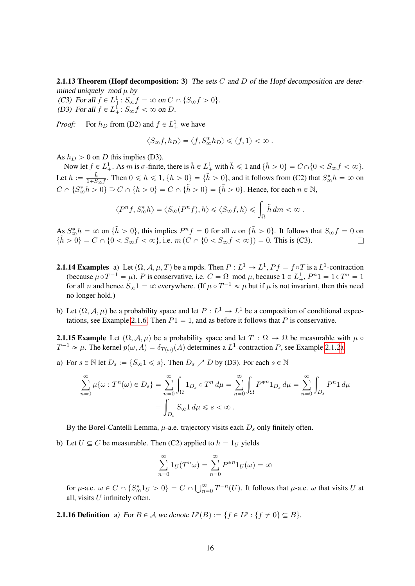**2.1.13 Theorem (Hopf decomposition: 3)** The sets C and D of the Hopf decomposition are determined uniquely mod  $\mu$  by

(C3) For all  $f \in L^1_+$ :  $S_{\infty} f = \infty$  on  $C \cap \{S_{\infty} f > 0\}$ . (D3) For all  $f \in L^1_+$ :  $S_{\infty} f < \infty$  on D.

*Proof:* For  $h_D$  from (D2) and  $f \in L^1_+$  we have

$$
\big\langle S_\infty f,h_D\big\rangle=\big\langle f,S_\infty^*h_D\big\rangle\leqslant \big\langle f,1\big\rangle<\infty\;.
$$

As  $h_D > 0$  on D this implies (D3).

Now let  $f \in L^1_+$ . As m is  $\sigma$ -finite, there is  $\tilde{h} \in L^1_+$  with  $\tilde{h} \leq 1$  and  $\{\tilde{h} > 0\} = C \cap \{0 < S_{\infty} f < \infty\}$ . Let  $h := \frac{\tilde{h}}{1+S}$  $\frac{\tilde{h}}{1+S_{\infty}f}$ . Then  $0 \le h \le 1$ ,  $\{h > 0\} = \{\tilde{h} > 0\}$ , and it follows from (C2) that  $S_{\infty}^*h = \infty$  on  $C \cap \{S_{\infty}^* h > 0\} \supseteq C \cap \{h > 0\} = C \cap \{\tilde{h} > 0\} = \{\tilde{h} > 0\}.$  Hence, for each  $n \in \mathbb{N}$ ,

$$
\langle P^n f, S^*_{\infty} h \rangle = \langle S_{\infty}(P^n f), h \rangle \leq \langle S_{\infty} f, h \rangle \leq \int_{\Omega} \tilde{h} dm < \infty.
$$

As  $S^*_{\infty} h = \infty$  on  $\{\tilde{h} > 0\}$ , this implies  $P^n f = 0$  for all n on  $\{\tilde{h} > 0\}$ . It follows that  $S_{\infty} f = 0$  on  $\{\tilde{h} > 0\} = C \cap \{0 < S_{\infty} f < \infty\}, \text{ i.e. } m(C \cap \{0 < S_{\infty} f < \infty\}) = 0. \text{ This is (C3). }$ 

- **2.1.14 Examples** a) Let  $(\Omega, \mathcal{A}, \mu, T)$  be a mpds. Then  $P : L^1 \to L^1$ ,  $Pf = f \circ T$  is a  $L^1$ -contraction (because  $\mu \circ T^{-1} = \mu$ ). P is conservative, i.e.  $C = \Omega$  mod  $\mu$ , because  $1 \in L^1_+$ ,  $P^n 1 = 1 \circ T^n = 1$ for all *n* and hence  $S_{\infty}1 = \infty$  everywhere. (If  $\mu \circ T^{-1} \approx \mu$  but if  $\mu$  is not invariant, then this need no longer hold.)
- b) Let  $(\Omega, \mathcal{A}, \mu)$  be a probability space and let  $P : L^1 \to L^1$  be a composition of conditional expec-tations, see Example [2.1.6.](#page-12-0) Then  $P1 = 1$ , and as before it follows that P is conservative.

**2.1.15 Example** Let  $(\Omega, \mathcal{A}, \mu)$  be a probability space and let  $T : \Omega \to \Omega$  be measurable with  $\mu \circ$  $T^{-1} \approx \mu$ . The kernel  $p(\omega, A) = \delta_{T(\omega)}(A)$  determines a  $L^1$ -contraction P, see Example [2.1.2](#page-11-3)[a.](#page-11-4)

a) For  $s \in \mathbb{N}$  let  $D_s := \{S_{\infty}1 \leq s\}$ . Then  $D_s \nearrow D$  by (D3). For each  $s \in \mathbb{N}$ 

$$
\sum_{n=0}^{\infty} \mu \{ \omega : T^{n}(\omega) \in D_{s} \} = \sum_{n=0}^{\infty} \int_{\Omega} 1_{D_{s}} \circ T^{n} d\mu = \sum_{n=0}^{\infty} \int_{\Omega} P^{*n} 1_{D_{s}} d\mu = \sum_{n=0}^{\infty} \int_{D_{s}} P^{n} 1 d\mu
$$

$$
= \int_{D_{s}} S_{\infty} 1 d\mu \leq s < \infty.
$$

By the Borel-Cantelli Lemma,  $\mu$ -a.e. trajectory visits each  $D_s$  only finitely often.

b) Let  $U \subseteq C$  be measurable. Then (C2) applied to  $h = 1_U$  yields

$$
\sum_{n=0}^{\infty} 1_U(T^n\omega) = \sum_{n=0}^{\infty} P^{*n} 1_U(\omega) = \infty
$$

for  $\mu$ -a.e.  $\omega \in C \cap \{S_{\infty}^* 1_U > 0\} = C \cap \bigcup_{n=1}^{\infty}$  $\sum_{n=0}^{\infty} T^{-n}(U)$ . It follows that  $\mu$ -a.e.  $\omega$  that visits U at all, visits  $U$  infinitely often.

**2.1.16 Definition** a) For  $B \in \mathcal{A}$  we denote  $L^p(B) := \{f \in L^p : \{f \neq 0\} \subseteq B\}.$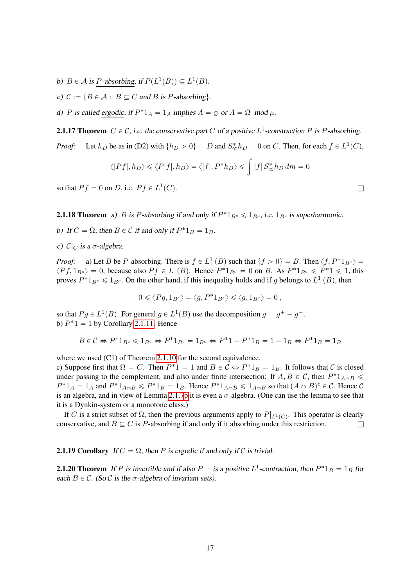- b)  $B \in \mathcal{A}$  is P-absorbing, if  $P(L^1(B)) \subseteq L^1(B)$ .
- c)  $C := \{B \in \mathcal{A} : B \subseteq C \text{ and } B \text{ is } P \text{-absorbing}\}.$

d) P is called ergodic, if  $P^*1_A = 1_A$  implies  $A = \emptyset$  or  $A = \Omega$  mod  $\mu$ .

**2.1.17 Theorem**  $C \in \mathcal{C}$ , i.e. the conservative part C of a positive  $L^1$ -constraction P is P-absorbing. *Proof:* Let  $h_D$  be as in (D2) with  $\{h_D > 0\} = D$  and  $S^*_{\infty} h_D = 0$  on C. Then, for each  $f \in L^1(C)$ ,

$$
\langle |Pf|, h_D \rangle \leq \langle P|f|, h_D \rangle = \langle |f|, P^*h_D \rangle \leq \int |f| \, S^*_\infty h_D \, dm = 0
$$

so that  $Pf = 0$  on D, i.e.  $Pf \in L^1$  $(C).$ 

**2.1.18 Theorem** a) B is P-absorbing if and only if  $P^*1_{B^c} \leq 1_{B^c}$ , i.e.  $1_{B^c}$  is superharmonic.

- b) If  $C = \Omega$ , then  $B \in \mathcal{C}$  if and only if  $P^*1_B = 1_B$ .
- c)  $C|_C$  is a  $\sigma$ -algebra.

*Proof:* a) Let *B* be *P*-absorbing. There is  $f \in L^1_+(B)$  such that  $\{f > 0\} = B$ . Then  $\langle f, P^*1_{B^c} \rangle =$  $\langle Pf, 1_{B^c} \rangle = 0$ , because also  $Pf \in L^1(B)$ . Hence  $P^*1_{B^c} = 0$  on B. As  $P^*1_{B^c} \le P^*1 \le 1$ , this proves  $P^*1_{B^c} \leq 1_{B^c}$ . On the other hand, if this inequality holds and if g belongs to  $L^1_+(B)$ , then

$$
0 \leqslant \left\langle Pg, 1_{B^c} \right\rangle = \left\langle g, P^* 1_{B^c} \right\rangle \leqslant \left\langle g, 1_{B^c} \right\rangle = 0 ,
$$

so that  $Pg \in L^1(B)$ . For general  $g \in L^1(B)$  use the decomposition  $g = g^+ - g^-$ . b)  $P^*1 = 1$  by Corollary [2.1.11.](#page-14-0) Hence

$$
B\in \mathcal{C} \Leftrightarrow P^*1_{B^c} \leq 1_{B^c} \Leftrightarrow P^*1_{B^c} = 1_{B^c} \Leftrightarrow P^*1 - P^*1_B = 1 - 1_B \Leftrightarrow P^*1_B = 1_B
$$

where we used (C1) of Theorem [2.1.10](#page-13-1) for the second equivalence.

c) Suppose first that  $\Omega = C$ . Then  $P^*1 = 1$  and  $B \in C \Leftrightarrow P^*1_B = 1_B$ . It follows that C is closed under passing to the complement, and also under finite intersection: If  $A, B \in \mathcal{C}$ , then  $P^*1_{A \cap B} \leq$  $P^*1_A = 1_A$  and  $P^*1_{A \cap B} \leqslant P^*1_B = 1_B$ . Hence  $P^*1_{A \cap B} \leqslant 1_{A \cap B}$  so that  $(A \cap B)^c \in C$ . Hence  $C$ is an algebra, and in view of Lemma [2.1.7](#page-12-1)[b](#page-12-2) it is even a  $\sigma$ -algebra. (One can use the lemma to see that it is a Dynkin-system or a monotone class.)

If C is a strict subset of  $\Omega$ , then the previous arguments apply to  $P|_{L^1(C)}$ . This operator is clearly conservative, and  $B \subseteq C$  is P-absorbing if and only if it absorbing under this restriction.

**2.1.19 Corollary** If  $C = \Omega$ , then P is ergodic if and only if C is trivial.

<span id="page-16-0"></span>**2.1.20 Theorem** If P is invertible and if also  $P^{-1}$  is a positive  $L^1$ -contraction, then  $P^*1_B = 1_B$  for each  $B \in \mathcal{C}$ . (So  $\mathcal{C}$  is the  $\sigma$ -algebra of invariant sets).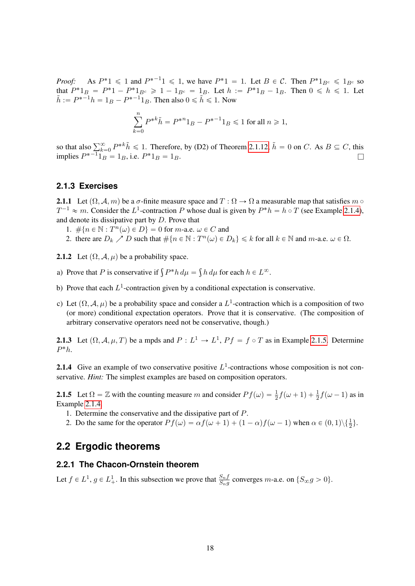*Proof:* As  $P^*1 \leq 1$  and  $P^{*-1}1 \leq 1$ , we have  $P^*1 = 1$ . Let  $B \in \mathcal{C}$ . Then  $P^*1_{B^c} \leq 1_{B^c}$  so that  $P^*1_B = P^*1 - P^*1_{B^c} \ge 1 - 1_{B^c} = 1_B$ . Let  $h := P^*1_B - 1_B$ . Then  $0 \le h \le 1$ . Let  $\tilde{h} := P^{*-1}h = 1_B - P^{*-1}1_B$ . Then also  $0 \le \tilde{h} \le 1$ . Now

$$
\sum_{k=0}^{n} P^{*k} \tilde{h} = P^{*n} 1_B - P^{*-1} 1_B \le 1 \text{ for all } n \ge 1,
$$

so that also  $\sum_{k=0}^{\infty} P^{*k} \tilde{h} \le 1$ . Therefore, by (D2) of Theorem [2.1.12,](#page-14-1)  $\tilde{h} = 0$  on C. As  $B \subseteq C$ , this implies  $P^{*-1}1_B = 1_B$ , i.e.  $P^*1_B = 1_B$ .

### <span id="page-17-0"></span>**2.1.3 Exercises**

**2.1.1** Let  $(\Omega, \mathcal{A}, m)$  be a  $\sigma$ -finite measure space and  $T : \Omega \to \Omega$  a measurable map that satisfies m  $\circ$  $T^{-1} \approx m$ . Consider the  $L^1$ -contraction P whose dual is given by  $P^*h = h \circ T$  (see Example [2.1.4\)](#page-12-3), and denote its dissipative part by D. Prove that

- 1.  $\#\{n \in \mathbb{N} : T^n(\omega) \in D\} = 0$  for m-a.e.  $\omega \in C$  and
- 2. there are  $D_k \nearrow D$  such that  $\#\{n \in \mathbb{N} : T^n(\omega) \in D_k\} \le k$  for all  $k \in \mathbb{N}$  and  $m$ -a.e.  $\omega \in \Omega$ .
- **2.1.2** Let  $(\Omega, \mathcal{A}, \mu)$  be a probability space.
- a) Prove that P is conservative if  $\int P^* h d\mu =$  $h d\mu$  for each  $h \in L^{\infty}$ .
- b) Prove that each  $L^1$ -contraction given by a conditional expectation is conservative.
- c) Let  $(\Omega, \mathcal{A}, \mu)$  be a probability space and consider a  $L^1$ -contraction which is a composition of two (or more) conditional expectation operators. Prove that it is conservative. (The composition of arbitrary conservative operators need not be conservative, though.)

**2.1.3** Let  $(\Omega, \mathcal{A}, \mu, T)$  be a mpds and  $P : L^1 \to L^1$ ,  $Pf = f \circ T$  as in Example [2.1.5.](#page-12-4) Determine  $P^*h$ .

**2.1.4** Give an example of two conservative positive  $L^1$ -contractions whose composition is not conservative. *Hint:* The simplest examples are based on composition operators.

<span id="page-17-3"></span>**2.1.5** Let  $\Omega = \mathbb{Z}$  with the counting measure m and consider  $Pf(\omega) = \frac{1}{2}f(\omega + 1) + \frac{1}{2}f(\omega - 1)$  as in Example [2.1.4.](#page-12-3)

- 1. Determine the conservative and the dissipative part of P.
- 2. Do the same for the operator  $Pf(\omega) = \alpha f(\omega + 1) + (1 \alpha)f(\omega 1)$  when  $\alpha \in (0, 1) \setminus {\frac{1}{2}}$ .

# <span id="page-17-1"></span>**2.2 Ergodic theorems**

#### <span id="page-17-2"></span>**2.2.1 The Chacon-Ornstein theorem**

Let  $f \in L^1$ ,  $g \in L^1_+$ . In this subsection we prove that  $\frac{S_nf}{S_ng}$  converges m-a.e. on  $\{S_\infty g > 0\}$ .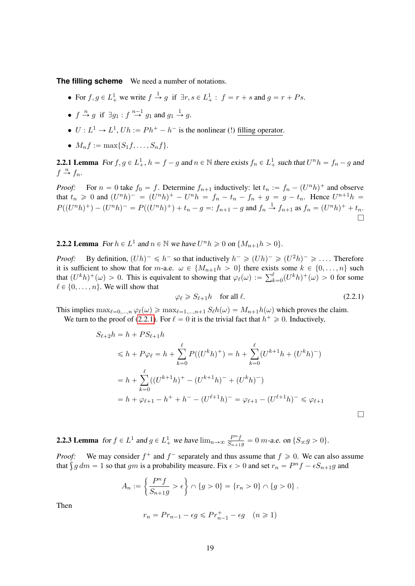**The filling scheme** We need a number of notations.

- For  $f, g \in L^1_+$  we write  $f \stackrel{1}{\rightarrow} g$  if  $\exists r, s \in L^1_+ : f = r + s$  and  $g = r + Ps$ .
- $f \stackrel{n}{\rightarrow} g$  if  $\exists g_1 : f \stackrel{n-1}{\rightarrow} g_1$  and  $g_1 \stackrel{1}{\rightarrow} g$ .
- $U: L^1 \to L^1$ ,  $Uh := Ph^+ h^-$  is the nonlinear (!) filling operator.
- $M_n f := \max\{S_1 f, \ldots, S_n f\}.$

<span id="page-18-3"></span>**2.2.1 Lemma** For  $f, g \in L^1_+$ ,  $h = f - g$  and  $n \in \mathbb{N}$  there exists  $f_n \in L^1_+$  such that  $U^n h = f_n - g$  and  $f \stackrel{n}{\rightarrow} f_n$ .

*Proof:* For  $n = 0$  take  $f_0 = f$ . Determine  $f_{n+1}$  inductively: let  $t_n := f_n - (U^n h)^+$  and observe that  $t_n \ge 0$  and  $(U^n h)^- = (U^n h)^+ - U^n h = f_n - t_n - f_n + g = g - t_n$ . Hence  $U^{n+1} h =$  $P((U^n h)^+) - (U^n h)^- = P((U^n h)^+) + t_n - g =: f_{n+1} - g$  and  $f_n \stackrel{1}{\rightarrow} f_{n+1}$  as  $f_n = (U^n h)^+ + t_n$ . l

<span id="page-18-2"></span>**2.2.2 Lemma** For  $h \in L^1$  and  $n \in \mathbb{N}$  we have  $U^n h \geq 0$  on  $\{M_{n+1}h > 0\}$ .

*Proof:* By definition,  $(Uh)^{-} \leq h^{-}$  so that inductively  $h^{-} \geq (Uh)^{-} \geq (U^2h)^{-} \geq \ldots$ . Therefore it is sufficient to show that for m-a.e.  $\omega \in \{M_{n+1}h > 0\}$  there exists some  $k \in \{0, \ldots, n\}$  such it is sufficient to show that for *m*-a.e.  $\omega \in \{M_{n+1}h > 0\}$  there exist<br>that  $(U^k h)^+(\omega) > 0$ . This is equivalent to showing that  $\varphi_\ell(\omega) := \sum_k^{\ell}$  $\frac{\ell}{k=0}(U^k h)^+(\omega) > 0$  for some  $\ell \in \{0, \ldots, n\}$ . We will show that

<span id="page-18-0"></span>
$$
\varphi_{\ell} \ge S_{\ell+1}h \quad \text{for all } \ell. \tag{2.2.1}
$$

This implies  $\max_{\ell=0,\dots,n} \varphi_{\ell}(\omega) \geq \max_{\ell=1,\dots,n+1} S_{\ell}h(\omega) = M_{n+1}h(\omega)$  which proves the claim. We turn to the proof of [\(2.2.1\)](#page-18-0). For  $\ell = 0$  it is the trivial fact that  $h^+ \geq 0$ . Inductively,

$$
S_{\ell+2}h = h + PS_{\ell+1}h
$$
  
\n
$$
\leq h + P\varphi_{\ell} = h + \sum_{k=0}^{\ell} P((U^{k}h)^{+}) = h + \sum_{k=0}^{\ell} (U^{k+1}h + (U^{k}h)^{-})
$$
  
\n
$$
= h + \sum_{k=0}^{\ell} ((U^{k+1}h)^{+} - (U^{k+1}h)^{-} + (U^{k}h)^{-})
$$
  
\n
$$
= h + \varphi_{\ell+1} - h^{+} + h^{-} - (U^{\ell+1}h)^{-} = \varphi_{\ell+1} - (U^{\ell+1}h)^{-} \leq \varphi_{\ell+1}
$$

<span id="page-18-1"></span>**2.2.3 Lemma** for  $f \in L^1$  and  $g \in L^1_+$  we have  $\lim_{n\to\infty} \frac{P^n f}{S_{n+1}g} = 0$  m-a.e. on  $\{S_\infty g > 0\}$ .

*Proof:* We may consider  $f^+$  and  $f^-$  separately and thus assume that  $f \ge 0$ . We can also assume *Proof:* We may consider  $f^+$  and  $f^-$  separately and thus assume that  $f \ge 0$ . We can also as that  $\int g dm = 1$  so that gm is a probability measure. Fix  $\epsilon > 0$  and set  $r_n = P^n f - \epsilon S_{n+1}g$  and

$$
A_n := \left\{ \frac{P^n f}{S_{n+1}g} > \epsilon \right\} \cap \{g > 0\} = \{r_n > 0\} \cap \{g > 0\}.
$$

Then

$$
r_n = Pr_{n-1} - \epsilon g \leqslant Pr_{n-1}^+ - \epsilon g \quad (n \geqslant 1)
$$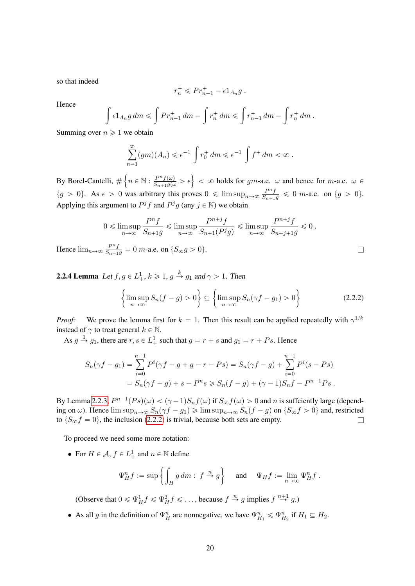so that indeed

Hence  $\lim_{n\to\infty}$ 

$$
r_n^+ \leqslant Pr_{n-1}^+ - \epsilon 1_{A_n} g.
$$

Hence

$$
\int \epsilon 1_{A_n} g dm \leqslant \int Pr_{n-1}^+ dm - \int r_n^+ dm \leqslant \int r_{n-1}^+ dm - \int r_n^+ dm.
$$

Summing over  $n \geq 1$  we obtain

$$
\sum_{n=1}^{\infty} (gm)(A_n) \leq \epsilon^{-1} \int r_0^+ dm \leq \epsilon^{-1} \int f^+ dm < \infty.
$$

By Borel-Cantelli, #  $n \in \mathbb{N} : \frac{P^n f(\omega)}{S_{n+1}g(\omega)} > \epsilon$  $< \infty$  holds for gm-a.e.  $\omega$  and hence for m-a.e.  $\omega \in$  $\{g > 0\}$ . As  $\epsilon > 0$  was arbitrary this proves  $0 \le \limsup_{n \to \infty} \frac{P^n f}{S_{n+1}g} \le 0$  m-a.e. on  $\{g > 0\}$ . Applying this argument to  $P^j f$  and  $P^j g$  (any  $j \in \mathbb{N}$ ) we obtain

$$
0 \le \limsup_{n \to \infty} \frac{P^n f}{S_{n+1}g} \le \limsup_{n \to \infty} \frac{P^{n+j} f}{S_{n+1}(P^j g)} \le \limsup_{n \to \infty} \frac{P^{n+j} f}{S_{n+j+1}g} \le 0.
$$
  

$$
\log \frac{P^n f}{S_{n+1}g} = 0 \text{ m-a.e. on } \{S_{\infty}g > 0\}.
$$

<span id="page-19-1"></span>**2.2.4 Lemma** Let  $f, g \in L^1_+, k \geq 1, g \stackrel{k}{\rightarrow} g_1$  and  $\gamma > 1$ . Then

<span id="page-19-0"></span>
$$
\left\{\limsup_{n\to\infty} S_n(f-g) > 0\right\} \subseteq \left\{\limsup_{n\to\infty} S_n(\gamma f-g_1) > 0\right\}
$$
\n(2.2.2)

*Proof:* We prove the lemma first for  $k = 1$ . Then this result can be applied repeatedly with  $\gamma^{1/k}$ instead of  $\gamma$  to treat general  $k \in \mathbb{N}$ .

As  $g \stackrel{1}{\rightarrow} g_1$ , there are  $r, s \in L^1_+$  such that  $g = r + s$  and  $g_1 = r + Ps$ . Hence

$$
S_n(\gamma f - g_1) = \sum_{i=0}^{n-1} P^i(\gamma f - g + g - r - Ps) = S_n(\gamma f - g) + \sum_{i=0}^{n-1} P^i(s - Ps)
$$
  
=  $S_n(\gamma f - g) + s - P^n s \ge S_n(f - g) + (\gamma - 1)S_n f - P^{n-1}Ps$ .

By Lemma [2.2.3,](#page-18-1)  $P^{n-1}(Ps)(\omega) < (\gamma - 1)S_nf(\omega)$  if  $S_{\infty}f(\omega) > 0$  and n is suffciently large (depending on  $\omega$ ). Hence  $\limsup_{n\to\infty} S_n(\gamma f - g_1) \geq \limsup_{n\to\infty} S_n(f - g)$  on  $\{S_{\infty} f > 0\}$  and, restricted to  $\{S_{\infty} f = 0\}$ , the inclusion [\(2.2.2\)](#page-19-0) is trivial, because both sets are empty.

To proceed we need some more notation:

• For  $H \in \mathcal{A}$ ,  $f \in L^1_+$  and  $n \in \mathbb{N}$  define

$$
\Psi_H^n f := \sup \left\{ \int_H g \, dm : f \stackrel{n}{\to} g \right\} \quad \text{ and } \quad \Psi_H f := \lim_{n \to \infty} \Psi_H^n f.
$$

(Observe that  $0 \le \Psi_H^1 f \le \Psi_H^2 f \le \dots$ , because  $f \stackrel{n}{\to} g$  implies  $f \stackrel{n+1}{\to} g$ .)

• As all g in the definition of  $\Psi_H^n$  are nonnegative, we have  $\Psi_{H_1}^n \le \Psi_{H_2}^n$  if  $H_1 \subseteq H_2$ .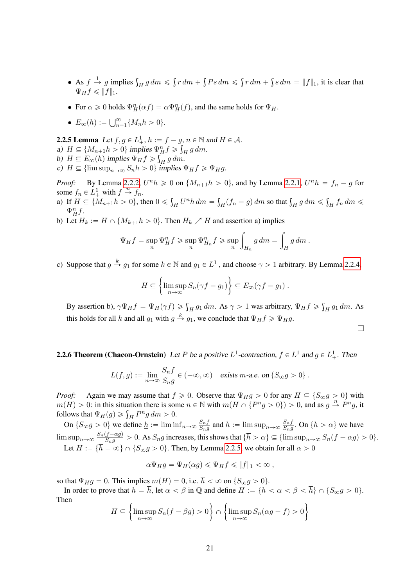- As  $f \stackrel{1}{\rightarrow} g$  implies  $\int_H g \, dm \leq$  $r dm +$  $Ps dm \leq$  $r dm +$  $s dm = ||f||_1$ , it is clear that  $\Psi_H f \leqslant ||f||_1.$
- For  $\alpha \geq 0$  holds  $\Psi_H^n(\alpha f) = \alpha \Psi_H^n(f)$ , and the same holds for  $\Psi_H$ .

• 
$$
E_{\infty}(h) := \bigcup_{n=1}^{\infty} \{M_n h > 0\}.
$$

<span id="page-20-0"></span>**2.2.5 Lemma** Let  $f, g \in L^1_+, h := f - g, n \in \mathbb{N}$  and  $H \in \mathcal{A}$ . a)  $H \subseteq \{M_{n+1}h > 0\}$  implies  $\Psi_{H}^{n} f \ge \int_{H} g \, dm$ . b)  $H \subseteq E_{\infty}(h)$  implies  $\Psi_H f \geq$  $\frac{1}{2}$  $H$  g dm. c)  $H \subseteq \{\limsup_{n \to \infty} S_n h > 0\}$  implies  $\Psi_H f \geq \Psi_H g$ .

*Proof:* By Lemma [2.2.2,](#page-18-2)  $U^n h \ge 0$  on  $\{M_{n+1}h > 0\}$ , and by Lemma [2.2.1,](#page-18-3)  $U^n h = f_n - g$  for some  $f_n \in L^1_+$  with  $f \stackrel{n}{\rightarrow} f_n$ .

- a) If  $H \subseteq \{M_{n+1}h > 0\}$ , then  $0 \leq$  $H^{Lm}h dm =$  $\int_H (f_n - g) dm$  so that  $\int_H g dm \leqslant$  $\int_H f_n \, dm \leqslant$  $\Psi_H^n f$ .
- b) Let  $H_k := H \cap \{M_{k+1}h > 0\}$ . Then  $H_k \nearrow H$  and assertion a) implies

$$
\Psi_H f = \sup_n \Psi_H^n f \ge \sup_n \Psi_{H_n}^n f \ge \sup_n \int_{H_n} g \, dm = \int_H g \, dm \, .
$$

c) Suppose that  $g \stackrel{k}{\rightarrow} g_1$  for some  $k \in \mathbb{N}$  and  $g_1 \in L^1_+$ , and choose  $\gamma > 1$  arbitrary. By Lemma [2.2.4,](#page-19-1)

$$
H \subseteq \left\{ \limsup_{n \to \infty} S_n(\gamma f - g_1) \right\} \subseteq E_{\infty}(\gamma f - g_1) .
$$

By assertion b),  $\gamma \Psi_H f = \Psi_H(\gamma f) \ge \int_H g_1 dm$ . As  $\gamma > 1$  was arbitrary,  $\Psi_H f \ge$  $H g_1 dm$ . As this holds for all k and all  $g_1$  with  $g \stackrel{k}{\rightarrow} g_1$ , we conclude that  $\Psi_H f \ge \Psi_H g$ .

 $\Box$ 

**2.2.6 Theorem (Chacon-Ornstein)** Let P be a positive  $L^1$ -contraction,  $f \in L^1$  and  $g \in L^1_+$ . Then

$$
L(f,g) := \lim_{n \to \infty} \frac{S_n f}{S_n g} \in (-\infty, \infty) \quad \text{exists } m \text{-a.e. on } \{S_{\infty} g > 0\}.
$$

*Proof:* Again we may assume that  $f \ge 0$ . Observe that  $\Psi_H g > 0$  for any  $H \subseteq \{S_{\infty} g > 0\}$  with  $m(H) > 0$ : in this situation there is some  $n \in \mathbb{N}$  with  $m(H \cap \{P^n g > 0\}) > 0$ , and as  $g \stackrel{n}{\rightarrow} P^n g$ , it  $m(H) > 0$ : in this situation there is sor<br>follows that  $\Psi_H(g) \geq \int_H P^n g \, dm > 0$ .

On  $\{S_{\infty}g > 0\}$  we define  $\underline{h} := \liminf_{n \to \infty} \frac{S_n f}{S_n g}$  $\frac{S_nf}{S_ng}$  and  $\overline{h} := \limsup_{n \to \infty} \frac{S_nf}{S_ng}$  $\frac{S_{n}j}{S_{n}g}$ . On  $\{h > \alpha\}$  we have  $\limsup_{n\to\infty}\frac{S_n(f-\alpha g)}{S_n g}$  $\frac{(J - \alpha g)}{S_n g} > 0$ . As  $S_n g$  increases, this shows that  $\{h > \alpha\} \subseteq {\{\limsup_{n \to \infty} S_n(f - \alpha g) > 0\}}$ . Let  $H := \{ h = \infty \} \cap \{ S_{\infty}g > 0 \}.$  Then, by Lemma [2.2.5,](#page-20-0) we obtain for all  $\alpha > 0$ 

$$
\alpha\Psi_H g = \Psi_H(\alpha g) \leqslant \Psi_H f \leqslant \|f\|_1 < \infty \;,
$$

so that  $\Psi_H g = 0$ . This implies  $m(H) = 0$ , i.e.  $\overline{h} < \infty$  on  $\{S_{\infty} g > 0\}$ .

In order to prove that  $h = \overline{h}$ , let  $\alpha < \beta$  in  $\mathbb Q$  and define  $H := \{ h < \alpha < \beta < \overline{h} \} \cap \{ S_{\infty} g > 0 \}.$ Then " \* " \*

$$
H \subseteq \left\{ \limsup_{n \to \infty} S_n(f - \beta g) > 0 \right\} \cap \left\{ \limsup_{n \to \infty} S_n(\alpha g - f) > 0 \right\}
$$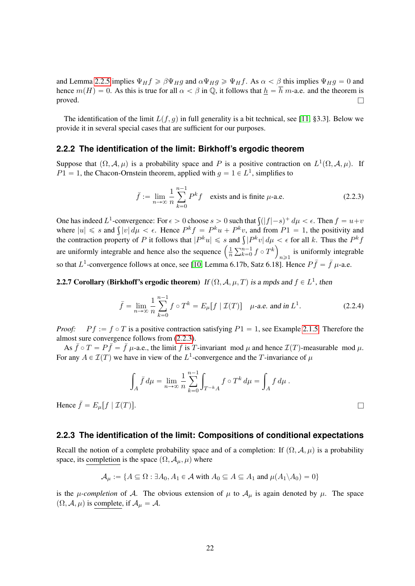and Lemma [2.2.5](#page-20-0) implies  $\Psi_H f \geq \beta \Psi_H g$  and  $\alpha \Psi_H g \geq \Psi_H f$ . As  $\alpha < \beta$  this implies  $\Psi_H g = 0$  and hence  $m(H) = 0$ . As this is true for all  $\alpha < \beta$  in  $\mathbb{Q}$ , it follows that  $h = \overline{h}$  m-a.e. and the theorem is proved.  $\Box$ 

The identification of the limit  $L(f, g)$  in full generality is a bit technical, see [\[11,](#page-64-4) §3.3]. Below we provide it in several special cases that are sufficient for our purposes.

## <span id="page-21-0"></span>**2.2.2 The identification of the limit: Birkhoff's ergodic theorem**

Suppose that  $(\Omega, \mathcal{A}, \mu)$  is a probability space and P is a positive contraction on  $L^1(\Omega, \mathcal{A}, \mu)$ . If  $P1 = 1$ , the Chacon-Ornstein theorem, applied with  $g = 1 \in L<sup>1</sup>$ , simplifies to

<span id="page-21-2"></span>
$$
\bar{f} := \lim_{n \to \infty} \frac{1}{n} \sum_{k=0}^{n-1} P^k f \quad \text{exists and is finite } \mu\text{-a.e.}
$$
 (2.2.3)

One has indeed  $L^1$ -convergence: For  $\epsilon > 0$  choose  $s > 0$  such that  $\int (|f| - s)^+ d\mu < \epsilon$ . Then  $f = u + v$ One has indeed  $L^2$ -convergence: For  $\epsilon > 0$  choose  $s > 0$  such that  $\int (|f| - s)^+ d\mu < \epsilon$ . Then  $f = u+v$  where  $|u| \leq s$  and  $\int |v| d\mu < \epsilon$ . Hence  $P^k f = P^k u + P^k v$ , and from  $P_1 = 1$ , the positivity and where  $|u| \leq s$  and  $\int |v| d\mu < \epsilon$ . Hence  $P^{\kappa} f = P^{\kappa} u + P^{\kappa} v$ , and from  $P1 = 1$ , the positivity and the contraction property of P it follows that  $|P^k u| \leq s$  and  $\int |P^k v| d\mu < \epsilon$  for all k. Thus the  $P^k f$ the contraction property of *P* it follows that  $|P^{\kappa}u| \leq s$  are uniformly integrable and hence also the sequence  $\left(\frac{1}{n}\right)$ n  $\frac{1}{\sqrt{n-1}}$  $_{k=0}^{n-1}$   $f \circ T^k$ is uniformly integrable<br> $n \geq 1$ so that  $L^1$ -convergence follows at once, see [\[10,](#page-64-1) Lemma 6.17b, Satz 6.18]. Hence  $P\bar{f} = \bar{f} \mu$ -a.e.

**2.2.7 Corollary (Birkhoff's ergodic theorem)** If  $(\Omega, \mathcal{A}, \mu, T)$  is a mpds and  $f \in L^1$ , then

$$
\bar{f} = \lim_{n \to \infty} \frac{1}{n} \sum_{k=0}^{n-1} f \circ T^k = E_{\mu}[f | \mathcal{I}(T)] \quad \mu\text{-a.e. and in } L^1.
$$
 (2.2.4)

*Proof:*  $P f := f \circ T$  is a positive contraction satisfying  $P1 = 1$ , see Example [2.1.5.](#page-12-4) Therefore the almost sure convergence follows from [\(2.2.3\)](#page-21-2).

As  $\bar{f} \circ T = P\bar{f} = \bar{f} \mu$ -a.e., the limit  $\bar{f}$  is T-invariant mod  $\mu$  and hence  $\mathcal{I}(T)$ -measurable mod  $\mu$ . For any  $A \in \mathcal{I}(T)$  we have in view of the  $L^1$ -convergence and the T-invariance of  $\mu$ 

$$
\int_A \bar{f} d\mu = \lim_{n \to \infty} \frac{1}{n} \sum_{k=0}^{n-1} \int_{T^{-k}A} f \circ T^k d\mu = \int_A f d\mu.
$$

Hence  $\bar{f} = E_{\mu} [f | \mathcal{I}(T)].$ 

#### <span id="page-21-1"></span>**2.2.3 The identification of the limit: Compositions of conditional expectations**

Recall the notion of a complete probability space and of a completion: If  $(\Omega, \mathcal{A}, \mu)$  is a probability space, its completion is the space  $(\Omega, \mathcal{A}_{\mu}, \mu)$  where

$$
\mathcal{A}_{\mu} := \{ A \subseteq \Omega : \exists A_0, A_1 \in \mathcal{A} \text{ with } A_0 \subseteq A \subseteq A_1 \text{ and } \mu(A_1 \backslash A_0) = 0 \}
$$

is the  $\mu$ -completion of A. The obvious extension of  $\mu$  to  $\mathcal{A}_{\mu}$  is again denoted by  $\mu$ . The space  $(\Omega, \mathcal{A}, \mu)$  is complete, if  $\mathcal{A}_{\mu} = \mathcal{A}$ .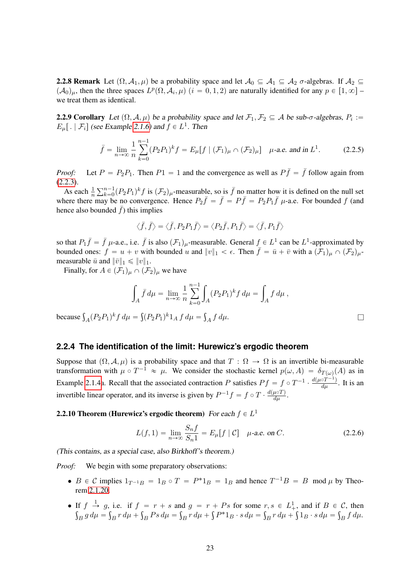**2.2.8 Remark** Let  $(\Omega, \mathcal{A}_1, \mu)$  be a probability space and let  $\mathcal{A}_0 \subseteq \mathcal{A}_1 \subseteq \mathcal{A}_2$   $\sigma$ -algebras. If  $\mathcal{A}_2 \subseteq$  $(\mathcal{A}_0)_\mu$ , then the three spaces  $L^p(\Omega, \mathcal{A}_i, \mu)$   $(i = 0, 1, 2)$  are naturally identified for any  $p \in [1, \infty]$ we treat them as identical.

<span id="page-22-1"></span>**2.2.9 Corollary** Let  $(\Omega, \mathcal{A}, \mu)$  be a probability space and let  $\mathcal{F}_1, \mathcal{F}_2 \subseteq \mathcal{A}$  be sub- $\sigma$ -algebras,  $P_i :=$  $E_{\mu}$ [. |  $\mathcal{F}_{i}$ ] (see Example [2.1.6\)](#page-12-0) and  $f \in L^{1}$ . Then

$$
\bar{f} = \lim_{n \to \infty} \frac{1}{n} \sum_{k=0}^{n-1} (P_2 P_1)^k f = E_{\mu} [f \mid (\mathcal{F}_1)_{\mu} \cap (\mathcal{F}_2)_{\mu}] \quad \mu\text{-a.e. and in } L^1.
$$
 (2.2.5)

*Proof:* Let  $P = P_2P_1$ . Then  $P_1 = 1$  and the convergence as well as  $P\bar{f} = \bar{f}$  follow again from  $(2.2.3).$  $(2.2.3).$  $\sum_{n=1}$ 

As each  $\frac{1}{n}$  $_{k=0}^{n-1}(P_2P_1)^k f$  is  $(\mathcal{F}_2)_\mu$ -measurable, so is  $\bar{f}$  no matter how it is defined on the null set where there may be no convergence. Hence  $P_2 \bar{f} = \bar{f} = P \bar{f} = P_2 P_1 \bar{f}$   $\mu$ -a.e. For bounded f (and hence also bounded  $\bar{f}$ ) this implies

$$
\big<\bar{f},\bar{f}\big> = \big<\bar{f}, P_2P_1\bar{f}\big> = \big< P_2\bar{f}, P_1\bar{f}\big> = \big<\bar{f}, P_1\bar{f}\big>
$$

so that  $P_1 \bar{f} = \bar{f}$   $\mu$ -a.e., i.e.  $\bar{f}$  is also  $(\mathcal{F}_1)_{\mu}$ -measurable. General  $f \in L^1$  can be  $L^1$ -approximated by bounded ones:  $f = u + v$  with bounded u and  $||v||_1 < \epsilon$ . Then  $\overline{f} = \overline{u} + \overline{v}$  with a  $(\mathcal{F}_1)_\mu \cap (\mathcal{F}_2)_\mu$ measurable  $\bar{u}$  and  $\|\bar{v}\|_1 \leqslant \|v\|_1$ .

Finally, for  $A \in (\mathcal{F}_1)_\mu \cap (\mathcal{F}_2)_\mu$  we have

$$
\int_A \bar{f} \, d\mu = \lim_{n \to \infty} \frac{1}{n} \sum_{k=0}^{n-1} \int_A (P_2 P_1)^k f \, d\mu = \int_A f \, d\mu \,,
$$

because  $\int_A (P_2 P_1)^k f d\mu =$  $(P_2P_1)^k1_A f d\mu =$  $A f d\mu.$ 

# <span id="page-22-0"></span>**2.2.4 The identification of the limit: Hurewicz's ergodic theorem**

Suppose that  $(\Omega, \mathcal{A}, \mu)$  is a probability space and that  $T : \Omega \to \Omega$  is an invertible bi-measurable transformation with  $\mu \circ T^{-1} \approx \mu$ . We consider the stochastic kernel  $p(\omega, A) = \delta_{T(\omega)}(A)$  as in Example [2.1.4a](#page-12-3). Recall that the associated contraction P satisfies  $Pf = f \circ T^{-1} \cdot \frac{d(\mu \circ T^{-1})}{d\mu}$ . It is an invertible linear operator, and its inverse is given by  $P^{-1}f = f \circ T \cdot \frac{d(\mu \circ T)}{d\mu}$ .

# **2.2.10 Theorem (Hurewicz's ergodic theorem)** For each  $f \in L^1$

$$
L(f, 1) = \lim_{n \to \infty} \frac{S_n f}{S_n 1} = E_{\mu}[f | \mathcal{C}] \quad \mu\text{-a.e. on } C.
$$
 (2.2.6)

(This contains, as a special case, also Birkhoff's theorem.)

*Proof:* We begin with some preparatory observations:

- $B \in \mathcal{C}$  implies  $1_{T^{-1}B} = 1_B \circ T = P^* 1_B = 1_B$  and hence  $T^{-1}B = B \mod \mu$  by Theorem [2.1.20.](#page-16-0)
- If  $f \to g$ , i.e. if  $f = r + s$  and  $g = r + Ps$  for some  $r, s \in L^1_+$ , and if  $B \in \mathcal{C}$ , then  $B$  g  $d\mu =$  $\ddot{\phantom{0}}$  $B r d\mu +$  $B$   $Ps d\mu =$  $\mathbf{r}$  $B r d\mu +$ ş  $P^*1_B \cdot s d\mu =$  $\boldsymbol{\eta}$  $B r d\mu +$  $\cdot$ ,  $1_B \cdot s d\mu =$  $\int_B f d\mu.$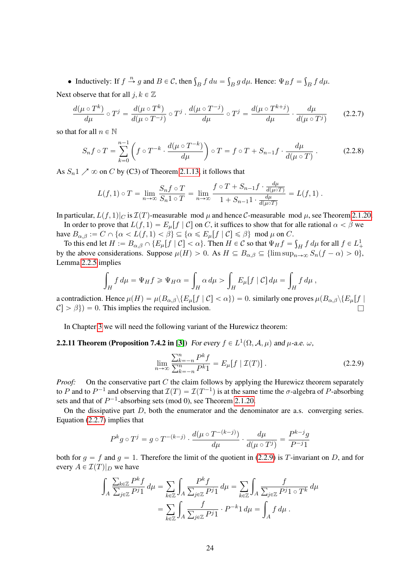• Inductively: If  $f \stackrel{n}{\rightarrow} g$  and  $B \in \mathcal{C}$ , then  $\int_B f du =$  $\mathcal{L}_B g d\mu$ . Hence:  $\Psi_B f =$  $\int_B f d\mu.$ 

Next observe that for all  $j, k \in \mathbb{Z}$ 

<span id="page-23-0"></span>
$$
\frac{d(\mu \circ T^k)}{d\mu} \circ T^j = \frac{d(\mu \circ T^k)}{d(\mu \circ T^{-j})} \circ T^j \cdot \frac{d(\mu \circ T^{-j})}{d\mu} \circ T^j = \frac{d(\mu \circ T^{k+j})}{d\mu} \cdot \frac{d\mu}{d(\mu \circ T^j)} \tag{2.2.7}
$$

so that for all  $n \in \mathbb{N}$ 

$$
S_n f \circ T = \sum_{k=0}^{n-1} \left( f \circ T^{-k} \cdot \frac{d(\mu \circ T^{-k})}{d\mu} \right) \circ T = f \circ T + S_{n-1} f \cdot \frac{d\mu}{d(\mu \circ T)}.
$$
 (2.2.8)

As  $S_n$ 1  $\nearrow$   $\infty$  on C by (C3) of Theorem [2.1.13,](#page-14-2) it follows that

$$
L(f,1) \circ T = \lim_{n \to \infty} \frac{S_n f \circ T}{S_n 1 \circ T} = \lim_{n \to \infty} \frac{f \circ T + S_{n-1} f \cdot \frac{d\mu}{d(\mu \circ T)}}{1 + S_{n-1} 1 \cdot \frac{d\mu}{d(\mu \circ T)}} = L(f,1) .
$$

In particular,  $L(f, 1)|_C$  is  $\mathcal{I}(T)$ -measurable mod  $\mu$  and hence C-measurable mod  $\mu$ , see Theorem [2.1.20.](#page-16-0)

In order to prove that  $L(f, 1) = E_{\mu}[f | C]$  on C, it suffices to show that for alle rational  $\alpha < \beta$  we have  $B_{\alpha,\beta} := C \cap \{ \alpha < L(f,1) < \beta \} \subseteq \{ \alpha \le E_{\mu}[f \mid C] \le \beta \} \mod \mu \text{ on } C.$ 

To this end let  $H := B_{\alpha,\beta} \cap \{E_\mu[f \mid C] < \alpha\}$ . Then  $H \in \mathcal{C}$  so that  $\Psi_H f = \int_H f d\mu$  for all  $f \in L^1_+$ by the above considerations. Suppose  $\mu(H) > 0$ . As  $H \subseteq B_{\alpha,\beta} \subseteq {\limsup}_{n \to \infty} S_n(f - \alpha) > 0$ , Lemma [2.2.5](#page-20-0) implies ż

$$
\int_H f d\mu = \Psi_H f \ge \Psi_H \alpha = \int_H \alpha d\mu > \int_H E_\mu[f \mid C] d\mu = \int_H f d\mu,
$$

a contradiction. Hence  $\mu(H) = \mu(B_{\alpha,\beta})\{E_\mu[f \mid C] < \alpha\} = 0$ . similarly one proves  $\mu(B_{\alpha,\beta})\{E_\mu[f \mid C] < \alpha\}$  $\mathcal{C}$   $>$   $\beta$ } = 0. This implies the required inclusion.

In Chapter [3](#page-25-0) we will need the following variant of the Hurewicz theorem:

# <span id="page-23-2"></span>**2.2.11 Theorem (Proposition 7.4.2 in [\[3\]](#page-64-5))** For every  $f \in L^1(\Omega, \mathcal{A}, \mu)$  and  $\mu$ -a.e.  $\omega$ ,

<span id="page-23-1"></span>
$$
\lim_{n \to \infty} \frac{\sum_{k=-n}^{n} P^{k} f}{\sum_{k=-n}^{n} P^{k} 1} = E_{\mu}[f | \mathcal{I}(T)].
$$
\n(2.2.9)

*Proof:* On the conservative part C the claim follows by applying the Hurewicz theorem separately to P and to  $P^{-1}$  and observing that  $\mathcal{I}(T) = \mathcal{I}(T^{-1})$  is at the same time the  $\sigma$ -algebra of P-absorbing sets and that of  $P^{-1}$ -absorbing sets (mod 0), see Theorem [2.1.20.](#page-16-0)

On the dissipative part  $D$ , both the enumerator and the denominator are a.s. converging series. Equation [\(2.2.7\)](#page-23-0) implies that

$$
P^k g \circ T^j = g \circ T^{-(k-j)} \cdot \frac{d(\mu \circ T^{-(k-j)})}{d\mu} \cdot \frac{d\mu}{d(\mu \circ T^j)} = \frac{P^{k-j} g}{P^{-j} 1}
$$

both for  $g = f$  and  $g = 1$ . Therefore the limit of the quotient in [\(2.2.9\)](#page-23-1) is T-invariant on D, and for every  $A \in \mathcal{I}(T)|_D$  we have

$$
\int_A \frac{\sum_{k \in \mathbb{Z}} P^k f}{\sum_{j \in \mathbb{Z}} P^j 1} d\mu = \sum_{k \in \mathbb{Z}} \int_A \frac{P^k f}{\sum_{j \in \mathbb{Z}} P^j 1} d\mu = \sum_{k \in \mathbb{Z}} \int_A \frac{f}{\sum_{j \in \mathbb{Z}} P^j 1 \circ T^k} d\mu
$$

$$
= \sum_{k \in \mathbb{Z}} \int_A \frac{f}{\sum_{j \in \mathbb{Z}} P^j 1} \cdot P^{-k} 1 d\mu = \int_A f d\mu.
$$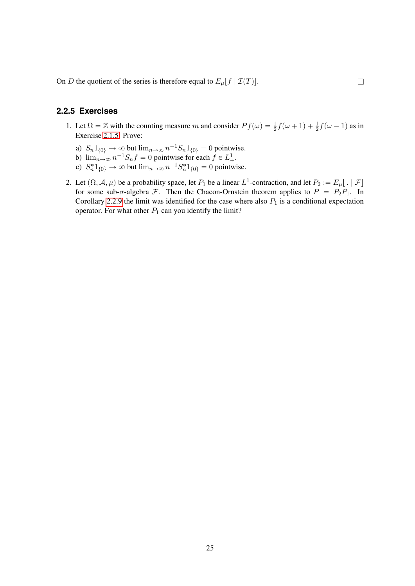On D the quotient of the series is therefore equal to  $E_{\mu}[f | \mathcal{I}(T)]$ .

# <span id="page-24-0"></span>**2.2.5 Exercises**

- 1. Let  $\Omega = \mathbb{Z}$  with the counting measure m and consider  $Pf(\omega) = \frac{1}{2}f(\omega + 1) + \frac{1}{2}f(\omega 1)$  as in Exercise [2.1.5.](#page-17-3) Prove:
	- a)  $S_n 1_{\{0\}} \to \infty$  but  $\lim_{n \to \infty} n^{-1} S_n 1_{\{0\}} = 0$  pointwise.
	- b)  $\lim_{n\to\infty} n^{-1}S_nf = 0$  pointwise for each  $f \in L^1_+$ .
	- c)  $S_n^* 1_{\{0\}} \to \infty$  but  $\lim_{n \to \infty} n^{-1} S_n^* 1_{\{0\}} = 0$  pointwise.
- 2. Let  $(\Omega, \mathcal{A}, \mu)$  be a probability space, let  $P_1$  be a linear  $L^1$ -contraction, and let  $P_2 := E_\mu[ . | \mathcal{F}]$ for some sub- $\sigma$ -algebra F. Then the Chacon-Ornstein theorem applies to  $P = P_2P_1$ . In Corollary [2.2.9](#page-22-1) the limit was identified for the case where also  $P_1$  is a conditional expectation operator. For what other  $P_1$  can you identify the limit?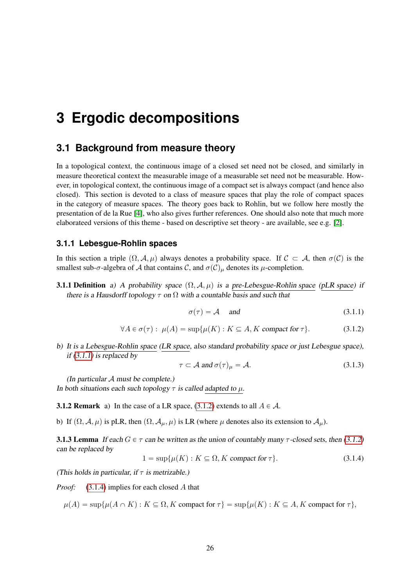# <span id="page-25-0"></span>**3 Ergodic decompositions**

# <span id="page-25-1"></span>**3.1 Background from measure theory**

In a topological context, the continuous image of a closed set need not be closed, and similarly in measure theoretical context the measurable image of a measurable set need not be measurable. However, in topological context, the continuous image of a compact set is always compact (and hence also closed). This section is devoted to a class of measure spaces that play the role of compact spaces in the category of measure spaces. The theory goes back to Rohlin, but we follow here mostly the presentation of de la Rue [\[4\]](#page-64-6), who also gives further references. One should also note that much more elaborateed versions of this theme - based on descriptive set theory - are available, see e.g. [\[2\]](#page-64-7).

## <span id="page-25-2"></span>**3.1.1 Lebesgue-Rohlin spaces**

In this section a triple  $(\Omega, \mathcal{A}, \mu)$  always denotes a probability space. If  $\mathcal{C} \subset \mathcal{A}$ , then  $\sigma(\mathcal{C})$  is the smallest sub- $\sigma$ -algebra of A that contains C, and  $\sigma(C)_{\mu}$  denotes its  $\mu$ -completion.

**3.1.1 Definition** a) A probability space  $(\Omega, \mathcal{A}, \mu)$  is a pre-Lebesgue-Rohlin space (pLR space) if there is a Hausdorff topology  $\tau$  on  $\Omega$  with a countable basis and such that

<span id="page-25-3"></span>
$$
\sigma(\tau) = \mathcal{A} \quad \text{and} \tag{3.1.1}
$$

<span id="page-25-4"></span>
$$
\forall A \in \sigma(\tau): \ \mu(A) = \sup \{ \mu(K) : K \subseteq A, K \text{ compact for } \tau \}. \tag{3.1.2}
$$

b) It is a Lebesgue-Rohlin space (LR space, also standard probability space or just Lebesgue space), if  $(3.1.1)$  is replaced by

<span id="page-25-7"></span>
$$
\tau \subset \mathcal{A} \text{ and } \sigma(\tau)_{\mu} = \mathcal{A}. \tag{3.1.3}
$$

(In particular  $A$  must be complete.) In both situations each such topology  $\tau$  is called adapted to  $\mu$ .

<span id="page-25-8"></span>**3.1.2 Remark** a) In the case of a LR space, [\(3.1.2\)](#page-25-4) extends to all  $A \in \mathcal{A}$ .

<span id="page-25-9"></span>b) If  $(\Omega, \mathcal{A}, \mu)$  is pLR, then  $(\Omega, \mathcal{A}_{\mu}, \mu)$  is LR (where  $\mu$  denotes also its extension to  $\mathcal{A}_{\mu}$ ).

<span id="page-25-6"></span>**3.1.3 Lemma** If each  $G \in \tau$  can be written as the union of countably many  $\tau$ -closed sets, then [\(3.1.2\)](#page-25-4) can be replaced by

<span id="page-25-5"></span> $1 = \sup\{\mu(K) : K \subseteq \Omega, K \text{ compact for } \tau\}.$  (3.1.4)

(This holds in particular, if  $\tau$  is metrizable.)

*Proof:* [\(3.1.4\)](#page-25-5) implies for each closed A that

 $\mu(A) = \sup \{ \mu(A \cap K) : K \subseteq \Omega, K \text{ compact for } \tau \} = \sup \{ \mu(K) : K \subseteq A, K \text{ compact for } \tau \},$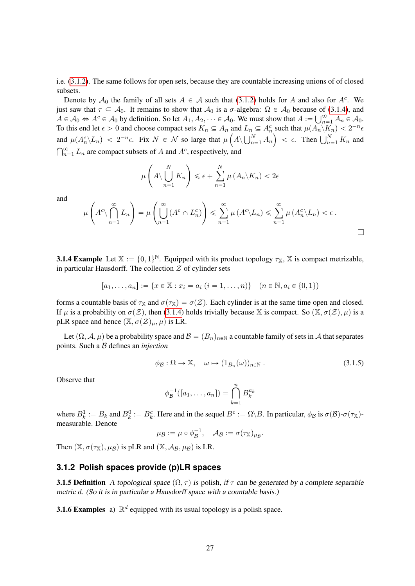i.e. [\(3.1.2\)](#page-25-4). The same follows for open sets, because they are countable increasing unions of of closed subsets.

Denote by  $A_0$  the family of all sets  $A \in \mathcal{A}$  such that [\(3.1.2\)](#page-25-4) holds for A and also for  $A^c$ . We just saw that  $\tau \subseteq A_0$ . It remains to show that  $A_0$  is a  $\sigma$ -algebra:  $\Omega \in A_0$  because of [\(3.1.4\)](#page-25-5), and  $A \in A_0 \Leftrightarrow A^c \in A_0$  by definition. So let  $A_1$ ,  $A_2$ ,  $\ldots \in A_0$ . We must show that  $A := |\begin{bmatrix} \infty & A \end{bmatrix}|^{\alpha}$  $A \in \mathcal{A}_0 \Leftrightarrow A^c \in \mathcal{A}_0$  by definition. So let  $A_1, A_2, \dots \in \mathcal{A}_0$ . We must show that  $A := \bigcup_{n=1}^{\infty} A_n \in \mathcal{A}_0$ . To this end let  $\epsilon > 0$  and choose compact sets  $K_n \subseteq A_n$  and  $L_n \subseteq A_n^c$  such that  $\mu(A_n \setminus K_n) < 2^{-n} \epsilon$ and  $\mu(A_n^c \backslash L_n) < 2^{-n} \epsilon$ . Fix  $N \in \mathcal{N}$  so large that  $\mu$ ´  $A \setminus \bigcup_n^N$  $n_{n=1}^{N} A_n$ To this end let  $\epsilon > 0$  and choose compact sets  $K_n \subseteq A_n$  and  $L_n \subseteq A_n^c$  such that  $\mu(A_n \setminus K_n) < 2^{-n} \epsilon$ .<br>and  $\mu(A_n^c \setminus L_n) < 2^{-n} \epsilon$ . Fix  $N \in \mathcal{N}$  so large that  $\mu\left(A \setminus \bigcup_{n=1}^N A_n\right) < \epsilon$ . Then  $\bigcup_{n=1}^N K_n$  and  $\bigcap_{$  $\sum_{n=1}^{\infty} L_n$  are compact subsets of A and A<sup>c</sup>, respectively, and

$$
\mu\left(A\setminus\bigcup_{n=1}^N K_n\right)\leqslant\epsilon+\sum_{n=1}^N\mu\left(A_n\setminus K_n\right)<2\epsilon
$$

and

$$
\mu\left(A^c \setminus \bigcap_{n=1}^{\infty} L_n\right) = \mu\left(\bigcup_{n=1}^{\infty} (A^c \cap L_n^c)\right) \leq \sum_{n=1}^{\infty} \mu\left(A^c \setminus L_n\right) \leq \sum_{n=1}^{\infty} \mu\left(A_n^c \setminus L_n\right) < \epsilon.
$$

**3.1.4 Example** Let  $X := \{0, 1\}^{\mathbb{N}}$ . Equipped with its product topology  $\tau_X$ , X is compact metrizable, in particular Hausdorff. The collection  $Z$  of cylinder sets

$$
[a_1, \ldots, a_n] := \{ x \in \mathbb{X} : x_i = a_i \ (i = 1, \ldots, n) \} \quad (n \in \mathbb{N}, a_i \in \{0, 1\})
$$

forms a countable basis of  $\tau_X$  and  $\sigma(\tau_X) = \sigma(Z)$ . Each cylinder is at the same time open and closed. If  $\mu$  is a probability on  $\sigma(\mathcal{Z})$ , then [\(3.1.4\)](#page-25-5) holds trivially because X is compact. So  $(\mathbb{X}, \sigma(\mathcal{Z}), \mu)$  is a pLR space and hence  $(\mathbb{X}, \sigma(\mathcal{Z})_{\mu}, \mu)$  is LR.

Let  $(\Omega, \mathcal{A}, \mu)$  be a probability space and  $\mathcal{B} = (B_n)_{n \in \mathbb{N}}$  a countable family of sets in A that separates points. Such a B defines an *injection*

<span id="page-26-2"></span>
$$
\phi_{\mathcal{B}} : \Omega \to \mathbb{X}, \quad \omega \mapsto (1_{B_n}(\omega))_{n \in \mathbb{N}} . \tag{3.1.5}
$$

Observe that

$$
\phi_B^{-1}([a_1,\ldots,a_n]) = \bigcap_{k=1}^n B_k^{a_k}
$$

where  $B_k^1 := B_k$  and  $B_k^0 := B_k^c$ . Here and in the sequel  $B^c := \Omega \backslash B$ . In particular,  $\phi_B$  is  $\sigma(B)$ - $\sigma(\tau_X)$ measurable. Denote

$$
\mu_{\mathcal{B}} := \mu \circ \phi_{\mathcal{B}}^{-1}, \quad \mathcal{A}_{\mathcal{B}} := \sigma(\tau_{\mathbb{X}})_{\mu_{\mathcal{B}}}.
$$

Then  $(X, \sigma(\tau_X), \mu_B)$  is pLR and  $(X, \mathcal{A}_B, \mu_B)$  is LR.

### <span id="page-26-0"></span>**3.1.2 Polish spaces provide (p)LR spaces**

**3.1.5 Definition** A topological space  $(\Omega, \tau)$  is polish, if  $\tau$  can be generated by a complete separable metric d. (So it is in particular a Hausdorff space with a countable basis.)

<span id="page-26-1"></span>**3.1.6 Examples** a)  $\mathbb{R}^d$  equipped with its usual topology is a polish space.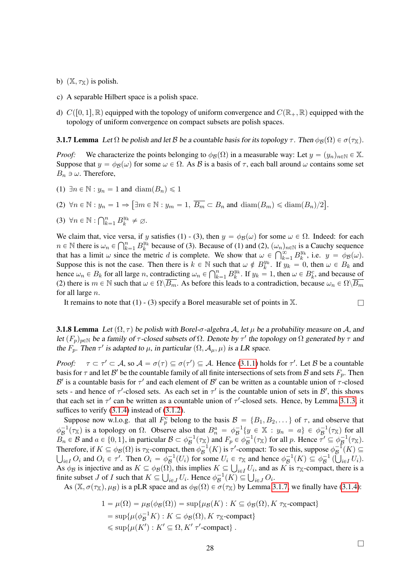- b)  $(X, \tau_X)$  is polish.
- c) A separable Hilbert space is a polish space.
- d)  $C([0, 1], \mathbb{R})$  equipped with the topology of uniform convergence and  $C(\mathbb{R}_+, \mathbb{R})$  equipped with the topology of uniform convergence on compact subsets are polish spaces.

<span id="page-27-0"></span>**3.1.7 Lemma** Let  $\Omega$  be polish and let B be a countable basis for its topology  $\tau$ . Then  $\phi_B(\Omega) \in \sigma(\tau_X)$ .

*Proof:* We characterize the points belonging to  $\phi_B(\Omega)$  in a measurable way: Let  $y = (y_n)_{n \in \mathbb{N}} \in \mathbb{X}$ . Suppose that  $y = \phi_B(\omega)$  for some  $\omega \in \Omega$ . As B is a basis of  $\tau$ , each ball around  $\omega$  contains some set  $B_n \ni \omega$ . Therefore,

(1)  $\exists n \in \mathbb{N} : y_n = 1$  and  $\text{diam}(B_n) \leq 1$ 

(2) 
$$
\forall n \in \mathbb{N}: y_n = 1 \Rightarrow [\exists m \in \mathbb{N}: y_m = 1, \overline{B_m} \subset B_n \text{ and } \text{diam}(B_m) \leq \text{diam}(B_n)/2].
$$

$$
(3) \ \forall n \in \mathbb{N} : \bigcap_{k=1}^n B_k^{y_k} \neq \emptyset.
$$

We claim that, vice versa, if y satisfies (1) - (3), then  $y = \phi_B(\omega)$  for some  $\omega \in \Omega$ . Indeed: for each  $n \in \mathbb{N}$  there is  $\omega \in \Omega^n$ .  $\mathbb{R}^{y_k}$  because of (3). Because of (1) and (2)  $(\omega)$  as is a Cauchy socurrence  $n \in \mathbb{N}$  there is  $\omega_n \in \bigcap_{k=1}^n B_k^{y_k}$  because of (3). Because of (1) and (2),  $(\omega_n)_{n \in \mathbb{N}}$  is a Cauchy sequence<br>that has a limit  $\omega$  since the metric d is complete. We show that  $\omega \in \bigcap_{k=1}^{\infty} B_{k}^{y_k}$  i.e that has a limit  $\omega$  since the metric d is complete. We show that  $\omega \in \bigcap_{k=1}^{\infty} B_k^{y_k}$ , i.e.  $y = \phi_B(\omega)$ . Suppose this is not the case. Then there is  $k \in \mathbb{N}$  such that  $\omega \notin B_k^{y_k}$ . If  $y_k = 0$ , then  $\omega \in B_k$  and hence  $\omega \in B_k$  for all large  $x_k$  controllecting  $\omega \in \Omega^n$ .  $D_{k}^{y_k}$  if  $\omega = 1$ , then  $\omega \in B_k^c$  and hence a hence  $\omega_n \in B_k$  for all large n, contradicting  $\omega_n \in \bigcap_{k=1}^n B_k^{y_k}$ . If  $y_k = 1$ , then  $\omega \in B_k^c$ , and because of (2) there is  $m \in \mathbb{N}$  such that  $\omega \in \Omega\setminus\overline{B_m}$ . As before this leads to a contradiction, because  $\omega_n \in \Omega\setminus\overline{B_m}$ for all large  $n$ .

It remains to note that  $(1)$  -  $(3)$  specify a Borel measurable set of points in  $\mathbb{X}$ .

<span id="page-27-1"></span>**3.1.8 Lemma** Let  $(\Omega, \tau)$  be polish with Borel- $\sigma$ -algebra A, let  $\mu$  be a probability measure on A, and let  $(F_p)_{p \in \mathbb{N}}$  be a family of  $\tau$ -closed subsets of  $\Omega$ . Denote by  $\tau'$  the topology on  $\Omega$  generated by  $\tau$  and the  $F_p$ . Then  $\tau'$  is adapted to  $\mu$ , in particular  $(\Omega, \mathcal{A}_{\mu}, \mu)$  is a LR space.

*Proof:*  $\tau \subset \tau' \subset A$ , so  $\mathcal{A} = \sigma(\tau) \subseteq \sigma(\tau') \subseteq \mathcal{A}$ . Hence [\(3.1.1\)](#page-25-3) holds for  $\tau'$ . Let B be a countable basis for  $\tau$  and let  $\mathcal{B}'$  be the countable family of all finite intersections of sets from  $\mathcal B$  and sets  $F_p$ . Then B' is a countable basis for  $\tau'$  and each element of B' can be written as a countable union of  $\tau$ -closed sets - and hence of  $\tau'$ -closed sets. As each set in  $\tau'$  is the countable union of sets in  $\mathcal{B}'$ , this shows that each set in  $\tau'$  can be written as a countable union of  $\tau'$ -closed sets. Hence, by Lemma [3.1.3,](#page-25-6) it suffices to verify  $(3.1.4)$  instead of  $(3.1.2)$ .

Suppose now w.l.o.g. that all  $F_p^c$  belong to the basis  $\mathcal{B} = \{B_1, B_2, ...\}$  of  $\tau$ , and observe that  $\phi_B^{-1}(\tau_X)$  is a topology on  $\Omega$ . Observe also that  $B_n^a = \phi_B^{-1}\{y \in X : y_n = a\} \in \phi_B^{-1}(\tau_X)$  for all  $\widetilde{B_n} \in \mathcal{B}$  and  $a \in \{0, 1\}$ , in particular  $\mathcal{B} \subset \phi^{-1}_{\mathcal{B}}(\tau_{\mathbb{X}})$  and  $F_p \in \phi^{-1}_{\mathcal{B}}(\tau_{\mathbb{X}})$  for all p. Hence  $\widetilde{\tau'} \subseteq \phi^{-1}_{\mathcal{B}}(\tau_{\mathbb{X}})$ . Therefore, if  $K \subseteq \phi_B(\Omega)$  is  $\tau_X$ -compact, then  $\phi_B^{-1}(K)$  is  $\tau'$ -compact: To see this, suppose  $\phi_B^{-1}(K) \subseteq$  $i\in I$  O<sub>i</sub> and  $O_i \in \tau'$ . Then  $O_i = \phi_B^{-1}(U_i)$  for some  $U_i \in \tau_{\mathbb{X}}$  and hence  $\phi_B^{-1}(K) \subseteq \phi_B^{-1}(K)$  $\mathcal{B}$  $\in \tau_{\mathbb{X}}$  and hence  $\phi_{\mathcal{B}}^{-1}(K) \subseteq \phi_{\mathcal{B}}^{-1}(\bigcup_{i \in I} U_i).$ As  $\phi_B$  is injective and as  $K \subseteq \phi_B(\Omega)$ , this implies  $K \subseteq \bigcup_{i \in I} U_i$ , and as K is  $\tau_X$ -compact, there is a As  $\phi_B$  is injective and as  $K \subseteq \phi_B(\Omega)$ , this implies  $K \subseteq \bigcup_{i \in I} U_i$ , and a finite subset J of I such that  $K \subseteq \bigcup_{i \in J} U_i$ . Hence  $\phi_B^{-1}(K) \subseteq \bigcup_{i \in J} O_i$ .

As  $(\mathbb{X}, \sigma(\tau_{\mathbb{X}}), \mu_{\mathcal{B}})$  is a pLR space and as  $\phi_{\mathcal{B}}(\Omega) \in \sigma(\tau_{\mathbb{X}})$  by Lemma [3.1.7,](#page-27-0) we finally have [\(3.1.4\)](#page-25-5):

$$
1 = \mu(\Omega) = \mu(\phi(\Omega)) = \sup\{\mu(\Omega): K \subseteq \phi(\Omega), K \tau_{\mathbb{X}}\text{-compact}\}
$$
  
= 
$$
\sup\{\mu(\phi_B^{-1}K) : K \subseteq \phi(\Omega), K \tau_{\mathbb{X}}\text{-compact}\}
$$
  
\$\leq \sup\{\mu(K') : K' \subseteq \Omega, K' \tau'\text{-compact}\}\$.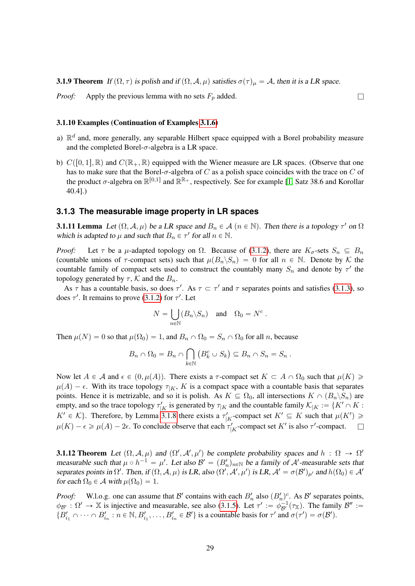**3.1.9 Theorem** If  $(\Omega, \tau)$  is polish and if  $(\Omega, \mathcal{A}, \mu)$  satisfies  $\sigma(\tau)_{\mu} = \mathcal{A}$ , then it is a LR space.

*Proof:* Apply the previous lemma with no sets  $F_p$  added.  $\square$ 

#### 3.1.10 Examples (Continuation of Examples [3.1.6\)](#page-26-1)

- a)  $\mathbb{R}^d$  and, more generally, any separable Hilbert space equipped with a Borel probability measure and the completed Borel- $\sigma$ -algebra is a LR space.
- b)  $C([0, 1], \mathbb{R})$  and  $C(\mathbb{R}_+, \mathbb{R})$  equipped with the Wiener measure are LR spaces. (Observe that one has to make sure that the Borel- $\sigma$ -algebra of C as a polish space coincides with the trace on C of the product  $\sigma$ -algebra on  $\mathbb{R}^{[0,1]}$  and  $\mathbb{R}^{\mathbb{R}_+}$ , respectively. See for example [\[1,](#page-64-8) Satz 38.6 and Korollar 40.4].)

#### <span id="page-28-0"></span>**3.1.3 The measurable image property in LR spaces**

<span id="page-28-1"></span>**3.1.11 Lemma** Let  $(\Omega, \mathcal{A}, \mu)$  be a LR space and  $B_n \in \mathcal{A}$   $(n \in \mathbb{N})$ . Then there is a topology  $\tau'$  on  $\Omega$ which is adapted to  $\mu$  and such that  $B_n \in \tau'$  for all  $n \in \mathbb{N}$ .

*Proof:* Let  $\tau$  be a  $\mu$ -adapted topology on  $\Omega$ . Because of [\(3.1.2\)](#page-25-4), there are  $K_{\sigma}$ -sets  $S_n \subseteq B_n$ (countable unions of  $\tau$ -compact sets) such that  $\mu(B_n \backslash S_n) = 0$  for all  $n \in \mathbb{N}$ . Denote by K the countable family of compact sets used to construct the countably many  $S_n$  and denote by  $\tau'$  the topology generated by  $\tau$ , K and the  $B_n$ .

As  $\tau$  has a countable basis, so does  $\tau'$ . As  $\tau \subset \tau'$  and  $\tau$  separates points and satisfies [\(3.1.3\)](#page-25-7), so does  $\tau'$ . It remains to prove [\(3.1.2\)](#page-25-4) for  $\tau'$ . Let

$$
N = \bigcup_{n \in \mathbb{N}} (B_n \backslash S_n) \quad \text{and} \quad \Omega_0 = N^c \ .
$$

Then  $\mu(N) = 0$  so that  $\mu(\Omega_0) = 1$ , and  $B_n \cap \Omega_0 = S_n \cap \Omega_0$  for all n, because

$$
B_n \cap \Omega_0 = B_n \cap \bigcap_{k \in \mathbb{N}} (B_k^c \cup S_k) \subseteq B_n \cap S_n = S_n.
$$

Now let  $A \in \mathcal{A}$  and  $\epsilon \in (0, \mu(A))$ . There exists a  $\tau$ -compact set  $K \subset A \cap \Omega_0$  such that  $\mu(K) \geq$  $\mu(A) - \epsilon$ . With its trace topology  $\tau_{|K|}$ , K is a compact space with a countable basis that separates points. Hence it is metrizable, and so it is polish. As  $K \subseteq \Omega_0$ , all intersections  $K \cap (B_n \backslash S_n)$  are empty, and so the trace topology  $\tau'_{|K}$  is generated by  $\tau_{|K}$  and the countable family  $\mathcal{K}_{|K} := \{K' \cap K :$  $K' \in \mathcal{K}$ . Therefore, by Lemma [3.1.8](#page-27-1) there exists a  $\tau'_{|K}$ -compact set  $K' \subseteq K$  such that  $\mu(K') \geq$  $\mu(K) - \epsilon \ge \mu(A) - 2\epsilon$ . To conclude observe that each  $\tau'_{|K}$ -compact set K' is also  $\tau'$ -compact.  $\square$ 

<span id="page-28-2"></span>**3.1.12 Theorem** Let  $(\Omega, \mathcal{A}, \mu)$  and  $(\Omega', \mathcal{A}', \mu')$  be complete probability spaces and  $h : \Omega \to \Omega'$ measurable such that  $\mu \circ h^{-1} = \mu'$ . Let also  $\mathcal{B}' = (B'_n)_{n \in \mathbb{N}}$  be a family of  $\mathcal{A}'$ -measurable sets that separates points in  $\Omega'$ . Then, if  $(\Omega, \mathcal{A}, \mu)$  is LR, also  $(\Omega', \mathcal{A}', \mu')$  is LR,  $\mathcal{A}' = \sigma(\mathcal{B}')_{\mu'}$  and  $h(\Omega_0) \in \mathcal{A}'$ for each  $\Omega_0 \in A$  with  $\mu(\Omega_0) = 1$ .

*Proof:* W.l.o.g. one can assume that B' contains with each  $B'_n$  also  $(B'_n)^c$ . As B' separates points,  $\phi_{\mathcal{B}'} : \Omega' \to \mathbb{X}$  is injective and measurable, see also [\(3.1.5\)](#page-26-2). Let  $\tau' := \phi_{\mathcal{B}'}^{-1}(\tau_{\mathbb{X}})$ . The family  $\mathcal{B}'' :=$  ${B'_{i_1} \cap \cdots \cap B'_{i_n} : n \in \mathbb{N}, B'_{i_1}, \ldots, B'_{i_n} \in \mathcal{B}' }$  is a countable basis for  $\tau'$  and  $\sigma(\tau') = \sigma(\mathcal{B}')$ .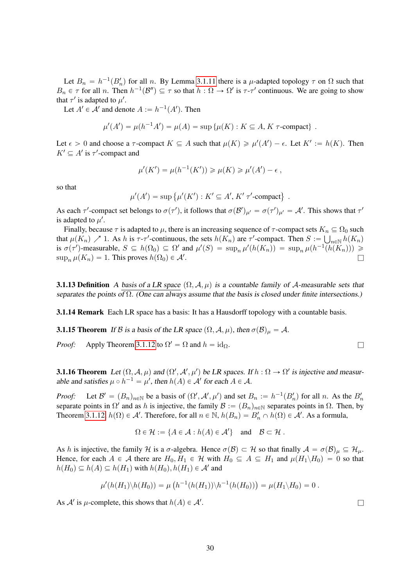Let  $B_n = h^{-1}(B'_n)$  for all n. By Lemma [3.1.11](#page-28-1) there is a  $\mu$ -adapted topology  $\tau$  on  $\Omega$  such that  $B_n \in \tau$  for all n. Then  $h^{-1}(\mathcal{B}'') \subseteq \tau$  so that  $h : \Omega \to \Omega'$  is  $\tau$ - $\tau'$  continuous. We are going to show that  $\tau'$  is adapted to  $\mu'$ .

Let  $A' \in \mathcal{A}'$  and denote  $A := h^{-1}(A')$ . Then

$$
\mu'(A') = \mu(h^{-1}A') = \mu(A) = \sup \{ \mu(K) : K \subseteq A, K \tau\text{-compact} \} .
$$

Let  $\epsilon > 0$  and choose a  $\tau$ -compact  $K \subseteq A$  such that  $\mu(K) \ge \mu'(A') - \epsilon$ . Let  $K' := h(K)$ . Then  $K' \subseteq A'$  is  $\tau'$ -compact and

$$
\mu'(K') = \mu(h^{-1}(K')) \ge \mu(K) \ge \mu'(A') - \epsilon,
$$

so that

$$
\mu'(A') = \sup \{ \mu'(K') : K' \subseteq A', K' \tau' \text{-compact} \} .
$$

As each  $\tau'$ -compact set belongs to  $\sigma(\tau')$ , it follows that  $\sigma(\mathcal{B}')_{\mu'} = \sigma(\tau')_{\mu'} = \mathcal{A}'$ . This shows that  $\tau'$ is adapted to  $\mu'$ .

Finally, because  $\tau$  is adapted to  $\mu$ , there is an increasing sequence of  $\tau$ -compact sets  $K_n \subseteq \Omega_0$  such that  $\mu(K_n) \nearrow 1$ . As h is  $\tau$ - $\tau'$ -continuous, the sets  $h(K_n)$  are  $\tau'$ -compact. Then  $S := \bigcup_{n \in \mathbb{N}} h(K_n)$ is  $\sigma(\tau')$ -measurable,  $S \subseteq h(\Omega_0) \subseteq \Omega'$  and  $\mu'(S) = \sup_n \mu'(h(K_n)) = \sup_n \mu(h^{-1}(h(K_n))) \ge$  $\sup_n \mu(K_n) = 1$ . This proves  $h(\Omega_0) \in \mathcal{A}'$ . . Experimental contracts of the contracts of the contracts of the contracts of the contracts of the contracts of the contracts of the contracts of the contracts of the contracts of the contracts of the contracts of the con

**3.1.13 Definition** A basis of a LR space  $(\Omega, \mathcal{A}, \mu)$  is a countable family of A-measurable sets that separates the points of  $\Omega$ . (One can always assume that the basis is closed under finite intersections.)

**3.1.14 Remark** Each LR space has a basis: It has a Hausdorff topology with a countable basis.

<span id="page-29-1"></span>**3.1.15 Theorem** If B is a basis of the LR space  $(\Omega, \mathcal{A}, \mu)$ , then  $\sigma(\mathcal{B})_{\mu} = \mathcal{A}$ .

*Proof:* Apply Theorem [3.1.12](#page-28-2) to  $\Omega' = \Omega$  and  $h = id_{\Omega}$ .

<span id="page-29-0"></span>**3.1.16 Theorem** Let  $(\Omega, \mathcal{A}, \mu)$  and  $(\Omega', \mathcal{A}', \mu')$  be LR spaces. If  $h : \Omega \to \Omega'$  is injective and measurable and satisfies  $\mu \circ h^{-1} = \mu'$ , then  $h(A) \in \mathcal{A}'$  for each  $A \in \mathcal{A}$ .

*Proof:* Let  $\mathcal{B}' = (B_n)_{n \in \mathbb{N}}$  be a basis of  $(\Omega', \mathcal{A}', \mu')$  and set  $B_n := h^{-1}(B'_n)$  for all n. As the  $B'_n$ separate points in  $\Omega'$  and as h is injective, the family  $\mathcal{B} := (B_n)_{n \in \mathbb{N}}$  separates points in  $\Omega$ . Then, by Theorem [3.1.12,](#page-28-2)  $h(\Omega) \in \mathcal{A}'$ . Therefore, for all  $n \in \mathbb{N}$ ,  $h(B_n) = B'_n \cap h(\Omega) \in \mathcal{A}'$ . As a formula,

$$
\Omega \in \mathcal{H} := \{ A \in \mathcal{A} : h(A) \in \mathcal{A}' \} \text{ and } \mathcal{B} \subset \mathcal{H} .
$$

As h is injective, the family H is a  $\sigma$ -algebra. Hence  $\sigma(\mathcal{B}) \subset \mathcal{H}$  so that finally  $\mathcal{A} = \sigma(\mathcal{B})_{\mu} \subseteq \mathcal{H}_{\mu}$ . Hence, for each  $A \in \mathcal{A}$  there are  $H_0, H_1 \in \mathcal{H}$  with  $H_0 \subseteq A \subseteq H_1$  and  $\mu(H_1 \setminus H_0) = 0$  so that  $h(H_0) \subseteq h(A) \subseteq h(H_1)$  with  $h(H_0), h(H_1) \in \mathcal{A}'$  and

$$
\mu'(h(H_1)\backslash h(H_0)) = \mu\left(h^{-1}(h(H_1))\backslash h^{-1}(h(H_0))\right) = \mu(H_1\backslash H_0) = 0.
$$

As  $A'$  is  $\mu$ -complete, this shows that  $h(A) \in A'$ . In the case of the contract of the contract of  $\Box$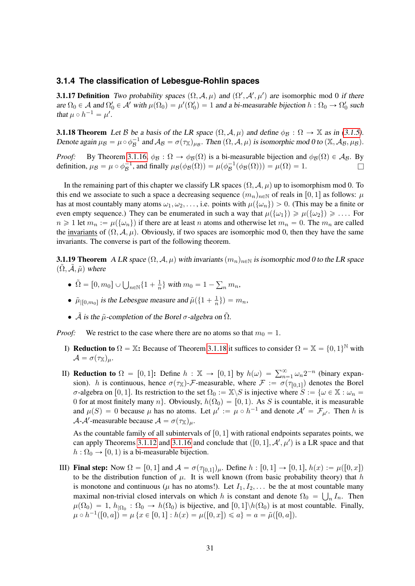#### <span id="page-30-0"></span>**3.1.4 The classification of Lebesgue-Rohlin spaces**

**3.1.17 Definition** Two probability spaces  $(\Omega, \mathcal{A}, \mu)$  and  $(\Omega', \mathcal{A}', \mu')$  are isomorphic mod 0 if there are  $\Omega_0 \in A$  and  $\Omega'_0 \in A'$  with  $\mu(\Omega_0) = \mu'(\Omega'_0) = 1$  and a bi-measurable bijection  $h : \Omega_0 \to \Omega'_0$  such that  $\mu \circ h^{-1} = \mu'$ .

<span id="page-30-1"></span>**3.1.18 Theorem** Let B be a basis of the LR space  $(\Omega, \mathcal{A}, \mu)$  and define  $\phi_B : \Omega \to \mathbb{X}$  as in [\(3.1.5\)](#page-26-2). Denote again  $\mu_{\mathcal{B}} = \mu \circ \phi_{\mathcal{B}}^{-1}$  and  $\mathcal{A}_{\mathcal{B}} = \sigma(\tau_{\mathbb{X}})_{\mu_{\mathcal{B}}}$ . Then  $(\Omega, \mathcal{A}, \mu)$  is isomorphic mod 0 to  $(\mathbb{X}, \mathcal{A}_{\mathcal{B}}, \mu_{\mathcal{B}})$ .

*Proof:* By Theorem [3.1.16,](#page-29-0)  $\phi_B : \Omega \to \phi_B(\Omega)$  is a bi-measurable bijection and  $\phi_B(\Omega) \in \mathcal{A}_B$ . By definition,  $\mu_{\mathcal{B}} = \mu \circ \phi_{\mathcal{B}}^{-1}$ , and finally  $\mu_{\mathcal{B}}(\phi_{\mathcal{B}}(\Omega)) = \mu(\phi_{\mathcal{B}}^{-1}(\phi_{\mathcal{B}}(\Omega))) = \mu(\Omega) = 1$ .

In the remaining part of this chapter we classify LR spaces  $(\Omega, \mathcal{A}, \mu)$  up to isomorphism mod 0. To this end we associate to such a space a decreasing sequence  $(m_n)_{n\in\mathbb{N}}$  of reals in [0, 1] as follows:  $\mu$ has at most countably many atoms  $\omega_1, \omega_2, \ldots$ , i.e. points with  $\mu(\{\omega_n\}) > 0$ . (This may be a finite or even empty sequence.) They can be enumerated in such a way that  $\mu({\omega_1}) \ge \mu({\omega_2}) \ge \dots$  For  $n \geq 1$  let  $m_n := \mu({\omega_n})$  if there are at least n atoms and otherwise let  $m_n = 0$ . The  $m_n$  are called the invariants of  $(\Omega, \mathcal{A}, \mu)$ . Obviously, if two spaces are isomorphic mod 0, then they have the same invariants. The converse is part of the following theorem.

<span id="page-30-2"></span>**3.1.19 Theorem** A LR space  $(\Omega, \mathcal{A}, \mu)$  with invariants  $(m_n)_{n \in \mathbb{N}}$  is isomorphic mod 0 to the LR space  $(\tilde{\Omega}, \tilde{\mathcal{A}}, \tilde{\mu})$  where

- $\tilde{\Omega} = [0, m_0] \cup \bigcup_{n \in \mathbb{N}} \{1 + \frac{1}{n}\}$  $\frac{1}{n}$  with  $m_0 = 1$  $n^m$
- $\tilde{\mu}_{|[0,m_0]}$  is the Lebesgue measure and  $\tilde{\mu}(\{1+\frac{1}{n}\})$  $\frac{1}{n}\}) = m_n,$
- $\tilde{A}$  is the  $\tilde{u}$ -completion of the Borel  $\sigma$ -algebra on  $\tilde{\Omega}$ .

*Proof:* We restrict to the case where there are no atoms so that  $m_0 = 1$ .

- I) **Reduction to**  $\Omega = \mathbb{X}$ : Because of Theorem [3.1.18](#page-30-1) it suffices to consider  $\Omega = \mathbb{X} = \{0, 1\}^{\mathbb{N}}$  with  $\mathcal{A} = \sigma(\tau_{\mathbb{X}})_{\mu}.$
- II) **Reduction to**  $\Omega = [0, 1]$ : Define  $h : \mathbb{X} \to [0, 1]$  by  $h(\omega) = \sum_{n=1}^{\infty} \omega_n 2^{-n}$  (binary expansion). h is continuous, hence  $\sigma(\tau_X)$ -F-measurable, where  $\mathcal{F} := \sigma(\tau_{[0,1]})$  denotes the Borel σ-algebra on [0, 1]. Its restriction to the set  $\Omega_0 := \mathbb{X} \backslash S$  is injective where  $S := \{ \omega \in \mathbb{X} : \omega_n = \emptyset \}$ 0 for at most finitely many n. Obviously,  $h(\Omega_0) = [0, 1)$ . As S is countable, it is measurable and  $\mu(S) = 0$  because  $\mu$  has no atoms. Let  $\mu' := \mu \circ h^{-1}$  and denote  $\mathcal{A}' = \mathcal{F}_{\mu'}$ . Then h is A-A'-measurable because  $A = \sigma(\tau_X)_{\mu}$ .

As the countable family of all subintervals of  $[0, 1]$  with rational endpoints separates points, we can apply Theorems [3.1.12](#page-28-2) and [3.1.16](#page-29-0) and conclude that  $([0, 1], \mathcal{A}', \mu')$  is a LR space and that  $h: \Omega_0 \rightarrow [0, 1)$  is a bi-measurable bijection.

III) Final step: Now  $\Omega = [0, 1]$  and  $\mathcal{A} = \sigma(\tau_{[0,1]})_{\mu}$ . Define  $h : [0, 1] \rightarrow [0, 1]$ ,  $h(x) := \mu([0, x])$ to be the distribution function of  $\mu$ . It is well known (from basic probability theory) that h is monotone and continuous ( $\mu$  has no atoms!). Let  $I_1, I_2, \ldots$  be the at most countable many maximal non-trivial closed intervals on which h is constant and denote  $\Omega_0 = \bigcup_n I_n$ . Then  $\mu(\Omega_0) = 1$ ,  $h_{|\Omega_0} : \Omega_0 \to h(\Omega_0)$  is bijective, and  $[0, 1] \backslash h(\Omega_0)$  is at most countable. Finally,  $\mu \circ h^{-1}([0,a]) = \mu \left\{ x \in [0,1] : h(x) = \mu([0,x]) \leqslant a \right\} = a = \tilde{\mu}([0,a]).$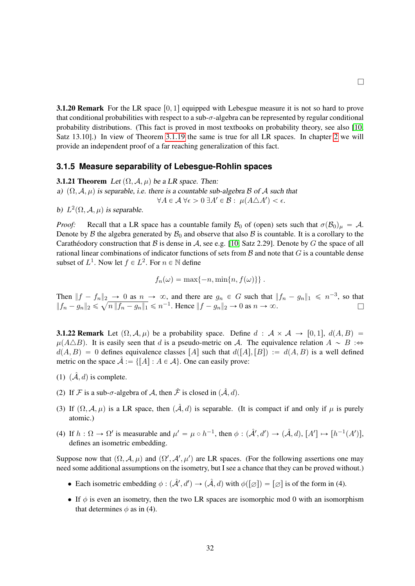**3.1.20 Remark** For the LR space  $[0, 1]$  equipped with Lebesgue measure it is not so hard to prove that conditional probabilities with respect to a sub- $\sigma$ -algebra can be represented by regular conditional probability distributions. (This fact is proved in most textbooks on probability theory, see also [\[10,](#page-64-1) Satz 13.10].) In view of Theorem [3.1.19](#page-30-2) the same is true for all LR spaces. In chapter [2](#page-11-0) we will provide an independent proof of a far reaching generalization of this fact.

 $\Box$ 

#### <span id="page-31-0"></span>**3.1.5 Measure separability of Lebesgue-Rohlin spaces**

<span id="page-31-1"></span>**3.1.21 Theorem** Let  $(\Omega, \mathcal{A}, \mu)$  be a LR space. Then:

a)  $(\Omega, \mathcal{A}, \mu)$  is separable, i.e. there is a countable sub-algebra B of A such that  $\forall A \in \mathcal{A} \ \forall \epsilon > 0 \ \exists A' \in \mathcal{B} : \ \mu(A \triangle A') < \epsilon.$ 

b)  $L^2(\Omega, \mathcal{A}, \mu)$  is separable.

*Proof:* Recall that a LR space has a countable family  $\mathcal{B}_0$  of (open) sets such that  $\sigma(\mathcal{B}_0)_\mu = \mathcal{A}$ . Denote by  $\beta$  the algebra generated by  $\mathcal{B}_0$  and observe that also  $\beta$  is countable. It is a corollary to the Carathéodory construction that B is dense in A, see e.g. [\[10,](#page-64-1) Satz 2.29]. Denote by G the space of all rational linear combinations of indicator functions of sets from  $\beta$  and note that  $G$  is a countable dense subset of  $L^1$ . Now let  $f \in L^2$ . For  $n \in \mathbb{N}$  define

$$
f_n(\omega) = \max\{-n, \min\{n, f(\omega)\}\}.
$$

Then  $|| f - f_n ||_2 \to 0$  as  $n \to \infty$ , and there are  $g_n \in G$  such that  $|| f_n - g_n ||_1 \leq n^{-3}$ , so that  $||f_n - g_n||_2 \leq$  $\parallel$ <sub>2</sub>  $n || f_n - g_n ||_1 \le n^{-1}$ . Hence  $||f - g_n ||_2 \to 0$  as  $n \to \infty$ .

<span id="page-31-2"></span>**3.1.22 Remark** Let  $(\Omega, \mathcal{A}, \mu)$  be a probability space. Define  $d : \mathcal{A} \times \mathcal{A} \rightarrow [0, 1], d(A, B) =$  $\mu(A\triangle B)$ . It is easily seen that d is a pseudo-metric on A. The equivalence relation  $A \sim B$  : $\Leftrightarrow$  $d(A, B) = 0$  defines equivalence classes  $[A]$  such that  $d([A], [B]) := d(A, B)$  is a well defined metric on the space  $\hat{A} := \{ [A] : A \in \mathcal{A} \}$ . One can easily prove:

- (1)  $(\hat{\mathcal{A}}, d)$  is complete.
- (2) If F is a sub- $\sigma$ -algebra of A, then  $\hat{\mathcal{F}}$  is closed in  $(\hat{\mathcal{A}}, d)$ .
- (3) If  $(\Omega, \mathcal{A}, \mu)$  is a LR space, then  $(\hat{\mathcal{A}}, d)$  is separable. (It is compact if and only if  $\mu$  is purely atomic.)
- (4) If  $h : \Omega \to \Omega'$  is measurable and  $\mu' = \mu \circ h^{-1}$ , then  $\phi : (\mathcal{A}', d') \to (\mathcal{A}, d)$ ,  $[A'] \mapsto [h^{-1}(A')]$ , defines an isometric embedding.

Suppose now that  $(\Omega, \mathcal{A}, \mu)$  and  $(\Omega', \mathcal{A}', \mu')$  are LR spaces. (For the following assertions one may need some additional assumptions on the isometry, but I see a chance that they can be proved without.)

- Each isometric embedding  $\phi : (\hat{\mathcal{A}}', d') \to (\hat{\mathcal{A}}, d)$  with  $\phi([\varnothing]) = [\varnothing]$  is of the form in (4).
- <span id="page-31-3"></span>• If  $\phi$  is even an isometry, then the two LR spaces are isomorphic mod 0 with an isomorphism that determines  $\phi$  as in (4).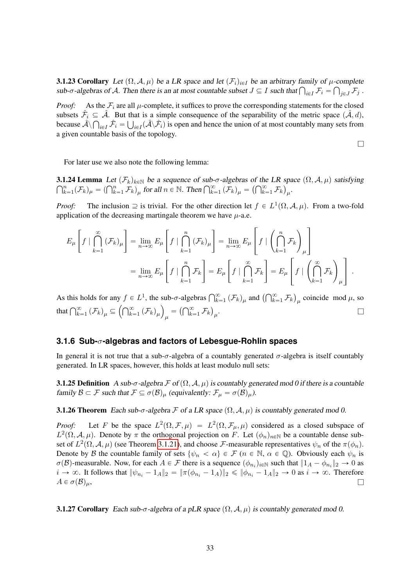**3.1.23 Corollary** Let  $(\Omega, \mathcal{A}, \mu)$  be a LR space and let  $(\mathcal{F}_i)_{i \in I}$  be an arbitrary family of  $\mu$ -complete **3.1.23 Corollary** Let  $(\Omega, \mathcal{A}, \mu)$  be a LR space and let  $(\mathcal{F}_i)_{i \in I}$  be an arbitrary family of  $\mu$ -complete sub- $\sigma$ -algebras of  $\mathcal{A}$ . Then there is an at most countable subset  $J \subseteq I$  such that  $\bigcap_{i \in I} \mathcal{$ 

*Proof:* As the  $\mathcal{F}_i$  are all  $\mu$ -complete, it suffices to prove the corresponding statements for the closed subsets  $\hat{\mathcal{F}}_i \subseteq \hat{\mathcal{A}}$ . But that is a simple consequence of the separability of the metric space  $(\hat{\mathcal{A}}, d)$ , because  $\hat{\mathcal{A}} \setminus \bigcap_{i \in I} \hat{\mathcal{F}}_i = \bigcup_{i \in I} (\hat{\mathcal{A}} \setminus \hat{\mathcal{F}}_i)$  is open and hence the union of at most countably many sets from a given countable basis of the topology.

 $\Box$ 

For later use we also note the following lemma:

**3.1.24 Lemma** Let  $(\mathcal{F}_k)_{k \in \mathbb{N}}$  be a sequence of sub-σ-algebras of the LR space  $(\Omega, \mathcal{A}, \mu)$  satisfying  $\bigcap_{i=1}^n (\mathcal{F}_k) = (\bigcap_{i=1}^n \mathcal{F}_k)$  for all  $n \in \mathbb{N}$ . Then  $\bigcap_{i=1}^{\infty} (\mathcal{F}_k) = (\bigcap_{i=1}^{\infty} \mathcal{F$ **1.24 Lemma** Let  $(F_k)_{k \in \mathbb{N}}$  be a sequence of sub- $\sigma$ -algebras of the LR space  $\sum_{k=1}^n (\mathcal{F}_k)_{\mu} = (\bigcap_{k=1}^n \mathcal{F}_k)_{\mu}$  for all  $n \in \mathbb{N}$ . Then  $\bigcap_{k=1}^{\infty} (\mathcal{F}_k)_{\mu} = (\bigcap_{k=1}^{\infty} \mathcal{F}_k)_{\mu}$ .

*Proof:* The inclusion  $\supseteq$  is trivial. For the other direction let  $f \in L^1(\Omega, \mathcal{A}, \mu)$ . From a two-fold application of the decreasing martingale theorem we have  $\mu$ -a.e.

<span id="page-32-3"></span>»

fi

$$
E_{\mu}\left[f \mid \bigcap_{k=1}^{\infty} (\mathcal{F}_{k})_{\mu}\right] = \lim_{n \to \infty} E_{\mu}\left[f \mid \bigcap_{k=1}^{n} (\mathcal{F}_{k})_{\mu}\right] = \lim_{n \to \infty} E_{\mu}\left[f \mid \left(\bigcap_{k=1}^{n} \mathcal{F}_{k}\right)_{\mu}\right]
$$

$$
= \lim_{n \to \infty} E_{\mu}\left[f \mid \bigcap_{k=1}^{n} \mathcal{F}_{k}\right] = E_{\mu}\left[f \mid \bigcap_{k=1}^{\infty} \mathcal{F}_{k}\right] = E_{\mu}\left[f \mid \left(\bigcap_{k=1}^{\infty} \mathcal{F}_{k}\right)_{\mu}\right].
$$

As this holds for any  $f \in L^1$ , the sub- $\sigma$ -algebras  $\bigcap_{k=1}^{\infty} (\mathcal{F}_k)_{\mu}$  and  $\bigcap_{k=1}^{\infty} \mathcal{F}_k$ sub- $\sigma$ -algebras  $\bigcap_{k=1}^{\infty}$  ( $\mathcal{F}_k$ )<sub> $\mu$ </sub> and  $\big(\bigcap_{k=1}^{\infty}$   $\mathcal{F}_k\big)_{\mu}$  coincide mod  $\mu$ , so As this holds for any  $f \in$ <br>that  $\bigcap_{k=1}^{\infty} (\mathcal{F}_k)_{\mu} \subseteq \left(\bigcap_{k=1}^{\infty} \mathcal{F}_k\right)$  $\sum_{k=1}^{\infty}$   $\left(\mathcal{F}_{k}\right)_{\mu}\right)_{\mu} = \left(\bigcap_{k=1}^{\infty}$  $_{k=1}^{\infty}$   $\mathcal{F}_{k}$  $\mu$ . In the case of the contract of  $\Box$ 

## <span id="page-32-0"></span>**3.1.6 Sub-**σ**-algebras and factors of Lebesgue-Rohlin spaces**

In general it is not true that a sub- $\sigma$ -algebra of a countably generated  $\sigma$ -algebra is itself countably generated. In LR spaces, however, this holds at least modulo null sets:

**3.1.25 Definition** A sub- $\sigma$ -algebra  $\mathcal F$  of  $(\Omega, \mathcal A, \mu)$  is countably generated mod 0 if there is a countable family  $\mathcal{B} \subset \mathcal{F}$  such that  $\mathcal{F} \subseteq \sigma(\mathcal{B})_{\mu}$  (equivalently:  $\mathcal{F}_{\mu} = \sigma(\mathcal{B})_{\mu}$ ).

#### <span id="page-32-1"></span>**3.1.26 Theorem** Each sub-σ-algebra F of a LR space  $(\Omega, \mathcal{A}, \mu)$  is countably generated mod 0.

*Proof:* Let F be the space  $L^2(\Omega, \mathcal{F}, \mu) = L^2(\Omega, \mathcal{F}_\mu, \mu)$  considered as a closed subspace of  $L^2(\Omega, \mathcal{A}, \mu)$ . Denote by  $\pi$  the orthogonal projection on F. Let  $(\phi_n)_{n\in\mathbb{N}}$  be a countable dense subset of  $L^2(\Omega, \mathcal{A}, \mu)$  (see Theorem [3.1.21\)](#page-31-1), and choose F-measurable representatives  $\psi_n$  of the  $\pi(\phi_n)$ . Denote by B the countable family of sets  $\{\psi_n < \alpha\} \in \mathcal{F}$   $(n \in \mathbb{N}, \alpha \in \mathbb{Q})$ . Obviously each  $\psi_n$  is  $\sigma(\mathcal{B})$ -measurable. Now, for each  $A \in \mathcal{F}$  there is a sequence  $(\phi_{n_i})_{i \in \mathbb{N}}$  such that  $||1_A - \phi_{n_i}||_2 \to 0$  as  $i \to \infty$ . It follows that  $\|\psi_{n_i} - 1_A\|_2 = \|\pi(\phi_{n_i} - 1_A)\|_2 \le \|\phi_{n_i} - 1_A\|_2 \to 0$  as  $i \to \infty$ . Therefore  $A \in \sigma(\mathcal{B})_{\mu}$ ,

<span id="page-32-2"></span>**3.1.27 Corollary** Each sub- $\sigma$ -algebra of a pLR space  $(\Omega, \mathcal{A}, \mu)$  is countably generated mod 0.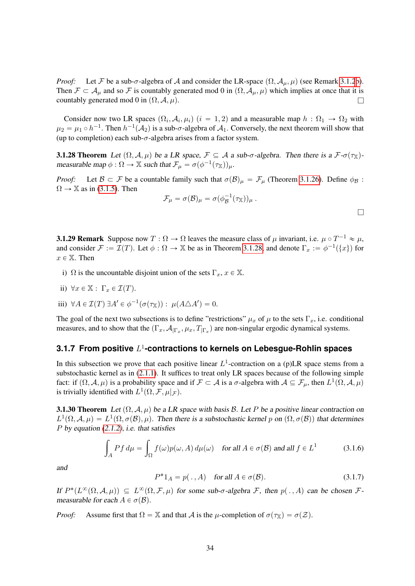*Proof:* Let F be a sub- $\sigma$ -algebra of A and consider the LR-space  $(\Omega, \mathcal{A}_{\mu}, \mu)$  (see Remark [3.1.2](#page-25-8)[b\)](#page-25-9). Then  $\mathcal{F} \subset \mathcal{A}_{\mu}$  and so F is countably generated mod 0 in  $(\Omega, \mathcal{A}_{\mu}, \mu)$  which implies at once that it is countably generated mod 0 in  $(\Omega, \mathcal{A}, \mu)$ .

Consider now two LR spaces  $(\Omega_i, \mathcal{A}_i, \mu_i)$   $(i = 1, 2)$  and a measurable map  $h : \Omega_1 \to \Omega_2$  with  $\mu_2 = \mu_1 \circ h^{-1}$ . Then  $h^{-1}(\mathcal{A}_2)$  is a sub- $\sigma$ -algebra of  $\mathcal{A}_1$ . Conversely, the next theorem will show that (up to completion) each sub- $\sigma$ -algebra arises from a factor system.

<span id="page-33-1"></span>**3.1.28 Theorem** Let  $(\Omega, \mathcal{A}, \mu)$  be a LR space,  $\mathcal{F} \subseteq \mathcal{A}$  a sub- $\sigma$ -algebra. Then there is a  $\mathcal{F}\text{-}\sigma(\tau_X)$ measurable map  $\phi : \Omega \to \mathbb{X}$  such that  $\mathcal{F}_{\mu} = \sigma(\phi^{-1}(\tau_{\mathbb{X}}))_{\mu}$ .

*Proof:* Let  $\mathcal{B} \subset \mathcal{F}$  be a countable family such that  $\sigma(\mathcal{B})_{\mu} = \mathcal{F}_{\mu}$  (Theorem [3.1.26\)](#page-32-1). Define  $\phi_{\mathcal{B}}$ :  $\Omega \rightarrow \mathbb{X}$  as in [\(3.1.5\)](#page-26-2). Then

$$
\mathcal{F}_{\mu} = \sigma(\mathcal{B})_{\mu} = \sigma(\phi_{\mathcal{B}}^{-1}(\tau_{\mathbb{X}}))_{\mu} .
$$

 $\Box$ 

<span id="page-33-5"></span>**3.1.29 Remark** Suppose now  $T : \Omega \to \Omega$  leaves the measure class of  $\mu$  invariant, i.e.  $\mu \circ T^{-1} \approx \mu$ , and consider  $\mathcal{F} := \mathcal{I}(T)$ . Let  $\phi : \Omega \to \mathbb{X}$  be as in Theorem [3.1.28,](#page-33-1) and denote  $\Gamma_x := \phi^{-1}(\{x\})$  for  $x \in \mathbb{X}$ . Then

i)  $\Omega$  is the uncountable disjoint union of the sets  $\Gamma_x$ ,  $x \in \mathbb{X}$ .

ii) 
$$
\forall x \in \mathbb{X} : \Gamma_x \in \mathcal{I}(T).
$$

iii) 
$$
\forall A \in \mathcal{I}(T) \; \exists A' \in \phi^{-1}(\sigma(\tau_{\mathbb{X}})) : \mu(A \triangle A') = 0.
$$

The goal of the next two subsections is to define "restrictions"  $\mu_x$  of  $\mu$  to the sets  $\Gamma_x$ , i.e. conditional measures, and to show that the  $(\Gamma_x, A_{\mid \Gamma_x}, \mu_x, T_{\mid \Gamma_x})$  are non-singular ergodic dynamical systems.

# <span id="page-33-0"></span>**3.1.7 From positive** L 1 **-contractions to kernels on Lebesgue-Rohlin spaces**

In this subsection we prove that each positive linear  $L^1$ -contraction on a (p)LR space stems from a substochastic kernel as in [\(2.1.1\)](#page-11-6). It suffices to treat only LR spaces because of the following simple fact: if  $(\Omega, \mathcal{A}, \mu)$  is a probability space and if  $\mathcal{F} \subset \mathcal{A}$  is a  $\sigma$ -algebra with  $\mathcal{A} \subseteq \mathcal{F}_{\mu}$ , then  $L^1(\Omega, \mathcal{A}, \mu)$ is trivially identified with  $L^1(\Omega, \mathcal{F}, \mu|_{\mathcal{F}})$ .

**3.1.30 Theorem** Let  $(\Omega, \mathcal{A}, \mu)$  be a LR space with basis B. Let P be a positive linear contraction on  $L^1(\Omega, \mathcal{A}, \mu) = L^1(\Omega, \sigma(\mathcal{B}), \mu)$ . Then there is a substochastic kernel p on  $(\Omega, \sigma(\mathcal{B}))$  that determines P by equation  $(2.1.2)$ , i.e. that satisfies

<span id="page-33-2"></span>
$$
\int_{A} P f d\mu = \int_{\Omega} f(\omega) p(\omega, A) d\mu(\omega) \quad \text{for all } A \in \sigma(\mathcal{B}) \text{ and all } f \in L^{1}
$$
 (3.1.6)

and

<span id="page-33-4"></span><span id="page-33-3"></span>
$$
P^*1_A = p(., A) \quad \text{for all } A \in \sigma(\mathcal{B}).\tag{3.1.7}
$$

If  $P^*(L^{\infty}(\Omega, \mathcal{A}, \mu)) \subseteq L^{\infty}(\Omega, \mathcal{F}, \mu)$  for some sub- $\sigma$ -algebra  $\mathcal{F}$ , then  $p(. , A)$  can be chosen  $\mathcal{F}$ measurable for each  $A \in \sigma(\mathcal{B})$ .

*Proof:* Assume first that  $\Omega = \mathbb{X}$  and that A is the  $\mu$ -completion of  $\sigma(\tau_{\mathbb{X}}) = \sigma(\mathcal{Z})$ .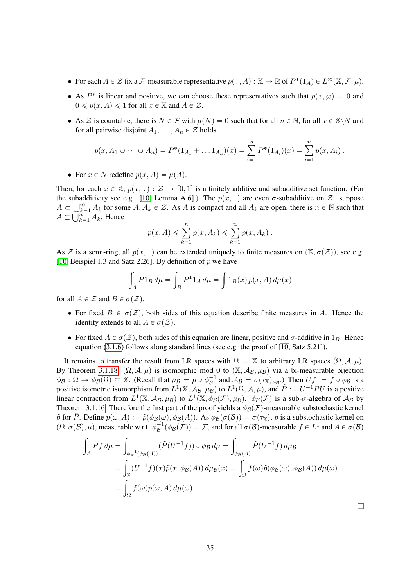- For each  $A \in \mathcal{Z}$  fix a F-measurable representative  $p(., A) : \mathbb{X} \to \mathbb{R}$  of  $P^*(1_A) \in L^{\infty}(\mathbb{X}, \mathcal{F}, \mu)$ .
- As  $P^*$  is linear and positive, we can choose these representatives such that  $p(x, \emptyset) = 0$  and  $0 \leqslant p(x, A) \leqslant 1$  for all  $x \in \mathbb{X}$  and  $A \in \mathcal{Z}$ .
- As Z is countable, there is  $N \in \mathcal{F}$  with  $\mu(N) = 0$  such that for all  $n \in \mathbb{N}$ , for all  $x \in \mathbb{X} \backslash N$  and for all pairwise disjoint  $A_1, \ldots, A_n \in \mathcal{Z}$  holds

$$
p(x, A_1 \cup \cdots \cup A_n) = P^*(1_{A_1} + \ldots 1_{A_n})(x) = \sum_{i=1}^n P^*(1_{A_i})(x) = \sum_{i=1}^n p(x, A_i).
$$

• For  $x \in N$  redefine  $p(x, A) = \mu(A)$ .

Then, for each  $x \in \mathbb{X}$ ,  $p(x, .): \mathcal{Z} \to [0, 1]$  is a finitely additive and subadditive set function. (For the subadditivity see e.g. [\[10,](#page-64-1) Lemma A.6].) The  $p(x, \cdot)$  are even  $\sigma$ -subadditive on Z: suppose  $A \subset \square^{\infty}$ . At for some  $A \subset A$ ,  $\in \mathcal{Z}$ . As A is compact and all  $A_1$  are open there is  $n \in \mathbb{N}$  such that  $A \subset \bigcup_{k=1}^{\infty} A_k$  for some  $A, A_k \in \mathcal{Z}$ . As A is compact and all  $A_k$  are open, there is  $n \in \mathbb{N}$  such that  $A \subseteq \bigcup_{k=1}^n A_k$ . Hence

$$
p(x, A) \leqslant \sum_{k=1}^{n} p(x, A_k) \leqslant \sum_{k=1}^{\infty} p(x, A_k).
$$

As Z is a semi-ring, all  $p(x, \cdot)$  can be extended uniquely to finite measures on  $(X, \sigma(Z))$ , see e.g. [\[10,](#page-64-1) Beispiel 1.3 and Satz 2.26]. By definition of  $p$  we have

$$
\int_{A} P1_{B} d\mu = \int_{B} P^{*}1_{A} d\mu = \int 1_{B}(x) p(x, A) d\mu(x)
$$

for all  $A \in \mathcal{Z}$  and  $B \in \sigma(\mathcal{Z})$ .

- For fixed  $B \in \sigma(\mathcal{Z})$ , both sides of this equation describe finite measures in A. Hence the identity extends to all  $A \in \sigma(\mathcal{Z})$ .
- For fixed  $A \in \sigma(\mathcal{Z})$ , both sides of this equation are linear, positive and  $\sigma$ -additive in  $1_B$ . Hence equation [\(3.1.6\)](#page-33-2) follows along standard lines (see e.g. the proof of [\[10,](#page-64-1) Satz 5.21]).

It remains to transfer the result from LR spaces with  $\Omega = \mathbb{X}$  to arbitrary LR spaces  $(\Omega, \mathcal{A}, \mu)$ . By Theorem [3.1.18,](#page-30-1)  $(\Omega, \mathcal{A}, \mu)$  is isomorphic mod 0 to  $(\mathbb{X}, \mathcal{A}_{\mathcal{B}}, \mu_{\mathcal{B}})$  via a bi-measurable bijection  $\phi_B : \Omega \to \phi_B(\Omega) \subseteq \mathbb{X}$ . (Recall that  $\mu_B = \mu \circ \phi_B^{-1}$  and  $\mathcal{A}_B = \sigma(\tau_{\mathbb{X}})_{\mu_B}$ .) Then  $Uf := f \circ \phi_B$  is a positive isometric isomorphism from  $L^1(\mathbb{X}, \mathcal{A}_{\mathcal{B}}, \mu)$  to  $L^1(\Omega, \mathcal{A}, \mu)$ , and  $\tilde{P} := U^{-1}PU$  is a positive linear contraction from  $L^1(\mathbb{X}, \mathcal{A}_\mathcal{B}, \mu_\mathcal{B})$  to  $L^1(\mathbb{X}, \phi_\mathcal{B}(\mathcal{F}), \mu_\mathcal{B})$ .  $\phi_\mathcal{B}(\mathcal{F})$  is a sub- $\sigma$ -algebra of  $\mathcal{A}_\mathcal{B}$  by Theorem [3.1.16.](#page-29-0) Therefore the first part of the proof yields a  $\phi_B(\mathcal{F})$ -measurable substochastic kernel  $\tilde{p}$  for P. Define  $p(\omega, A) := \tilde{p}(\phi_B(\omega), \phi_B(A))$ . As  $\phi_B(\sigma(\mathcal{B})) = \sigma(\tau_X)$ , p is a substochastic kernel on  $(\Omega, \sigma(\mathcal{B}), \mu)$ , measurable w.r.t.  $\phi^{-1}_{\mathcal{B}}(\phi_{\mathcal{B}}(\mathcal{F})) = \mathcal{F}$ , and for all  $\sigma(\mathcal{B})$ -measurable  $f \in L^1$  and  $A \in \sigma(\mathcal{B})$  $\overline{p}$   $\overline{z}$   $\overline{z}$   $\overline{z}$ 

$$
\int_{A} Pf d\mu = \int_{\phi_{\mathcal{B}}^{-1}(\phi_{\mathcal{B}}(A))} (\tilde{P}(U^{-1}f)) \circ \phi_{\mathcal{B}} d\mu = \int_{\phi_{\mathcal{B}}(A)} \tilde{P}(U^{-1}f) d\mu_{\mathcal{B}} \n= \int_{\mathbb{X}} (U^{-1}f)(x) \tilde{p}(x, \phi_{\mathcal{B}}(A)) d\mu_{\mathcal{B}}(x) = \int_{\Omega} f(\omega) \tilde{p}(\phi_{\mathcal{B}}(\omega), \phi_{\mathcal{B}}(A)) d\mu(\omega) \n= \int_{\Omega} f(\omega) p(\omega, A) d\mu(\omega).
$$

 $\Box$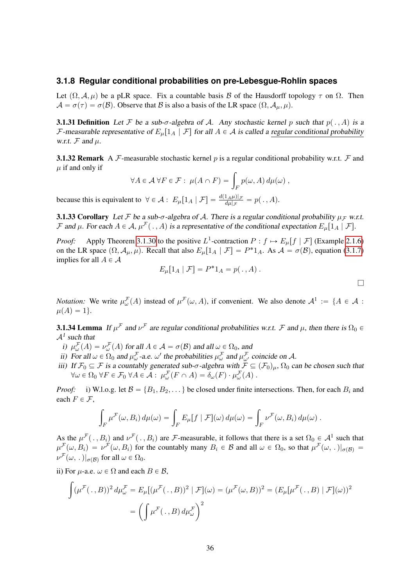#### <span id="page-35-0"></span>**3.1.8 Regular conditional probabilities on pre-Lebesgue-Rohlin spaces**

Let  $(\Omega, \mathcal{A}, \mu)$  be a pLR space. Fix a countable basis B of the Hausdorff topology  $\tau$  on  $\Omega$ . Then  $\mathcal{A} = \sigma(\tau) = \sigma(\mathcal{B})$ . Observe that  $\mathcal B$  is also a basis of the LR space  $(\Omega, \mathcal{A}_{\mu}, \mu)$ .

**3.1.31 Definition** Let F be a sub- $\sigma$ -algebra of A. Any stochastic kernel p such that  $p(., A)$  is a F-measurable representative of  $E_\mu[1_A | \mathcal{F}]$  for all  $A \in \mathcal{A}$  is called a regular conditional probability w.r.t.  $\mathcal F$  and  $\mu$ .

**3.1.32 Remark** A F-measurable stochastic kernel p is a regular conditional probability w.r.t. F and  $\mu$  if and only if

$$
\forall A \in \mathcal{A} \ \forall F \in \mathcal{F}: \ \mu(A \cap F) = \int_F p(\omega, A) \, d\mu(\omega) \ ,
$$

because this is equivalent to  $\forall \in \mathcal{A}: E_{\mu}[1_A | \mathcal{F}] = \frac{d(1_A \mu)|_{\mathcal{F}}}{d\mu|_{\mathcal{F}}} = p(. \, A).$ 

<span id="page-35-3"></span>**3.1.33 Corollary** Let F be a sub- $\sigma$ -algebra of A. There is a regular conditional probability  $\mu_F$  w.r.t. F and  $\mu$ . For each  $A \in \mathcal{A}$ ,  $\mu^{\mathcal{F}}(\cdot, A)$  is a representative of the conditional expectation  $E_{\mu}[1_A | \mathcal{F}]$ .

*Proof:* Apply Theorem [3.1.30](#page-33-3) to the positive  $L^1$ -contraction  $P: f \mapsto E_\mu[f | \mathcal{F}]$  (Example [2.1.6\)](#page-12-0) on the LR space  $(\Omega, \mathcal{A}_{\mu}, \mu)$ . Recall that also  $E_{\mu}[1_A | \mathcal{F}] = P^*1_A$ . As  $\mathcal{A} = \sigma(\mathcal{B})$ , equation [\(3.1.7\)](#page-33-4) implies for all  $A \in \mathcal{A}$ 

$$
E_{\mu}[1_A | \mathcal{F}] = P^* 1_A = p(., A) .
$$

l

*Notation:* We write  $\mu_{\omega}^{\mathcal{F}}(A)$  instead of  $\mu^{\mathcal{F}}(\omega, A)$ , if convenient. We also denote  $\mathcal{A}^1 := \{A \in \mathcal{A} :$  $\mu(A) = 1$ .

<span id="page-35-1"></span>**3.1.34 Lemma** If  $\mu^F$  and  $\nu^F$  are regular conditional probabilities w.r.t. F and  $\mu$ , then there is  $\Omega_0 \in$  $A<sup>1</sup>$  such that

- <span id="page-35-2"></span>i)  $\mu_{\omega}^{\mathcal{F}}(A) = \nu_{\omega}^{\mathcal{F}}(A)$  for all  $A \in \mathcal{A} = \sigma(\mathcal{B})$  and all  $\omega \in \Omega_0$ , and
- <span id="page-35-5"></span>ii) For all  $\omega \in \Omega_0$  and  $\mu^{\mathcal{F}}_{\omega}$ -a.e.  $\omega'$  the probabilities  $\mu^{\mathcal{F}}_{\omega}$  and  $\mu^{\mathcal{F}}_{\omega'}$  coincide on A.
- <span id="page-35-4"></span>iii) If  $\mathcal{F}_0 \subseteq \mathcal{F}$  is a countably generated sub- $\sigma$ -algebra with  $\mathcal{F} \subseteq (\mathcal{F}_0)_\mu$ ,  $\Omega_0$  can be chosen such that  $\forall \omega \in \Omega_0 \ \forall F \in \mathcal{F}_0 \ \forall A \in \mathcal{A} : \ \mu_{\omega}^{\mathcal{F}}(F \cap A) = \delta_{\omega}(F) \cdot \mu_{\omega}^{\mathcal{F}}(A) .$

*Proof:* i) W.l.o.g. let  $\mathcal{B} = \{B_1, B_2, \dots\}$  be closed under finite intersections. Then, for each  $B_i$  and each  $F \in \mathcal{F}$ ,

$$
\int_F \mu^{\mathcal{F}}(\omega, B_i) d\mu(\omega) = \int_F E_\mu[f \mid \mathcal{F}](\omega) d\mu(\omega) = \int_F \nu^{\mathcal{F}}(\omega, B_i) d\mu(\omega) .
$$

As the  $\mu^{\mathcal{F}}(\cdot, B_i)$  and  $\nu^{\mathcal{F}}(\cdot, B_i)$  are *F*-measurable, it follows that there is a set  $\Omega_0 \in \mathcal{A}^1$  such that  $\mu^{\mathcal{F}}(\omega, B_i) = \nu^{\mathcal{F}}(\omega, B_i)$  for the countably many  $B_i \in \mathcal{B}$  and all  $\omega \in \Omega_0$ , so that  $\mu^{\mathcal{F}}(\omega,.)|_{\sigma(\mathcal{B})} =$  $\nu^{\mathcal{F}}(\omega, .) |_{\sigma(\mathcal{B})}$  for all  $\omega \in \Omega_0$ .

ii) For  $\mu$ -a.e.  $\omega \in \Omega$  and each  $B \in \mathcal{B}$ ,

$$
\int (\mu^{\mathcal{F}}(\cdot, B))^2 d\mu^{\mathcal{F}}_{\omega} = E_{\mu} [(\mu^{\mathcal{F}}(\cdot, B))^2 | \mathcal{F}] (\omega) = (\mu^{\mathcal{F}}(\omega, B))^2 = (E_{\mu} [\mu^{\mathcal{F}}(\cdot, B) | \mathcal{F}] (\omega))^2
$$

$$
= \left( \int \mu^{\mathcal{F}}(\cdot, B) d\mu^{\mathcal{F}}_{\omega} \right)^2
$$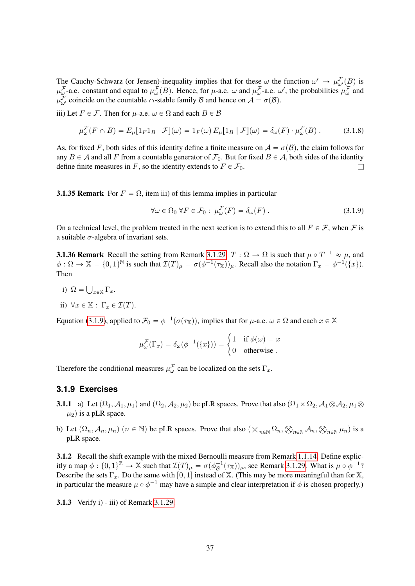The Cauchy-Schwarz (or Jensen)-inequality implies that for these  $\omega$  the function  $\omega' \mapsto \mu^{\mathcal{F}}_{\omega'}(B)$  is  $\mu_{\omega}^{\mathcal{F}}$ -a.e. constant and equal to  $\mu_{\omega}^{\mathcal{F}}(B)$ . Hence, for  $\mu$ -a.e.  $\omega$  and  $\mu_{\omega}^{\mathcal{F}}$ -a.e.  $\omega'$ , the probabilities  $\mu_{\omega}^{\mathcal{F}}$  and  $\mu^{\mathcal{F}}_{\omega'}$  coincide on the countable  $\cap$ -stable family  $\mathcal{B}$  and hence on  $\mathcal{A} = \sigma(\mathcal{B})$ .

iii) Let  $F \in \mathcal{F}$ . Then for  $\mu$ -a.e.  $\omega \in \Omega$  and each  $B \in \mathcal{B}$ 

$$
\mu_{\omega}^{\mathcal{F}}(F \cap B) = E_{\mu}[\mathbb{1}_{F} \mathbb{1}_{B} | \mathcal{F}](\omega) = \mathbb{1}_{F}(\omega) E_{\mu}[\mathbb{1}_{B} | \mathcal{F}](\omega) = \delta_{\omega}(F) \cdot \mu_{\omega}^{\mathcal{F}}(B) . \tag{3.1.8}
$$

As, for fixed F, both sides of this identity define a finite measure on  $A = \sigma(B)$ , the claim follows for any  $B \in \mathcal{A}$  and all F from a countable generator of  $\mathcal{F}_0$ . But for fixed  $B \in \mathcal{A}$ , both sides of the identity define finite measures in F, so the identity extends to  $F \in \mathcal{F}_0$ .

**3.1.35 Remark** For  $F = \Omega$ , item iii) of this lemma implies in particular

<span id="page-36-1"></span>
$$
\forall \omega \in \Omega_0 \,\forall F \in \mathcal{F}_0: \mu_\omega^{\mathcal{F}}(F) = \delta_\omega(F) \,. \tag{3.1.9}
$$

On a technical level, the problem treated in the next section is to extend this to all  $F \in \mathcal{F}$ , when  $\mathcal{F}$  is a suitable  $\sigma$ -algebra of invariant sets.

<span id="page-36-2"></span>**3.1.36 Remark** Recall the setting from Remark [3.1.29:](#page-33-5)  $T : \Omega \to \Omega$  is such that  $\mu \circ T^{-1} \approx \mu$ , and  $\phi : \Omega \to \mathbb{X} = \{0,1\}^{\mathbb{N}}$  is such that  $\mathcal{I}(T)_{\mu} = \sigma(\phi^{-1}(\tau_{\mathbb{X}}))_{\mu}$ . Recall also the notation  $\Gamma_x = \phi^{-1}(\{x\})$ . Then

- i)  $\Omega =$  $_{x\in\mathbb{X}}$   $\Gamma_x.$
- ii)  $\forall x \in \mathbb{X} : \Gamma_x \in \mathcal{I}(T)$ .

Equation [\(3.1.9\)](#page-36-1), applied to  $\mathcal{F}_0 = \phi^{-1}(\sigma(\tau_{\mathbb{X}}))$ , implies that for  $\mu$ -a.e.  $\omega \in \Omega$  and each  $x \in \mathbb{X}$ 

$$
\mu^{\mathcal{F}}_{\omega}(\Gamma_x) = \delta_{\omega}(\phi^{-1}(\{x\})) = \begin{cases} 1 & \text{if } \phi(\omega) = x \\ 0 & \text{otherwise} \end{cases}
$$

Therefore the conditional measures  $\mu_{\omega}^{\mathcal{F}}$  can be localized on the sets  $\Gamma_{x}$ .

## <span id="page-36-0"></span>**3.1.9 Exercises**

- **3.1.1** a) Let  $(\Omega_1, \mathcal{A}_1, \mu_1)$  and  $(\Omega_2, \mathcal{A}_2, \mu_2)$  be pLR spaces. Prove that also  $(\Omega_1 \times \Omega_2, \mathcal{A}_1 \otimes \mathcal{A}_2, \mu_1 \otimes \mathcal{A}_2)$  $\mu_2$ ) is a pLR space.
- b) Let  $(\Omega_n, \mathcal{A}_n, \mu_n)$   $(n \in \mathbb{N})$  be pLR spaces. Prove that also  $(\times_{n \in \mathbb{N}} \Omega_n, \otimes_{n \in \mathbb{N}} \mathcal{A}_n, \otimes_{n \in \mathbb{N}} \mu_n)$  is a pLR space.

3.1.2 Recall the shift example with the mixed Bernoulli measure from Remark [1.1.14.](#page-7-0) Define explicitly a map  $\phi: \{0,1\}^{\mathbb{Z}} \to \mathbb{X}$  such that  $\mathcal{I}(T)_{\mu} = \sigma(\phi_{\mathcal{B}}^{-1}(\tau_{\mathbb{X}}))_{\mu}$ , see Remark [3.1.29.](#page-33-5) What is  $\mu \circ \phi^{-1}$ ? Describe the sets  $\Gamma_x$ . Do the same with  $[0, 1]$  instead of X. (This may be more meaningful than for X, in particular the measure  $\mu \circ \phi^{-1}$  may have a simple and clear interpretation if  $\phi$  is chosen properly.)

3.1.3 Verify i) - iii) of Remark [3.1.29.](#page-33-5)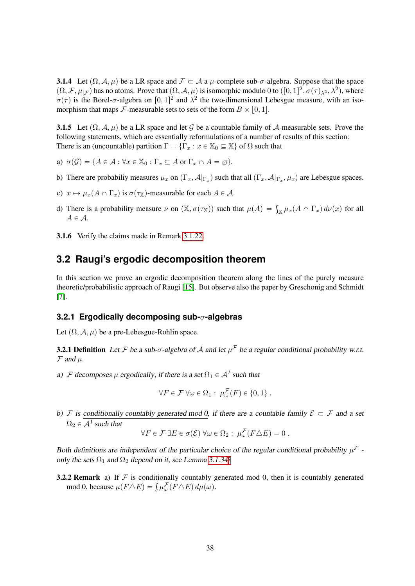**3.1.4** Let  $(\Omega, \mathcal{A}, \mu)$  be a LR space and  $\mathcal{F} \subset \mathcal{A}$  a  $\mu$ -complete sub- $\sigma$ -algebra. Suppose that the space  $(\Omega, \mathcal{F}, \mu_{|\mathcal{F}})$  has no atoms. Prove that  $(\Omega, \mathcal{A}, \mu)$  is isomorphic modulo 0 to  $([0, 1]^2, \sigma(\tau)_{\lambda^2}, \lambda^2)$ , where  $\sigma(\tau)$  is the Borel- $\sigma$ -algebra on  $[0, 1]^2$  and  $\lambda^2$  the two-dimensional Lebesgue measure, with an isomorphism that maps *F*-measurable sets to sets of the form  $B \times [0, 1]$ .

3.1.5 Let  $(\Omega, \mathcal{A}, \mu)$  be a LR space and let G be a countable family of A-measurable sets. Prove the following statements, which are essentially reformulations of a number of results of this section: There is an (uncountable) partition  $\Gamma = {\{\Gamma_x : x \in \mathbb{X}_0 \subseteq \mathbb{X}\}}$  of  $\Omega$  such that

- a)  $\sigma(\mathcal{G}) = \{A \in \mathcal{A} : \forall x \in \mathbb{X}_0 : \Gamma_x \subseteq A \text{ or } \Gamma_x \cap A = \emptyset\}.$
- b) There are probabiliy measures  $\mu_x$  on  $(\Gamma_x, \mathcal{A}|_{\Gamma_x})$  such that all  $(\Gamma_x, \mathcal{A}|_{\Gamma_x}, \mu_x)$  are Lebesgue spaces.
- c)  $x \mapsto \mu_x(A \cap \Gamma_x)$  is  $\sigma(\tau_x)$ -measurable for each  $A \in \mathcal{A}$ .
- d) There is a probability measure  $\nu$  on  $(\mathbb{X}, \sigma(\tau_{\mathbb{X}}))$  such that  $\mu(A) = \int_{\mathbb{X}} \mu_x(A \cap \Gamma_x) d\nu(x)$  for all  $A \in \mathcal{A}$ .
- 3.1.6 Verify the claims made in Remark [3.1.22.](#page-31-2)

# <span id="page-37-0"></span>**3.2 Raugi's ergodic decomposition theorem**

In this section we prove an ergodic decomposition theorem along the lines of the purely measure theoretic/probabilistic approach of Raugi [\[15\]](#page-64-0). But observe also the paper by Greschonig and Schmidt [\[7\]](#page-64-9).

# <span id="page-37-1"></span>**3.2.1 Ergodically decomposing sub-**σ**-algebras**

<span id="page-37-2"></span>Let  $(\Omega, \mathcal{A}, \mu)$  be a pre-Lebesgue-Rohlin space.

**3.2.1 Definition** Let F be a sub- $\sigma$ -algebra of A and let  $\mu^F$  be a regular conditional probability w.r.t.  $\mathcal F$  and  $\mu$ .

a) F decomposes  $\mu$  ergodically, if there is a set  $\Omega_1 \in A<sup>1</sup>$  such that

$$
\forall F \in \mathcal{F} \,\forall \omega \in \Omega_1: \,\mu^{\mathcal{F}}_{\omega}(F) \in \{0,1\} \,.
$$

<span id="page-37-3"></span>b) F is conditionally countably generated mod 0, if there are a countable family  $\mathcal{E} \subset \mathcal{F}$  and a set  $\Omega_2 \in \mathcal{A}^1$  such that

$$
\forall F \in \mathcal{F} \exists E \in \sigma(\mathcal{E}) \ \forall \omega \in \Omega_2 : \ \mu_{\omega}^{\mathcal{F}}(F \triangle E) = 0 \ .
$$

Both definitions are independent of the particular choice of the regular conditional probability  $\mu^{\mathcal{F}}$ . only the sets  $\Omega_1$  and  $\Omega_2$  depend on it, see Lemma [3.1.34](#page-35-1)[i.](#page-35-2)

**3.2.2 Remark** a) If  $F$  is conditionally countably generated mod 0, then it is countably generated **2 Remark** a) If *F* is conditionally countably given by the mod 0, because  $\mu(F \triangle E) = \int \mu_{\omega}^{\mathcal{F}}(F \triangle E) d\mu(\omega)$ .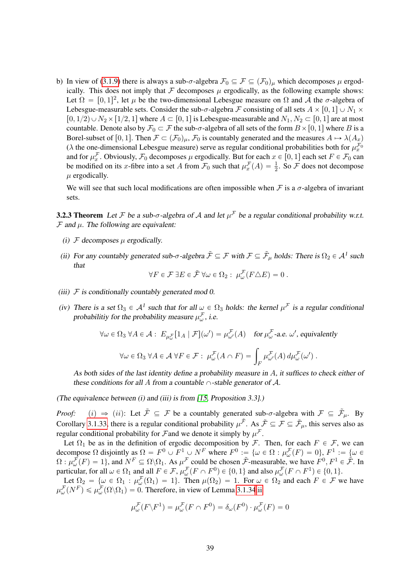b) In view of [\(3.1.9\)](#page-36-1) there is always a sub- $\sigma$ -algebra  $\mathcal{F}_0 \subseteq \mathcal{F} \subseteq (\mathcal{F}_0)_\mu$  which decomposes  $\mu$  ergodically. This does not imply that  $F$  decomposes  $\mu$  ergodically, as the following example shows: Let  $\Omega = [0, 1]^2$ , let  $\mu$  be the two-dimensional Lebesgue measure on  $\Omega$  and A the  $\sigma$ -algebra of Lebesgue-measurable sets. Consider the sub- $\sigma$ -algebra F consisting of all sets  $A \times [0, 1] \cup N_1 \times$  $[0, 1/2) \cup N_2 \times [1/2, 1]$  where  $A \subset [0, 1]$  is Lebesgue-measurable and  $N_1, N_2 \subset [0, 1]$  are at most countable. Denote also by  $\mathcal{F}_0 \subset \mathcal{F}$  the sub- $\sigma$ -algebra of all sets of the form  $B \times [0, 1]$  where B is a Borel-subset of [0, 1]. Then  $\mathcal{F} \subset (\mathcal{F}_0)_\mu$ ,  $\mathcal{F}_0$  is countably generated and the measures  $A \mapsto \lambda(A_x)$ ( $\lambda$  the one-dimensional Lebesgue measure) serve as regular conditional probabilities both for  $\mu_x^{\mathcal{F}_0}$ and for  $\mu_x^{\mathcal{F}}$ . Obviously,  $\mathcal{F}_0$  decomposes  $\mu$  ergodically. But for each  $x \in [0, 1]$  each set  $F \in \mathcal{F}_0$  can be modified on its x-fibre into a set A from  $\mathcal{F}_0$  such that  $\mu_x^{\mathcal{F}}(A) = \frac{1}{2}$ . So  $\mathcal{F}$  does not decompose  $\mu$  ergodically.

We will see that such local modifications are often impossible when  $\mathcal F$  is a  $\sigma$ -algebra of invariant sets.

<span id="page-38-0"></span>**3.2.3 Theorem** Let F be a sub- $\sigma$ -algebra of A and let  $\mu^{\mathcal{F}}$  be a regular conditional probability w.r.t.  $\mathcal F$  and  $\mu$ . The following are equivalent:

- (i)  $\mathcal F$  decomposes  $\mu$  ergodically.
- (ii) For any countably generated sub- $\sigma$ -algebra  $\tilde{\mathcal{F}} \subseteq \mathcal{F}$  with  $\mathcal{F} \subseteq \tilde{\mathcal{F}}_{\mu}$  holds: There is  $\Omega_2 \in \mathcal{A}^1$  such that

$$
\forall F \in \mathcal{F} \exists E \in \tilde{\mathcal{F}} \,\forall \omega \in \Omega_2: \,\mu^{\mathcal{F}}_{\omega}(F \triangle E) = 0 \,.
$$

- (iii)  $F$  is conditionally countably generated mod 0.
- (iv) There is a set  $\Omega_3 \in A^1$  such that for all  $\omega \in \Omega_3$  holds: the kernel  $\mu^F$  is a regular conditional probabilitiy for the probability measure  $\mu^{\mathcal{F}}_{\omega}$ , i.e.

$$
\forall \omega \in \Omega_3 \,\,\forall A \in \mathcal{A}: \, E_{\mu^{\mathcal{F}}_{\omega}}[1_A \,|\, \mathcal{F}](\omega') = \mu^{\mathcal{F}}_{\omega'}(A) \quad \text{for } \mu^{\mathcal{F}}_{\omega}\text{-a.e. } \omega', \text{ equivalently}
$$
\n
$$
\forall \omega \in \Omega_3 \,\,\forall A \in \mathcal{A} \,\,\forall F \in \mathcal{F}: \,\,\mu^{\mathcal{F}}_{\omega}(A \cap F) = \int_F \mu^{\mathcal{F}}_{\omega'}(A) \, d\mu^{\mathcal{F}}_{\omega}(\omega').
$$

As both sides of the last identity define a probability measure in A, it suffices to check either of these conditions for all A from a countable  $\cap$ -stable generator of A.

(The equivalence between (i) and (iii) is from [\[15,](#page-64-0) Proposition 3.3].)

*Proof:* (i)  $\Rightarrow$  (ii): Let  $\tilde{\mathcal{F}} \subseteq \mathcal{F}$  be a countably generated sub- $\sigma$ -algebra with  $\mathcal{F} \subseteq \tilde{\mathcal{F}}_{\mu}$ . By Corollary [3.1.33,](#page-35-3) there is a regular conditional probability  $\mu^{\tilde{\mathcal{F}}}$ . As  $\tilde{\mathcal{F}} \subseteq \mathcal{F} \subseteq \tilde{\mathcal{F}}_{\mu}$ , this serves also as regular conditional probability for Fand we denote it simply by  $\mu^{\mathcal{F}}$ .

Let  $\Omega_1$  be as in the definition of ergodic decomposition by F. Then, for each  $F \in \mathcal{F}$ , we can decompose  $\Omega$  disjointly as  $\Omega = F^0 \cup F^1 \cup N^F$  where  $F^0 := \{ \omega \in \Omega : \mu^{\mathcal{F}}_{\omega}(F) = 0 \}$ ,  $F^1 := \{ \omega \in \Omega \}$  $\Omega: \mu_{\omega}^{\mathcal{F}}(F) = 1$ , and  $N^F \subseteq \Omega \backslash \Omega_1$ . As  $\mu^{\mathcal{F}}$  could be chosen  $\tilde{\mathcal{F}}$ -measurable, we have  $F^0, F^1 \in \tilde{\mathcal{F}}$ . In particular, for all  $\omega \in \Omega_1$  and all  $F \in \mathcal{F}$ ,  $\mu_{\omega}^{\mathcal{F}}(F \cap F^0) \in \{0, 1\}$  and also  $\mu_{\omega}^{\mathcal{F}}(F \cap F^1) \in \{0, 1\}$ .

Let  $\Omega_2 = {\omega \in \Omega_1 : \mu_{\omega}^{\mathcal{F}}(\Omega_1) = 1}$ . Then  $\mu(\Omega_2) = 1$ . For  $\omega \in \Omega_2$  and each  $F \in \mathcal{F}$  we have  $\mu_{\omega}^{\mathcal{F}}(N^F) \le \mu_{\omega}^{\mathcal{F}}(\Omega \backslash \Omega_1) = 0$ . Therefore, in view of Lemma [3.1.34](#page-35-1)[iii](#page-35-4)

$$
\mu_{\omega}^{\mathcal{F}}(F \backslash F^1) = \mu_{\omega}^{\mathcal{F}}(F \cap F^0) = \delta_{\omega}(F^0) \cdot \mu_{\omega}^{\mathcal{F}}(F) = 0
$$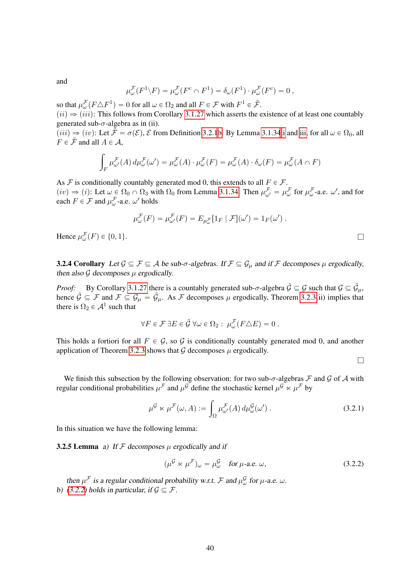and

$$
\mu^{\mathcal{F}}_{\omega}(F^1 \backslash F) = \mu^{\mathcal{F}}_{\omega}(F^c \cap F^1) = \delta_{\omega}(F^1) \cdot \mu^{\mathcal{F}}_{\omega}(F^c) = 0,
$$

so that  $\mu_{\omega}^{\mathcal{F}}(F \triangle F^1) = 0$  for all  $\omega \in \Omega_2$  and all  $F \in \mathcal{F}$  with  $F^1 \in \tilde{\mathcal{F}}$ .

 $(ii) \Rightarrow (iii)$ : This follows from Corollary [3.1.27](#page-32-2) which asserts the existence of at least one countably generated sub- $\sigma$ -algebra as in (ii).

 $(iii) \Rightarrow (iv)$  $(iii) \Rightarrow (iv)$  $(iii) \Rightarrow (iv)$ : Let  $\tilde{\mathcal{F}} = \sigma(\mathcal{E}), \mathcal{E}$  from Definition [3.2.1](#page-37-2)[b.](#page-37-3) By Lemma [3.1.34](#page-35-1)ii and [iii,](#page-35-4) for all  $\omega \in \Omega_0$ , all  $F \in \tilde{\mathcal{F}}$  and all  $A \in \mathcal{A}$ .

$$
\int_{F} \mu_{\omega'}^{\mathcal{F}}(A) d\mu_{\omega}^{\mathcal{F}}(\omega') = \mu_{\omega}^{\mathcal{F}}(A) \cdot \mu_{\omega}^{\mathcal{F}}(F) = \mu_{\omega}^{\mathcal{F}}(A) \cdot \delta_{\omega}(F) = \mu_{\omega}^{\mathcal{F}}(A \cap F)
$$

As F is conditionally countably generated mod 0, this extends to all  $F \in \mathcal{F}$ .

 $(iv) \Rightarrow (i)$ : Let  $\omega \in \Omega_0 \cap \Omega_3$  with  $\Omega_0$  from Lemma [3.1.34.](#page-35-1) Then  $\mu^{\mathcal{F}}_{\omega'} = \mu^{\mathcal{F}}_{\omega}$  for  $\mu^{\mathcal{F}}_{\omega}$ -a.e.  $\omega'$ , and for each  $F \in \mathcal{F}$  and  $\mu_{\omega}^{\mathcal{F}}$ -a.e.  $\omega'$  holds

$$
\mu^{\mathcal{F}}_{\omega}(F) = \mu^{\mathcal{F}}_{\omega'}(F) = E_{\mu^{\mathcal{F}}_{\omega}}[1_F | \mathcal{F}](\omega') = 1_F(\omega').
$$

Hence  $\mu_{\omega}^{\mathcal{F}}(F) \in \{0, 1\}.$ 

**3.2.4 Corollary** Let  $\mathcal{G} \subseteq \mathcal{F} \subseteq \mathcal{A}$  be sub- $\sigma$ -algebras. If  $\mathcal{F} \subseteq \mathcal{G}_{\mu}$  and if  $\mathcal{F}$  decomposes  $\mu$  ergodically, then also  $G$  decomposes  $\mu$  ergodically.

*Proof:* By Corollary [3.1.27](#page-32-2) there is a countably generated sub- $\sigma$ -algebra  $\tilde{G} \subseteq G$  such that  $G \subseteq \tilde{G}_{\mu}$ , hence  $\tilde{\mathcal{G}} \subseteq \mathcal{F}$  and  $\mathcal{F} \subseteq \mathcal{G}_{\mu} = \tilde{\mathcal{G}}_{\mu}$ . As  $\mathcal{F}$  decomposes  $\mu$  ergodically, Theorem [3.2.3\(](#page-38-0)ii) implies that there is  $\Omega_2 \in \mathcal{A}^1$  such that

$$
\forall F \in \mathcal{F} \exists E \in \tilde{\mathcal{G}} \,\forall \omega \in \Omega_2: \,\mu^{\mathcal{F}}_{\omega}(F \triangle E) = 0.
$$

This holds a fortiori for all  $F \in \mathcal{G}$ , so  $\mathcal{G}$  is conditionally countably generated mod 0, and another application of Theorem [3.2.3](#page-38-0) shows that  $G$  decomposes  $\mu$  ergodically.

 $\Box$ 

We finish this subsection by the following observation: for two sub- $\sigma$ -algebras  $\mathcal F$  and  $\mathcal G$  of  $\mathcal A$  with regular conditional probabilities  $\mu^{\mathcal{F}}$  and  $\mu^{\mathcal{G}}$  define the stochastic kernel  $\mu^{\mathcal{G}} \ltimes \mu^{\mathcal{F}}$  by

$$
\mu^{\mathcal{G}} \ltimes \mu^{\mathcal{F}}(\omega, A) := \int_{\Omega} \mu^{\mathcal{F}}_{\omega'}(A) d\mu^{\mathcal{G}}_{\omega}(\omega'). \tag{3.2.1}
$$

In this situation we have the following lemma:

**3.2.5 Lemma** a) If F decomposes  $\mu$  ergodically and if

<span id="page-39-1"></span><span id="page-39-0"></span>
$$
(\mu^{\mathcal{G}} \ltimes \mu^{\mathcal{F}})_{\omega} = \mu^{\mathcal{G}}_{\omega} \quad \text{for } \mu\text{-a.e. } \omega,
$$
 (3.2.2)

then  $\mu^{\mathcal{F}}$  is a regular conditional probability w.r.t.  $\mathcal F$  and  $\mu^{\mathcal{G}}_{\omega}$  for  $\mu$ -a.e.  $\omega$ . b) [\(3.2.2\)](#page-39-0) holds in particular, if  $\mathcal{G} \subseteq \mathcal{F}$ .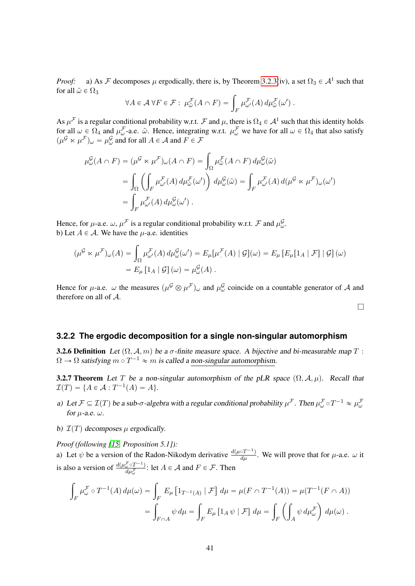*Proof:* a) As F decomposes  $\mu$  ergodically, there is, by Theorem [3.2.3\(](#page-38-0)iv), a set  $\Omega_3 \in A^1$  such that for all  $\tilde{\omega} \in \Omega_3$ 

$$
\forall A \in \mathcal{A} \ \forall F \in \mathcal{F}: \ \mu_{\tilde{\omega}}^{\mathcal{F}}(A \cap F) = \int_{F} \mu_{\omega'}^{\mathcal{F}}(A) \ d\mu_{\tilde{\omega}}^{\mathcal{F}}(\omega') \ .
$$

As  $\mu^F$  is a regular conditional probability w.r.t. F and  $\mu$ , there is  $\Omega_4 \in A^1$  such that this identity holds for all  $\omega \in \Omega_4$  and  $\mu^{\mathcal{F}}_{\omega}$ -a.e.  $\tilde{\omega}$ . Hence, integrating w.r.t.  $\mu^{\mathcal{F}}_{\omega}$  we have for all  $\omega \in \Omega_4$  that also satisfy  $(\mu^{\mathcal{G}} \ltimes \mu^{\mathcal{F}})_{\omega} = \mu^{\mathcal{G}}_{\omega}$  and for all  $A \in \mathcal{A}$  and  $F \in \mathcal{F}$ 

$$
\mu_{\omega}^{\mathcal{G}}(A \cap F) = (\mu^{\mathcal{G}} \times \mu^{\mathcal{F}})_{\omega}(A \cap F) = \int_{\Omega} \mu_{\tilde{\omega}}^{\mathcal{F}}(A \cap F) d\mu_{\omega}^{\mathcal{G}}(\tilde{\omega})
$$
  
\n
$$
= \int_{\Omega} \left( \int_{F} \mu_{\omega'}^{\mathcal{F}}(A) d\mu_{\tilde{\omega}}^{\mathcal{F}}(\omega') \right) d\mu_{\omega}^{\mathcal{G}}(\tilde{\omega}) = \int_{F} \mu_{\omega'}^{\mathcal{F}}(A) d(\mu^{\mathcal{G}} \times \mu^{\mathcal{F}})_{\omega}(\omega')
$$
  
\n
$$
= \int_{F} \mu_{\omega'}^{\mathcal{F}}(A) d\mu_{\omega}^{\mathcal{G}}(\omega').
$$

Hence, for  $\mu$ -a.e.  $\omega$ ,  $\mu^{\mathcal{F}}$  is a regular conditional probability w.r.t.  $\mathcal{F}$  and  $\mu^{\mathcal{G}}_{\omega}$ . b) Let  $A \in \mathcal{A}$ . We have the *u*-a.e. identities

$$
(\mu^{\mathcal{G}} \ltimes \mu^{\mathcal{F}})_{\omega}(A) = \int_{\Omega} \mu^{\mathcal{F}}_{\omega'}(A) d\mu^{\mathcal{G}}_{\omega}(\omega') = E_{\mu}[\mu^{\mathcal{F}}(A) | \mathcal{G}](\omega) = E_{\mu}[E_{\mu}[1_A | \mathcal{F}] | \mathcal{G}](\omega)
$$

$$
= E_{\mu}[1_A | \mathcal{G}](\omega) = \mu^{\mathcal{G}}_{\omega}(A).
$$

Hence for  $\mu$ -a.e.  $\omega$  the measures  $(\mu^{\mathcal{G}} \otimes \mu^{\mathcal{F}})_{\omega}$  and  $\mu^{\mathcal{G}}_{\omega}$  coincide on a countable generator of A and therefore on all of A.

 $\Box$ 

#### <span id="page-40-0"></span>**3.2.2 The ergodic decomposition for a single non-singular automorphism**

**3.2.6 Definition** Let  $(\Omega, \mathcal{A}, m)$  be a  $\sigma$ -finite measure space. A bijective and bi-measurable map T :  $\Omega \to \Omega$  satisfying  $m \circ T^{-1} \approx m$  is called a non-singular automorphism.

<span id="page-40-1"></span>**3.2.7 Theorem** Let T be a non-singular automorphism of the pLR space  $(\Omega, \mathcal{A}, \mu)$ . Recall that  $\mathcal{I}(T) = \{ A \in \mathcal{A} : T^{-1}(A) = A \}.$ 

- <span id="page-40-2"></span>a) Let  $\mathcal{F} \subseteq \mathcal{I}(T)$  be a sub- $\sigma$ -algebra with a regular conditional probability  $\mu^{\mathcal{F}}$ . Then  $\mu^{\mathcal{F}}_{\omega} \circ T^{-1} \approx \mu^{\mathcal{F}}_{\omega}$ for  $\mu$ -a.e.  $\omega$ .
- <span id="page-40-3"></span>b)  $\mathcal{I}(T)$  decomposes  $\mu$  ergodically.

*Proof (following [\[15,](#page-64-0) Proposition 5.1]):*

a) Let  $\psi$  be a version of the Radon-Nikodym derivative  $\frac{d(\mu \circ T^{-1})}{d\mu}$ . We will prove that for  $\mu$ -a.e.  $\omega$  it is also a version of  $\frac{d(\mu_{\omega}^{\mathcal{F}} \circ T^{-1})}{d \mu^{\mathcal{F}}}$  $\frac{\sum_{\omega} \circ I^{-1}}{d\mu_{\omega}^{\mathcal{F}}}$ : let  $A \in \mathcal{A}$  and  $F \in \mathcal{F}$ . Then

$$
\int_F \mu_{\omega}^{\mathcal{F}} \circ T^{-1}(A) d\mu(\omega) = \int_F E_{\mu} \left[ 1_{T^{-1}(A)} | \mathcal{F} \right] d\mu = \mu(F \cap T^{-1}(A)) = \mu(T^{-1}(F \cap A))
$$

$$
= \int_{F \cap A} \psi d\mu = \int_F E_{\mu} \left[ 1_A \psi | \mathcal{F} \right] d\mu = \int_F \left( \int_A \psi d\mu_{\omega}^{\mathcal{F}} \right) d\mu(\omega) .
$$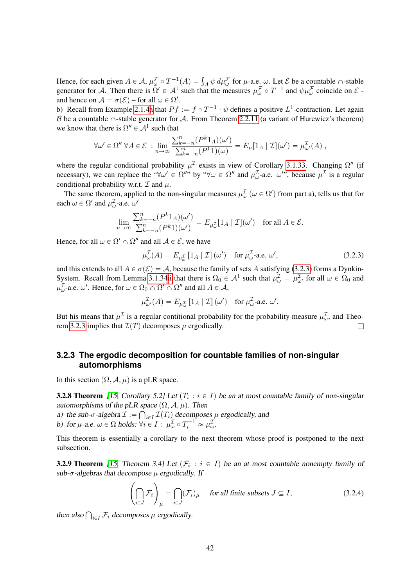Hence, for each given  $A \in \mathcal{A}$ ,  $\mu_{\omega}^{\mathcal{F}} \circ T^{-1}(A) = \int_A \psi \, d\mu_{\omega}^{\mathcal{F}}$  for  $\mu$ -a.e.  $\omega$ . Let  $\mathcal{E}$  be a countable  $\cap$ -stable generator for A. Then there is  $\Omega' \in A^1$  such that the measures  $\mu_{\omega}^{\mathcal{F}} \circ T^{-1}$  and  $\psi \mu_{\omega}^{\mathcal{F}}$  coincide on  $\mathcal{E}$ . and hence on  $\mathcal{A} = \sigma(\mathcal{E})$  – for all  $\omega \in \Omega'.$ 

b) Recall from Example [2.1.4](#page-12-3)[a](#page-12-5) that  $Pf := f \circ T^{-1} \cdot \psi$  defines a positive  $L^1$ -contraction. Let again B be a countable  $\cap$ -stable generator for A. From Theorem [2.2.11](#page-23-2) (a variant of Hurewicz's theorem) we know that there is  $\Omega'' \in \mathcal{A}^1$  such that

$$
\forall \omega' \in \Omega'' \ \forall A \in \mathcal{E} \ : \lim_{n \to \infty} \frac{\sum_{k=-n}^{n} (P^k 1_A)(\omega')}{\sum_{k=-n}^{n} (P^k 1)(\omega)} = E_{\mu}[1_A \mid \mathcal{I}](\omega') = \mu_{\omega'}^{\mathcal{I}}(A) \ ,
$$

where the regular conditional probability  $\mu^{\mathcal{I}}$  exists in view of Corollary [3.1.33.](#page-35-3) Changing  $\Omega''$  (if necessary), we can replace the " $\forall \omega' \in \Omega''$ " by " $\forall \omega \in \Omega''$  and  $\mu^{\mathcal{I}}_{\omega}$ -a.e.  $\omega''$ ", because  $\mu^{\mathcal{I}}$  is a regular conditional probability w.r.t.  $\mathcal I$  and  $\mu$ .

The same theorem, applied to the non-singular measures  $\mu_{\omega}^{\mathcal{I}}(\omega \in \Omega')$  from part a), tells us that for each  $\omega \in \Omega'$  and  $\mu_{\omega}^{\mathcal{I}}$ -a.e.  $\omega'$ 

$$
\lim_{n \to \infty} \frac{\sum_{k=-n}^{n} (P^k 1_A)(\omega')}{\sum_{k=-n}^{n} (P^k 1)(\omega')} = E_{\mu_{\omega}^{\mathcal{I}}} [1_A | \mathcal{I}] (\omega') \text{ for all } A \in \mathcal{E}.
$$

Hence, for all  $\omega \in \Omega' \cap \Omega''$  and all  $\mathcal{A} \in \mathcal{E}$ , we have

<span id="page-41-2"></span>
$$
\mu_{\omega}^{\mathcal{I}}(A) = E_{\mu_{\omega}^{\mathcal{I}}}[1_{A} | \mathcal{I}] (\omega') \text{ for } \mu_{\omega}^{\mathcal{I}\text{-a.e. } \omega'}, \tag{3.2.3}
$$

and this extends to all  $A \in \sigma(\mathcal{E}) = \mathcal{A}$ , because the family of sets A satisfying [\(3.2.3\)](#page-41-2) forms a Dynkin-System. Recall from Lemma [3.1.34](#page-35-1)[ii](#page-35-5) that there is  $\Omega_0 \in A^1$  such that  $\mu_{\omega}^{\mathcal{I}} = \mu_{\omega'}^{\mathcal{I}}$  for all  $\omega \in \Omega_0$  and  $\mu_{\omega}^{\mathcal{I}}$ -a.e.  $\omega'$ . Hence, for  $\omega \in \Omega_0 \cap \Omega' \cap \Omega''$  and all  $A \in \mathcal{A}$ ,

$$
\mu_{\omega'}^{\mathcal{I}}(A) = E_{\mu_{\omega}^{\mathcal{I}}}\left[1_{A} \mid \mathcal{I}\right](\omega') \text{ for } \mu_{\omega}^{\mathcal{I}}\text{-a.e. } \omega',
$$

But his means that  $\mu^{\mathcal{I}}$  is a regular contitional probability for the probability measure  $\mu^{\mathcal{I}}_{\omega}$ , and Theo-rem [3.2.3](#page-38-0) implies that  $\mathcal{I}(T)$  decomposes  $\mu$  ergodically.

# <span id="page-41-0"></span>**3.2.3 The ergodic decomposition for countable families of non-singular automorphisms**

<span id="page-41-4"></span>In this section  $(\Omega, \mathcal{A}, \mu)$  is a pLR space.

**3.2.8 Theorem** [\[15,](#page-64-0) Corollary 5.2] Let  $(T_i : i \in I)$  be an at most countable family of non-singular automorphisms of the pLR space  $(\Omega, \mathcal{A}, \mu)$ . Then

a) the sub- $\sigma$ -algebra  $\mathcal{I} := \bigcap_{i \in I} \mathcal{I}(T_i)$  decomposes  $\mu$  ergodically, and b) for  $\mu$ -a.e.  $\omega \in \Omega$  holds:  $\forall i \in I : \mu_{\omega}^{\mathcal{I}} \circ T_i^{-1} \approx \mu_{\omega}^{\mathcal{I}}$ .

This theorem is essentially a corollary to the next theorem whose proof is postponed to the next subsection.

<span id="page-41-1"></span>**3.2.9 Theorem** [\[15,](#page-64-0) Theorem 3.4] Let  $(\mathcal{F}_i : i \in I)$  be an at most countable nonempty family of sub- $\sigma$ -algebras that decompose  $\mu$  ergodically. If

<span id="page-41-3"></span>
$$
\left(\bigcap_{i\in J} \mathcal{F}_i\right)_{\mu} = \bigcap_{i\in J} (\mathcal{F}_i)_{\mu} \quad \text{ for all finite subsets } J \subseteq I,
$$
\n(3.2.4)

then also  $\bigcap_{i \in I} \mathcal{F}_i$  decomposes  $\mu$  ergodically.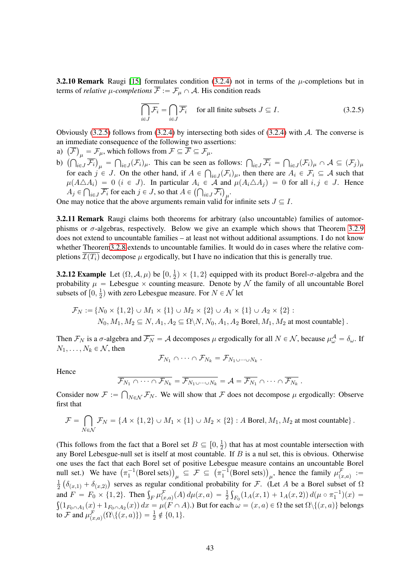**3.2.10 Remark** Raugi [\[15\]](#page-64-0) formulates condition [\(3.2.4\)](#page-41-3) not in terms of the  $\mu$ -completions but in terms of *relative*  $\mu$ -completions  $\overline{\mathcal{F}} := \mathcal{F}_{\mu} \cap \mathcal{A}$ . His condition reads

<span id="page-42-1"></span>
$$
\overline{\bigcap_{i\in J} \mathcal{F}_i} = \bigcap_{i\in J} \overline{\mathcal{F}_i} \quad \text{ for all finite subsets } J \subseteq I. \tag{3.2.5}
$$

Obviously  $(3.2.5)$  follows from  $(3.2.4)$  by intersecting both sides of  $(3.2.4)$  with A. The converse is an immediate consequence of the following two assertions:

- an immediate consequence of the following two ass<br>a)  $\left(\overline{\mathcal{F}}\right)_{\mu} = \mathcal{F}_{\mu}$ , which follows from  $\mathcal{F} \subseteq \overline{\mathcal{F}} \subseteq \mathcal{F}_{\mu}$ .
- b)  $\left(\bigcap_{i\in J} \overline{\mathcal{F}_i}\right)_{\mu} = \bigcap_{i\in J} (\mathcal{F}_i)_{\mu}$ . This can be seen as follows:  $\bigcap_{i\in J} \overline{\mathcal{F}_i} =$ Ş i as follows:  $\bigcap_{i \in J} \mathcal{F}_i = \bigcap_{i \in J} (\mathcal{F}_i)_{\mu} \cap \mathcal{A} \subseteq (\mathcal{F}_j)_{\mu}$ for each  $j \in J$ . On the other hand, if  $A \in \bigcap_{i \in J} (\mathcal{F}_i)_{\mu}$ , then there are  $A_i \in \mathcal{F}_i \subseteq A$  such that  $\mu(A \triangle A_i) = 0$   $(i \in J)$ . In particular  $A_i \in \mathcal{A}$  and  $\mu(A_i \triangle A_j) = 0$  for all  $i, j \in J$ . Hence  $A_j \in \bigcap_{i \in J} \overline{\mathcal{F}}_i$  for each  $j \in J$ , so that  $A \in \left(\bigcap_{i \in J} \overline{\mathcal{F}}_i\right)_{\mu}$ .

One may notice that the above arguments remain valid for infinite sets  $J \subseteq I$ .

3.2.11 Remark Raugi claims both theorems for arbitrary (also uncountable) families of automorphisms or  $\sigma$ -algebras, respectively. Below we give an example which shows that Theorem [3.2.9](#page-41-1) does not extend to uncountable families – at least not without additional assumptions. I do not know whether Theore[m3.2.8](#page-41-4) extends to uncountable families. It would do in cases where the relative completions  $\mathcal{I}(T_i)$  decompose  $\mu$  ergodically, but I have no indication that this is generally true.

<span id="page-42-0"></span>**3.2.12 Example** Let  $(\Omega, \mathcal{A}, \mu)$  be  $[0, \frac{1}{2}]$  $\frac{1}{2}$   $\times$  {1, 2} equipped with its product Borel- $\sigma$ -algebra and the probability  $\mu =$  Lebesgue  $\times$  counting measure. Denote by  $\mathcal N$  the family of all uncountable Borel subsets of  $\left[0, \frac{1}{2}\right]$  $\frac{1}{2}$ ) with zero Lebesgue measure. For  $N \in \mathcal{N}$  let

$$
\mathcal{F}_N := \{ N_0 \times \{1, 2\} \cup M_1 \times \{1\} \cup M_2 \times \{2\} \cup A_1 \times \{1\} \cup A_2 \times \{2\} :
$$
  

$$
N_0, M_1, M_2 \subseteq N, A_1, A_2 \subseteq \Omega \setminus N, N_0, A_1, A_2 \text{ Borel}, M_1, M_2 \text{ at most countable} \} .
$$

Then  $\mathcal{F}_N$  is a  $\sigma$ -algebra and  $\overline{\mathcal{F}_N} = \mathcal{A}$  decomposes  $\mu$  ergodically for all  $N \in \mathcal{N}$ , because  $\mu^{\mathcal{A}}_{\omega} = \delta_{\omega}$ . If  $N_1, \ldots, N_k \in \mathcal{N}$ , then

$$
\mathcal{F}_{N_1} \cap \cdots \cap \mathcal{F}_{N_k} = \mathcal{F}_{N_1 \cup \cdots \cup N_k}.
$$

Hence

$$
\overline{\mathcal{F}_{N_1} \cap \cdots \cap \mathcal{F}_{N_k}} = \overline{\mathcal{F}_{N_1 \cup \cdots \cup N_k}} = \mathcal{A} = \overline{\mathcal{F}_{N_1}} \cap \cdots \cap \overline{\mathcal{F}_{N_k}}.
$$

Consider now  $\mathcal{F} :=$  $_{N\in\mathcal{N}}\mathcal{F}_{N}$ . We will show that  $\mathcal F$  does not decompose  $\mu$  ergodically: Observe first that

$$
\mathcal{F} = \bigcap_{N \in \mathcal{N}} \mathcal{F}_N = \{A \times \{1, 2\} \cup M_1 \times \{1\} \cup M_2 \times \{2\} : A \text{ Borel}, M_1, M_2 \text{ at most countable}\}.
$$

(This follows from the fact that a Borel set  $B \subseteq [0, \frac{1}{2})$  $\frac{1}{2}$ ) that has at most countable intersection with any Borel Lebesgue-null set is itself at most countable. If B is a nul set, this is obvious. Otherwise one uses the fact that each Borel set of positive Lebesgue measure contains an uncountable Borel<br>null set.) We have  $(\pi_1^{-1}(\text{Borel sets}))_{\mu} \subseteq \mathcal{F} \subseteq (\pi_1^{-1}(\text{Borel sets}))_{\mu}$ , hence the family  $\mu_{(x,a)}^{\mathcal{F}} :=$  $\mathbf$  $_{\mu} \ \subseteq \ \mathcal{F} \ \subseteq$  $\mathbf{e}$  $\pi_1^{-1}$ (Borel sets)  $\ddot{\phantom{0}}$ all set.) We have  $(\pi_1^{-1}(\text{Borel sets}))_{\mu} \subseteq \mathcal{F} \subseteq (\pi_1^{-1}(\text{Borel sets}))_{\mu}$ , hence the family  $\mu_{(x,a)}^{\mathcal{F}} :=$ 1  $\frac{1}{2}$  ( $\delta_{(x,1)} + \delta_{(x,2)}$ ) serves as regular conditional probability for F. (Let A be a Borel subset of  $\Omega$  $\frac{1}{2}$  ( $\partial(x,1) + \partial(x,2)$ ) serves as regular conditional probability for F. (Let A be a Borel subset of  $\Omega$ <br>and  $F = F_0 \times \{1,2\}$ . Then  $\int_F \mu_{(x,a)}^{\mathcal{F}}(A) d\mu(x,a) = \frac{1}{2} \int_{F_0} (1_A(x,1) + 1_A(x,2)) d(\mu \circ \pi_1^{-1})(x) =$  $p(1_{F_0\cap A_1}(x)+1_{F_0\cap A_2}(x)) dx = \mu(F\cap A).$  But for each  $\omega=(x, a)\in \Omega$  the set  $\Omega\setminus\{(x, a)\}$  belongs to F and  $\mu_{(x,a)}^{\mathcal{F}}(\Omega \setminus \{(x,a)\}) = \frac{1}{2} \notin \{0,1\}.$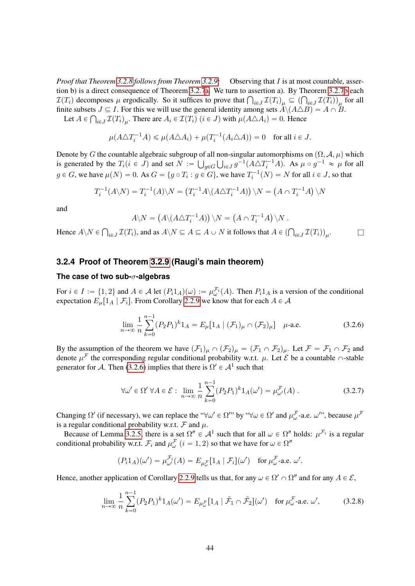*Proof that Theorem [3.2.8](#page-41-4) follows from Theorem [3.2.9:](#page-41-1)* Observing that I is at most countable, assertion b) is a direct consequence of Theorem [3.2.7](#page-40-1)[a.](#page-40-2) We turn to assertion a). By Theorem [3.2.7](#page-40-1)[b](#page-40-3) each tion b) is a direct consequence of Theorem 3.2.7 a. We turn to assertion a). By Theorem 3.2.7 b each  $\mathcal{I}(T_i)$  decomposes  $\mu$  ergodically. So it suffices to prove that  $\bigcap_{i \in J} \mathcal{I}(T_i)_{\mu} \subseteq (\bigcap_{i \in J} \mathcal{I}(T_i))_{\mu}$  f finite subsets  $J \subseteq I$ . For this we will use the general identity among sets  $\hat{A} \setminus (A \triangle B) = A \cap B$ .

Let  $A \in \bigcap_{i \in J} \mathcal{I}(T_i)_{\mu}$ . There are  $A_i \in \mathcal{I}(T_i)$   $(i \in J)$  with  $\mu(A \triangle A_i) = 0$ . Hence

$$
\mu(A\triangle T_i^{-1}A) \leq \mu(A\triangle A_i) + \mu(T_i^{-1}(A_i\triangle A)) = 0 \quad \text{for all } i \in J.
$$

Denote by G the countable algebraic subgroup of all non-singular automorphisms on  $(\Omega, \mathcal{A}, \mu)$  which is generated by the  $T_i (i \in J)$  and set  $N := \bigcup_{g \in G} \bigcup_{i \in J} g^{-1}(A \triangle T_i^{-1}A)$ . As  $\mu \circ g^{-1} \approx \mu$  for all  $g \in G$ , we have  $\mu(N) = 0$ . As  $G = \{g \circ T_i : g \in G\}$ , we have  $T_i^{-1}(N) = N$  for all  $i \in J$ , so that

$$
T_i^{-1}(A\setminus N) = T_i^{-1}(A)\setminus N = (T_i^{-1}A\setminus (A\triangle T_i^{-1}A))\setminus N = (A \cap T_i^{-1}A)\setminus N
$$

and

$$
A \setminus N = (A \setminus (A \triangle T_i^{-1}A)) \setminus N = (A \cap T_i^{-1}A) \setminus N.
$$

Hence  $A\$  N \in Ş  $\mathcal{I}(T_i)$ , and as  $A \setminus N \subseteq A \subseteq A \cup N$  it follows that  $A \in (\bigcap_{i \in J} \mathcal{I}(T_i))_{\mu_i}$  $\Box$ 

## <span id="page-43-0"></span>**3.2.4 Proof of Theorem [3.2.9](#page-41-1) (Raugi's main theorem)**

#### **The case of two sub-**σ**-algebras**

For  $i \in I := \{1, 2\}$  and  $A \in \mathcal{A}$  let  $(P_i 1_A)(\omega) := \mu_{\omega}^{\mathcal{F}_i}(A)$ . Then  $P_i 1_A$  is a version of the conditional expectation  $E_{\mu}[1_A | \mathcal{F}_i]$ . From Corollary [2.2.9](#page-22-1) we know that for each  $A \in \mathcal{A}$ 

<span id="page-43-1"></span>
$$
\lim_{n \to \infty} \frac{1}{n} \sum_{k=0}^{n-1} (P_2 P_1)^k 1_A = E_{\mu} [1_A | (\mathcal{F}_1)_{\mu} \cap (\mathcal{F}_2)_{\mu}] \quad \mu\text{-a.e.}
$$
 (3.2.6)

By the assumption of the theorem we have  $(\mathcal{F}_1)_\mu \cap (\mathcal{F}_2)_\mu = (\mathcal{F}_1 \cap \mathcal{F}_2)_\mu$ . Let  $\mathcal{F} = \mathcal{F}_1 \cap \mathcal{F}_2$  and denote  $\mu^{\mathcal{F}}$  the corresponding regular conditional probability w.r.t.  $\mu$ . Let  $\mathcal{E}$  be a countable  $\cap$ -stable generator for A. Then [\(3.2.6\)](#page-43-1) implies that there is  $\Omega' \in A^1$  such that

$$
\forall \omega' \in \Omega' \,\forall A \in \mathcal{E}: \lim_{n \to \infty} \frac{1}{n} \sum_{k=0}^{n-1} (P_2 P_1)^k 1_A(\omega') = \mu_{\omega'}^{\mathcal{F}}(A) \,.
$$
 (3.2.7)

Changing  $\Omega'$  (if necessary), we can replace the " $\forall \omega' \in \Omega''$  by " $\forall \omega \in \Omega'$  and  $\mu^{\mathcal{F}}_{\omega}$ -a.e.  $\omega''$ ", because  $\mu^{\mathcal{F}}$ is a regular conditional probability w.r.t.  $\mathcal F$  and  $\mu$ .

Because of Lemma [3.2.5,](#page-39-1) there is a set  $\Omega'' \in A^1$  such that for all  $\omega \in \Omega''$  holds:  $\mu^{\mathcal{F}_i}$  is a regular conditional probability w.r.t.  $\mathcal{F}_i$  and  $\mu^{\mathcal{F}}_{\omega}$   $(i = 1, 2)$  so that we have for  $\omega \in \Omega''$ 

$$
(P_i 1_A)(\omega') = \mu_{\omega'}^{\mathcal{F}_i}(A) = E_{\mu_{\omega}^{\mathcal{F}}} [1_A | \mathcal{F}_i](\omega') \text{ for } \mu_{\omega}^{\mathcal{F}}\text{-a.e. } \omega'.
$$

Hence, another application of Corollary [2.2.9](#page-22-1) tells us that, for any  $\omega \in \Omega' \cap \Omega''$  and for any  $A \in \mathcal{E}$ ,

$$
\lim_{n \to \infty} \frac{1}{n} \sum_{k=0}^{n-1} (P_2 P_1)^k 1_A(\omega') = E_{\mu_{\omega}^{\mathcal{F}}} [1_A | \tilde{\mathcal{F}}_1 \cap \tilde{\mathcal{F}}_2](\omega') \text{ for } \mu_{\omega}^{\mathcal{F}}\text{-a.e. } \omega',\tag{3.2.8}
$$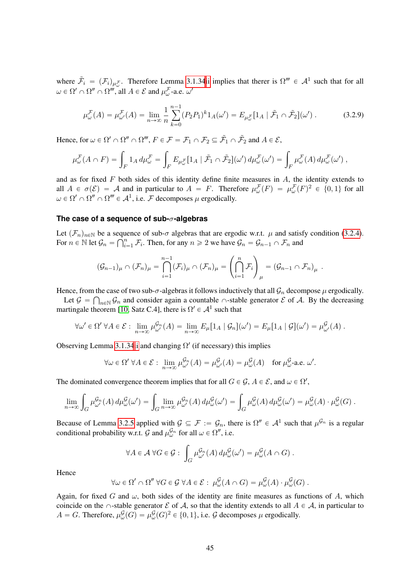where  $\tilde{\mathcal{F}}_i = (\mathcal{F}_i)_{\mu_{\omega}^{\mathcal{F}}}$ . Therefore Lemma [3.1.34](#page-35-1)[ii](#page-35-5) implies that therer is  $\Omega''' \in \mathcal{A}^1$  such that for all  $\omega \in \Omega' \cap \Omega'' \cap \Omega'''$ , all  $A \in \mathcal{E}$  and  $\mu_{\omega}^{\mathcal{F}}$ -a.e.  $\omega'$ 

$$
\mu_{\omega}^{\mathcal{F}}(A) = \mu_{\omega'}^{\mathcal{F}}(A) = \lim_{n \to \infty} \frac{1}{n} \sum_{k=0}^{n-1} (P_2 P_1)^k 1_A(\omega') = E_{\mu_{\omega}^{\mathcal{F}}}[1_A | \tilde{\mathcal{F}}_1 \cap \tilde{\mathcal{F}}_2](\omega').
$$
 (3.2.9)

Hence, for  $\omega \in \Omega' \cap \Omega'' \cap \Omega'''$ ,  $F \in \mathcal{F} = \mathcal{F}_1 \cap \mathcal{F}_2 \subseteq \tilde{\mathcal{F}}_1 \cap \tilde{\mathcal{F}}_2$  and  $A \in \mathcal{E}$ ,

$$
\mu^{\mathcal{F}}_{\omega}(A \cap F) = \int_{F} 1_A d\mu^{\mathcal{F}}_{\omega} = \int_{F} E_{\mu^{\mathcal{F}}_{\omega}} [1_A | \tilde{\mathcal{F}}_1 \cap \tilde{\mathcal{F}}_2](\omega') d\mu^{\mathcal{F}}_{\omega}(\omega') = \int_{F} \mu^{\mathcal{F}}_{\omega}(A) d\mu^{\mathcal{F}}_{\omega}(\omega'),
$$

and as for fixed  $F$  both sides of this identity define finite measures in  $A$ , the identity extends to all  $A \in \sigma(\mathcal{E}) = \mathcal{A}$  and in particular to  $A = F$ . Therefore  $\mu_{\omega}^{\mathcal{F}}(F) = \mu_{\omega}^{\mathcal{F}}(F)^2 \in \{0,1\}$  for all  $\omega \in \Omega' \cap \Omega'' \cap \Omega''' \in \mathcal{A}^1$ , i.e. F decomposes  $\mu$  ergodically.

#### **The case of a sequence of sub-**σ**-algebras**

Let  $(\mathcal{F}_n)_{n \in \mathbb{N}}$  be a sequence of sub- $\sigma$  algebras that are ergodic w.r.t.  $\mu$  and satisfy condition [\(3.2.4\)](#page-41-3).<br>For  $n \in \mathbb{N}$  let  $G = \bigcap_{n=1}^{n} \mathcal{F}$ . Then, for any  $n > 2$  we have  $G = G$  and For  $n \in \mathbb{N}$  let  $\mathcal{G}_n = \bigcap_{i=1}^n \mathcal{F}_i$ . Then, for any  $n \geq 2$  we have  $\mathcal{G}_n = \mathcal{G}_{n-1} \cap \mathcal{F}_n$  and

$$
(\mathcal{G}_{n-1})_{\mu} \cap (\mathcal{F}_n)_{\mu} = \bigcap_{i=1}^{n-1} (\mathcal{F}_i)_{\mu} \cap (\mathcal{F}_n)_{\mu} = \left(\bigcap_{i=1}^n \mathcal{F}_i\right)_{\mu} = (\mathcal{G}_{n-1} \cap \mathcal{F}_n)_{\mu}.
$$

Hence, from the case of two sub- $\sigma$ -algebras it follows inductively that all  $\mathcal{G}_n$  decompose  $\mu$  ergodically.

Let  $\mathcal{G} = \bigcap_{n \in \mathbb{N}} \mathcal{G}_n$  and consider again a countable  $\cap$ -stable generator  $\mathcal{E}$  of  $\mathcal{A}$ . By the decreasing martingale theorem [\[10,](#page-64-1) Satz C.4], there is  $\Omega' \in \mathcal{A}^1$  such that

$$
\forall \omega' \in \Omega' \ \forall A \in \mathcal{E} : \lim_{n \to \infty} \mu_{\omega'}^{\mathcal{G}_n}(A) = \lim_{n \to \infty} E_{\mu}[1_A \mid \mathcal{G}_n](\omega') = E_{\mu}[1_A \mid \mathcal{G}](\omega') = \mu_{\omega'}^{\mathcal{G}}(A) .
$$

Observing Lemma [3.1.34](#page-35-1)[ii](#page-35-5) and changing  $\Omega'$  (if necessary) this implies

$$
\forall \omega \in \Omega' \ \forall A \in \mathcal{E} : \lim_{n \to \infty} \mu_{\omega'}^{\mathcal{G}_n}(A) = \mu_{\omega'}^{\mathcal{G}}(A) = \mu_{\omega}^{\mathcal{G}}(A) \quad \text{for } \mu_{\omega}^{\mathcal{G}}\text{-a.e. } \omega'.
$$

The dominated convergence theorem implies that for all  $G \in \mathcal{G}$ ,  $A \in \mathcal{E}$ , and  $\omega \in \Omega'$ ,

$$
\lim_{n\to\infty}\int_G\mu_{\omega'}^{G_n}(A)\,d\mu_{\omega}^{\mathcal{G}}(\omega')=\int_G\lim_{n\to\infty}\mu_{\omega'}^{G_n}(A)\,d\mu_{\omega}^{\mathcal{G}}(\omega')=\int_G\mu_{\omega}^{\mathcal{G}}(A)\,d\mu_{\omega}^{\mathcal{G}}(\omega')=\mu_{\omega}^{\mathcal{G}}(A)\cdot\mu_{\omega}^{\mathcal{G}}(G).
$$

Because of Lemma [3.2.5](#page-39-1) applied with  $\mathcal{G} \subseteq \mathcal{F} := \mathcal{G}_n$ , there is  $\Omega'' \in \mathcal{A}^1$  such that  $\mu^{\mathcal{G}_n}$  is a regular conditional probability w.r.t.  $\mathcal G$  and  $\mu_{\omega}^{\mathcal G_n}$  for all  $\omega \in \Omega^n$ , i.e.

$$
\forall A \in \mathcal{A} \ \forall G \in \mathcal{G} : \int_G \mu_{\omega'}^{\mathcal{G}_n}(A) \, d\mu_{\omega}^{\mathcal{G}}(\omega') = \mu_{\omega}^{\mathcal{G}}(A \cap G) \ .
$$

Hence

$$
\forall \omega \in \Omega' \cap \Omega'' \ \forall G \in \mathcal{G} \ \forall A \in \mathcal{E} : \ \mu^{\mathcal{G}}_{\omega}(A \cap G) = \mu^{\mathcal{G}}_{\omega}(A) \cdot \mu^{\mathcal{G}}_{\omega}(G) .
$$

Again, for fixed G and  $\omega$ , both sides of the identity are finite measures as functions of A, which coincide on the  $\cap$ -stable generator  $\mathcal E$  of  $\mathcal A$ , so that the identity extends to all  $A \in \mathcal A$ , in particular to  $A = G$ . Therefore,  $\mu_{\omega}^{\mathcal{G}}(G) = \mu_{\omega}^{\mathcal{G}}(G)^2 \in \{0, 1\}$ , i.e.  $\mathcal{G}$  decomposes  $\mu$  ergodically.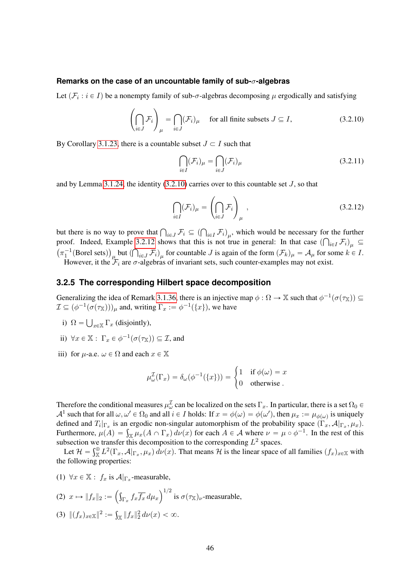#### **Remarks on the case of an uncountable family of sub-**σ**-algebras**

Let  $(\mathcal{F}_i : i \in I)$  be a nonempty family of sub- $\sigma$ -algebras decomposing  $\mu$  ergodically and satisfying

<span id="page-45-1"></span>
$$
\left(\bigcap_{i\in J} \mathcal{F}_i\right)_{\mu} = \bigcap_{i\in J} (\mathcal{F}_i)_{\mu} \quad \text{ for all finite subsets } J \subseteq I,
$$
\n(3.2.10)

By Corollary [3.1.23,](#page-31-3) there is a countable subset  $J \subset I$  such that

$$
\bigcap_{i \in I} (\mathcal{F}_i)_{\mu} = \bigcap_{i \in J} (\mathcal{F}_i)_{\mu}
$$
\n(3.2.11)

and by Lemma [3.1.24,](#page-32-3) the identity  $(3.2.10)$  carries over to this countable set  $J$ , so that

$$
\bigcap_{i\in I} (\mathcal{F}_i)_{\mu} = \left(\bigcap_{i\in J} \mathcal{F}_i\right)_{\mu},
$$
\n(3.2.12)

but there is no way to prove that  $\bigcap_{i\in J} \mathcal{F}_i \subseteq (\bigcap_{i\in I} \mathcal{F}_i)_\mu$ , which would be necessary for the further proof. Indeed, Example [3.2.12](#page-42-0) shows that this is not true in general: In that case  $(\bigcap_{i\in I} \mathcal{F}_i)_{\mu} \subseteq$  $\pi_1^{-1}(\text{Borel sets})_{\mu}$  but  $\left(\bigcap_{i\in J} \mathcal{F}_i\right)_{\mu}$  for countable J is again of the form  $(\mathcal{F}_k)_{\mu} = \mathcal{A}_{\mu}$  for some  $k \in I$ . However, it the  $\mathcal{F}_i$  are  $\sigma$ -algebras of invariant sets, such counter-examples may not exist.

#### <span id="page-45-0"></span>**3.2.5 The corresponding Hilbert space decomposition**

Generalizing the idea of Remark [3.1.36,](#page-36-2) there is an injective map  $\phi : \Omega \to \mathbb{X}$  such that  $\phi^{-1}(\sigma(\tau_{\mathbb{X}})) \subseteq$  $\mathcal{I} \subseteq (\phi^{-1}(\sigma(\tau_{\mathbb{X}})))_{\mu}$  and, writing  $\Gamma_x := \phi^{-1}(\{x\})$ , we have

- i)  $\Omega =$  $_{x\in\mathbb{X}}\Gamma_x$  (disjointly),
- ii)  $\forall x \in \mathbb{X} : \Gamma_x \in \phi^{-1}(\sigma(\tau_{\mathbb{X}})) \subseteq \mathcal{I}$ , and
- iii) for  $\mu$ -a.e.  $\omega \in \Omega$  and each  $x \in \mathbb{X}$

$$
\mu_{\omega}^{\mathcal{I}}(\Gamma_{x}) = \delta_{\omega}(\phi^{-1}(\{x\})) = \begin{cases} 1 & \text{if } \phi(\omega) = x \\ 0 & \text{otherwise} \end{cases}
$$

Therefore the conditional measures  $\mu_\omega^{\mathcal{I}}$  can be localized on the sets  $\Gamma_x$ . In particular, there is a set  $\Omega_0$   $\in$  $\mathcal{A}^1$  such that for all  $\omega, \omega' \in \Omega_0$  and all  $i \in I$  holds: If  $x = \phi(\omega) = \phi(\omega')$ , then  $\mu_x := \mu_{\phi(\omega)}$  is uniquely defined and  $T_i|_{\Gamma_x}$  is an ergodic non-singular automorphism of the probability space  $(\Gamma_x, \mathcal{A}|_{\Gamma_x}, \mu_x)$ . defined and  $T_i|_{\Gamma_x}$  is an ergodic non-singular automorphism of the probability space  $(\Gamma_x, \mathcal{A}|_{\Gamma_x}, \mu_x)$ .<br>Furthermore,  $\mu(A) = \int_{\mathbb{X}} \mu_x(A \cap \Gamma_x) d\nu(x)$  for each  $A \in \mathcal{A}$  where  $\nu = \mu \circ \phi^{-1}$ . In the rest of this subsection we transfer this decomposition to the corresponding  $L^2$  spaces.<br>Let  $2l = \frac{g \oplus r^2}{L^2}$  and  $\frac{g}{r} = \frac{1}{r^2}$  and  $\frac{1}{r^2}$  is the linear grass of

Let  $\mathcal{H} = \int_{\mathbb{X}}^{\oplus} L^2(\Gamma_x, \mathcal{A}|_{\Gamma_x}, \mu_x) d\nu(x)$ . That means  $\mathcal{H}$  is the linear space of all families  $(f_x)_{x \in \mathbb{X}}$  with the following properties:

(1)  $\forall x \in \mathbb{X} : f_x$  is  $\mathcal{A}|_{\Gamma_x}$ -measurable,

(2) 
$$
x \mapsto ||f_x||_2 := \left(\int_{\Gamma_x} f_x \overline{f_x} d\mu_x\right)^{1/2}
$$
 is  $\sigma(\tau_x)_\nu$ -measurable,

(3)  $||(f_x)_{x \in \mathbb{X}}||^2 :=$  $\|f_x\|_2^2 d\nu(x) < \infty.$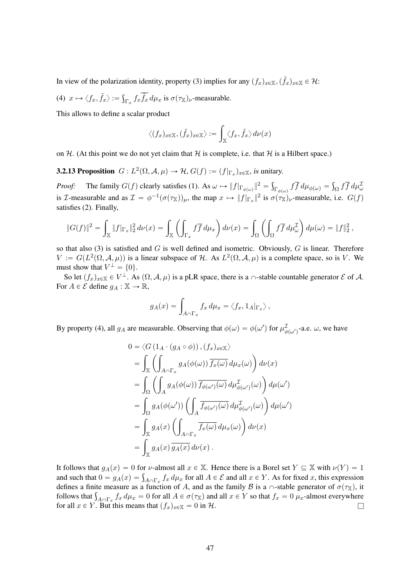In view of the polarization identity, property (3) implies for any  $(f_x)_{x\in\mathbb{X}}, (\tilde{f}_x)_{x\in\mathbb{X}} \in \mathcal{H}$ :

(4)  $x \mapsto \langle f_x, \tilde{f}_x \rangle :=$ ş  $\int_{\Gamma_x} f_x \tilde{f}_x d\mu_x$  is  $\sigma(\tau_x)_{\nu}$ -measurable.

This allows to define a scalar product

$$
\langle (f_x)_{x \in \mathbb{X}}, (\tilde{f}_x)_{x \in \mathbb{X}} \rangle := \int_{\mathbb{X}} \langle f_x, \tilde{f}_x \rangle d\nu(x)
$$

on H. (At this point we do not yet claim that H is complete, i.e. that H is a Hilbert space.)

**3.2.13 Proposition**  $G: L^2(\Omega, \mathcal{A}, \mu) \to \mathcal{H}, G(f) := (f|_{\Gamma_x})_{x \in \mathbb{X}},$  is unitary.

*Proof:* The family  $G(f)$  clearly satisfies (1). As  $\omega \mapsto ||f||_{\Gamma_{\phi(\omega)}}||^2 =$  $\int_{\Gamma_{\phi(\omega)}} f f d\mu_{\phi(\omega)} =$  $\int_{\Omega} f \overline{f} d\mu_{\omega}^{\mathcal{I}}$ is *T*-measurable and as  $\mathcal{I} = \phi^{-1}(\sigma(\tau_X))_{\mu}$ , the map  $x \mapsto ||f|_{\Gamma_x}||^2$  is  $\sigma(\tau_X)_{\nu}$ -measurable, i.e.  $G(f)$ satisfies (2). Finally,

$$
\|G(f)\|^2 = \int_{\mathbb{X}} \|f|_{\Gamma_x}\|_2^2 d\nu(x) = \int_{\mathbb{X}} \left( \int_{\Gamma_x} f \overline{f} d\mu_x \right) d\nu(x) = \int_{\Omega} \left( \int_{\Omega} f \overline{f} d\mu_\omega^{\mathcal{I}} \right) d\mu(\omega) = \|f\|_2^2,
$$

so that also (3) is satisfied and  $G$  is well defined and isometric. Obviously,  $G$  is linear. Therefore  $V := G(L^2(\Omega, \mathcal{A}, \mu))$  is a linear subspace of H. As  $L^2(\Omega, \mathcal{A}, \mu)$  is a complete space, so is V. We must show that  $V^{\perp} = \{0\}.$ 

So let  $(f_x)_{x\in\mathbb{X}} \in V^{\perp}$ . As  $(\Omega, \mathcal{A}, \mu)$  is a pLR space, there is a  $\cap$ -stable countable generator  $\mathcal{E}$  of  $\mathcal{A}$ . For  $A \in \mathcal{E}$  define  $g_A : \mathbb{X} \to \mathbb{R}$ ,

$$
g_A(x) = \int_{A \cap \Gamma_x} f_x d\mu_x = \langle f_x, 1_A |_{\Gamma_x} \rangle ,
$$

By property (4), all  $g_A$  are measurable. Observing that  $\phi(\omega) = \phi(\omega')$  for  $\mu_{\phi(\omega')}^{\mathcal{I}}$ -a.e.  $\omega$ , we have

$$
0 = \langle G (1_A \cdot (g_A \circ \phi)), (f_x)_{x \in \mathbb{X}} \rangle
$$
  
\n
$$
= \int_{\mathbb{X}} \left( \int_{A \cap \Gamma_x} g_A(\phi(\omega)) \overline{f_x(\omega)} d\mu_x(\omega) \right) d\nu(x)
$$
  
\n
$$
= \int_{\Omega} \left( \int_A g_A(\phi(\omega)) \overline{f_{\phi(\omega')}}(\omega) d\mu_{\phi(\omega')}^T(\omega) \right) d\mu(\omega')
$$
  
\n
$$
= \int_{\Omega} g_A(\phi(\omega')) \left( \int_A \overline{f_{\phi(\omega')}}(\omega) d\mu_{\phi(\omega')}^T(\omega) \right) d\mu(\omega')
$$
  
\n
$$
= \int_{\mathbb{X}} g_A(x) \left( \int_{A \cap \Gamma_x} \overline{f_x(\omega)} d\mu_x(\omega) \right) d\nu(x)
$$
  
\n
$$
= \int_{\mathbb{X}} g_A(x) \overline{g_A(x)} d\nu(x).
$$

It follows that  $g_A(x) = 0$  for *ν*-almost all  $x \in X$ . Hence there is a Borel set  $Y \subseteq X$  with  $\nu(Y) = 1$ It follows that  $g_A(x) = 0$  for  $\nu$ -almost all  $x \in \mathbb{X}$ . Hence there is a Borel set  $Y \subseteq \mathbb{X}$  with  $\nu(Y) = 1$  and such that  $0 = g_A(x) = \int_{A \cap \Gamma_x} f_x d\mu_x$  for all  $A \in \mathcal{E}$  and all  $x \in Y$ . As for fixed x, this expression defines a finite measure as a function of A, and as the family B is a  $\cap$ -stable generator of  $\sigma(\tau_X)$ , it defines a finite measure as a function of A, and as the family B is a  $\cap$ -stable generator of  $\sigma(\tau_X)$ , it follows that  $\int_{A \cap \Gamma_x} f_x d\mu_x = 0$  for all  $A \in \sigma(\tau_X)$  and all  $x \in Y$  so that  $f_x = 0$   $\mu_x$ -almost everywhere for all  $x \in Y$ . But this means that  $(f_x)_{x \in \mathbb{X}} = 0$  in H.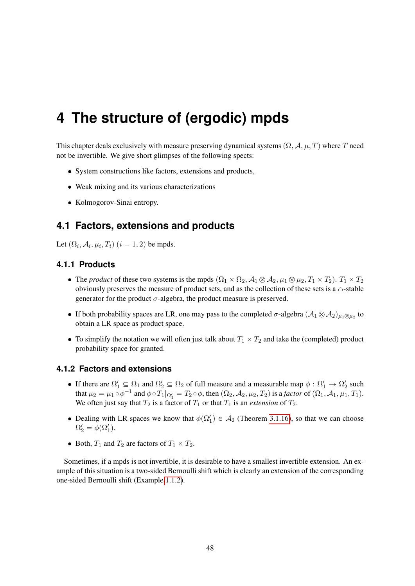# <span id="page-47-0"></span>**4 The structure of (ergodic) mpds**

This chapter deals exclusively with measure preserving dynamical systems  $(\Omega, \mathcal{A}, \mu, T)$  where T need not be invertible. We give short glimpses of the following spects:

- System constructions like factors, extensions and products,
- Weak mixing and its various characterizations
- Kolmogorov-Sinai entropy.

# <span id="page-47-1"></span>**4.1 Factors, extensions and products**

Let  $(\Omega_i, \mathcal{A}_i, \mu_i, T_i)$   $(i = 1, 2)$  be mpds.

## <span id="page-47-2"></span>**4.1.1 Products**

- The *product* of these two systems is the mpds  $(\Omega_1 \times \Omega_2, \mathcal{A}_1 \otimes \mathcal{A}_2, \mu_1 \otimes \mu_2, T_1 \times T_2)$ .  $T_1 \times T_2$ obviously preserves the measure of product sets, and as the collection of these sets is a  $\cap$ -stable generator for the product  $\sigma$ -algebra, the product measure is preserved.
- If both probability spaces are LR, one may pass to the completed  $\sigma$ -algebra  $(A_1 \otimes A_2)_{\mu_1 \otimes \mu_2}$  to obtain a LR space as product space.
- To simplify the notation we will often just talk about  $T_1 \times T_2$  and take the (completed) product probability space for granted.

# <span id="page-47-3"></span>**4.1.2 Factors and extensions**

- If there are  $\Omega'_1 \subseteq \Omega_1$  and  $\Omega'_2 \subseteq \Omega_2$  of full measure and a measurable map  $\phi : \Omega'_1 \to \Omega'_2$  such that  $\mu_2 = \mu_1 \circ \phi^{-1}$  and  $\phi \circ T_1|_{\Omega'_1} = T_2 \circ \phi$ , then  $(\Omega_2, \mathcal{A}_2, \mu_2, T_2)$  is a *factor* of  $(\Omega_1, \mathcal{A}_1, \mu_1, T_1)$ . We often just say that  $T_2$  is a factor of  $T_1$  or that  $T_1$  is an *extension* of  $T_2$ .
- Dealing with LR spaces we know that  $\phi(\Omega'_1) \in \mathcal{A}_2$  (Theorem [3.1.16\)](#page-29-0), so that we can choose  $\Omega'_2 = \phi(\Omega'_1).$
- Both,  $T_1$  and  $T_2$  are factors of  $T_1 \times T_2$ .

Sometimes, if a mpds is not invertible, it is desirable to have a smallest invertible extension. An example of this situation is a two-sided Bernoulli shift which is clearly an extension of the corresponding one-sided Bernoulli shift (Example [1.1.2\)](#page-3-5).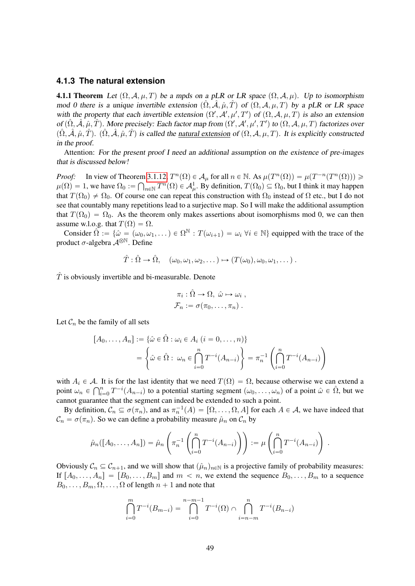## <span id="page-48-0"></span>**4.1.3 The natural extension**

**4.1.1 Theorem** Let  $(\Omega, \mathcal{A}, \mu, T)$  be a mpds on a pLR or LR space  $(\Omega, \mathcal{A}, \mu)$ . Up to isomorphism mod 0 there is a unique invertible extension  $(\Omega, \hat{A}, \hat{\mu}, T)$  of  $(\Omega, A, \mu, T)$  by a pLR or LR space with the property that each invertible extension  $(\Omega', \mathcal{A}', \mu', T')$  of  $(\Omega, \mathcal{A}, \mu, T)$  is also an extension of  $(\hat{\Omega}, \hat{\mathcal{A}}, \hat{\mu}, \hat{T})$ . More precisely: Each factor map from  $(\Omega', \mathcal{A}', \mu', T')$  to  $(\Omega, \mathcal{A}, \mu, T)$  factorizes over  $(\hat{\Omega}, \hat{\mathcal{A}}, \hat{\mu}, \hat{T})$ .  $(\hat{\Omega}, \hat{\mathcal{A}}, \hat{\mu}, \hat{T})$  is called the natural extension of  $(\Omega, \mathcal{A}, \mu, T)$ . It is explicitly constructed in the proof.

Attention: For the present proof I need an additional assumption on the existence of pre-images that is discussed below!

*Proof:* In view of Theorem [3.1.12,](#page-28-2)  $T^n(\Omega) \in \mathcal{A}_{\mu}$  for all  $n \in \mathbb{N}$ . As  $\mu(T^n(\Omega)) = \mu(T^{-n}(T^n(\Omega))) \geq$  $\mu(\Omega) = 1$ , we have  $\Omega_0 := \bigcap_{n \in \mathbb{N}} T^n(\Omega) \in \mathcal{A}^1_\mu$ . By definition,  $T(\Omega_0) \subseteq \Omega_0$ , but I think it may happen that  $T(\Omega_0) \neq \Omega_0$ . Of course one can repeat this construction with  $\Omega_0$  instead of  $\Omega$  etc., but I do not see that countably many repetitions lead to a surjective map. So I will make the additional assumption that  $T(\Omega_0) = \Omega_0$ . As the theorem only makes assertions about isomorphisms mod 0, we can then assume w.l.o.g. that  $T(\Omega) = \Omega$ .

Consider  $\tilde{\Omega} := \{ \hat{\omega} = (\omega_0, \omega_1, \dots) \in \Omega^{\mathbb{N}} : T(\omega_{i+1}) = \omega_i \; \forall i \in \mathbb{N} \}$  equipped with the trace of the product  $\sigma$ -algebra  $\mathcal{A}^{\otimes \mathbb{N}}$ . Define

$$
\hat{T}: \hat{\Omega} \to \hat{\Omega}, \quad (\omega_0, \omega_1, \omega_2, \dots) \mapsto (T(\omega_0), \omega_0, \omega_1, \dots).
$$

 $\hat{T}$  is obviously invertible and bi-measurable. Denote

$$
\pi_i : \hat{\Omega} \to \Omega, \ \hat{\omega} \mapsto \omega_i ,
$$
  

$$
\mathcal{F}_n := \sigma(\pi_0, \dots, \pi_n) .
$$

Let  $C_n$  be the family of all sets

$$
[A_0, \dots, A_n] := \{\hat{\omega} \in \hat{\Omega} : \omega_i \in A_i \ (i = 0, \dots, n)\}
$$

$$
= \left\{\hat{\omega} \in \hat{\Omega} : \ \omega_n \in \bigcap_{i=0}^n T^{-i}(A_{n-i})\right\} = \pi_n^{-1} \left(\bigcap_{i=0}^n T^{-i}(A_{n-i})\right)
$$

with  $A_i \in \mathcal{A}$ . It is for the last identity that we need  $T(\Omega) = \Omega$ , because otherwise we can extend a<br>point  $\Omega \in \Omega^n$ ,  $T^{-i}(A_{\Omega})$  to a potential starting segment  $(\Omega \cup \Omega)$  of a point  $\hat{\Omega} \in \hat{\Omega}$ , but we point  $\omega_n \in \bigcap_{i=0}^n T^{-i}(A_{n-i})$  to a potential starting segment  $(\omega_0, \dots, \omega_n)$  of a point  $\hat{\omega} \in \hat{\Omega}$ , but we cannot guarantee that the segment can indeed be extended to such a point.

By definition,  $\mathcal{C}_n \subseteq \sigma(\pi_n)$ , and as  $\pi_n^{-1}(A) = [\Omega, \ldots, \Omega, A]$  for each  $A \in \mathcal{A}$ , we have indeed that  $\mathcal{C}_n = \sigma(\pi_n)$ . So we can define a probability measure  $\hat{\mu}_n$  on  $\mathcal{C}_n$  by

$$
\hat{\mu}_n([A_0, \dots, A_n]) = \hat{\mu}_n\left(\pi_n^{-1}\left(\bigcap_{i=0}^n T^{-i}(A_{n-i})\right)\right) := \mu\left(\bigcap_{i=0}^n T^{-i}(A_{n-i})\right).
$$

Obviously  $C_n \subseteq C_{n+1}$ , and we will show that  $(\hat{\mu}_n)_{n\in\mathbb{N}}$  is a projective family of probability measures: If  $[A_0, \ldots, A_n] = [B_0, \ldots, B_m]$  and  $m < n$ , we extend the sequence  $B_0, \ldots, B_m$  to a sequence  $B_0, \ldots, B_m, \Omega, \ldots, \Omega$  of length  $n + 1$  and note that

$$
\bigcap_{i=0}^{m} T^{-i}(B_{m-i}) = \bigcap_{i=0}^{n-m-1} T^{-i}(\Omega) \cap \bigcap_{i=n-m}^{n} T^{-i}(B_{n-i})
$$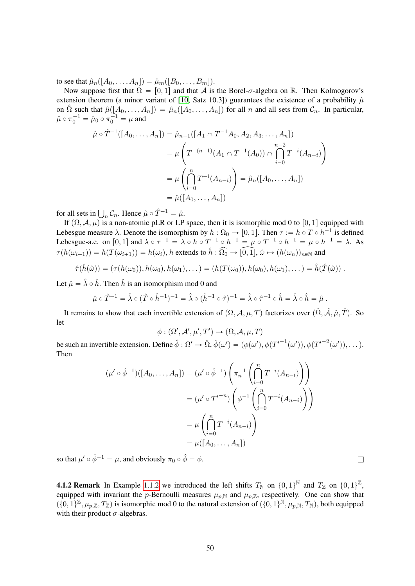to see that  $\hat{\mu}_n([A_0, \ldots, A_n]) = \hat{\mu}_m([B_0, \ldots, B_m]).$ 

Now suppose first that  $\Omega = [0, 1]$  and that A is the Borel- $\sigma$ -algebra on R. Then Kolmogorov's extension theorem (a minor variant of [\[10,](#page-64-1) Satz 10.3]) guarantees the existence of a probability  $\hat{\mu}$ on  $\hat{\Omega}$  such that  $\hat{\mu}([A_0, \ldots, A_n]) = \hat{\mu}_n([A_0, \ldots, A_n])$  for all n and all sets from  $\mathcal{C}_n$ . In particular,  $\hat{\mu} \circ \pi_0^{-1} = \hat{\mu}_0 \circ \pi_0^{-1} = \mu$  and

$$
\hat{\mu} \circ \hat{T}^{-1}([A_0, \dots, A_n]) = \hat{\mu}_{n-1}([A_1 \cap T^{-1}A_0, A_2, A_3, \dots, A_n])
$$
  
= 
$$
\mu \left( T^{-(n-1)}(A_1 \cap T^{-1}(A_0)) \cap \bigcap_{i=0}^{n-2} T^{-i}(A_{n-i}) \right)
$$
  
= 
$$
\mu \left( \bigcap_{i=0}^n T^{-i}(A_{n-i}) \right) = \hat{\mu}_n([A_0, \dots, A_n])
$$
  
= 
$$
\hat{\mu}([A_0, \dots, A_n])
$$

for all sets in  $\bigcup_n C_n$ . Hence  $\hat{\mu} \circ \hat{T}^{-1} = \hat{\mu}$ .

If  $(\Omega, \mathcal{A}, \mu)$  is a non-atomic pLR or LP space, then it is isomorphic mod 0 to  $[0, 1]$  equipped with Lebesgue measure  $\lambda$ . Denote the isomorphism by  $h : \Omega_0 \to [0, 1]$ . Then  $\tau := h \circ T \circ h^{-1}$  is defined Lebesgue-a.e. on  $[0,1]$  and  $\lambda \circ \tau^{-1} = \lambda \circ h \circ T^{-1} \circ h^{-1} = \mu \circ T^{-1} \circ h^{-1} = \mu \circ h^{-1} = \lambda$ . As  $\tau(h(\omega_{i+1})) = h(T(\omega_{i+1})) = h(\omega_i)$ , h extends to  $\hat{h}: \widehat{\Omega_0} \to \widehat{[0,1]}$ ,  $\hat{\omega} \mapsto (h(\omega_n))_{n \in \mathbb{N}}$  and

$$
\hat{\tau}(\hat{h}(\hat{\omega})) = (\tau(h(\omega_0)), h(\omega_0), h(\omega_1), \dots) = (h(T(\omega_0)), h(\omega_0), h(\omega_1), \dots) = \hat{h}(\hat{T}(\hat{\omega})) .
$$

Let  $\hat{\mu} = \hat{\lambda} \circ \hat{h}$ . Then  $\hat{h}$  is an isomorphism mod 0 and

$$
\hat{\mu} \circ \hat{T}^{-1} = \hat{\lambda} \circ (\hat{T} \circ \hat{h}^{-1})^{-1} = \hat{\lambda} \circ (\hat{h}^{-1} \circ \hat{\tau})^{-1} = \hat{\lambda} \circ \hat{\tau}^{-1} \circ \hat{h} = \hat{\lambda} \circ \hat{h} = \hat{\mu}.
$$

It remains to show that each invertible extension of  $(\Omega, \mathcal{A}, \mu, T)$  factorizes over  $(\hat{\Omega}, \hat{\mathcal{A}}, \hat{\mu}, \hat{T})$ . So let

$$
\phi : (\Omega', \mathcal{A}', \mu', T') \to (\Omega, \mathcal{A}, \mu, T)
$$

be such an invertible extension. Define  $\hat{\phi}: \Omega' \to \hat{\Omega}, \hat{\phi}(\omega') = (\phi(\omega'), \phi(T'^{-1}(\omega')), \phi(T'^{-2}(\omega')), \ldots)$ . Then ¸¸

$$
(\mu' \circ \hat{\phi}^{-1})([A_0, \dots, A_n]) = (\mu' \circ \hat{\phi}^{-1}) \left( \pi_n^{-1} \left( \bigcap_{i=0}^n T^{-i} (A_{n-i}) \right) \right)
$$

$$
= (\mu' \circ T'^{-n}) \left( \phi^{-1} \left( \bigcap_{i=0}^n T^{-i} (A_{n-i}) \right) \right)
$$

$$
= \mu \left( \bigcap_{i=0}^n T^{-i} (A_{n-i}) \right)
$$

$$
= \mu ([A_0, \dots, A_n])
$$

so that  $\mu' \circ \hat{\phi}^{-1} = \mu$ , and obviously  $\pi_0 \circ \hat{\phi} = \phi$ .

<span id="page-49-0"></span>**4.1.2 Remark** In Example [1.1.2](#page-3-5) we introduced the left shifts  $T_N$  on  $\{0, 1\}^N$  and  $T_Z$  on  $\{0, 1\}^Z$ , equipped with invariant the p-Bernoulli measures  $\mu_{p,N}$  and  $\mu_{p,\mathbb{Z}}$ , respectively. One can show that  $(\{0,1\}^{\mathbb{Z}}, \mu_{p,\mathbb{Z}}, T_{\mathbb{Z}})$  is isomorphic mod 0 to the natural extension of  $(\{0,1\}^{\mathbb{N}}, \mu_{p,\mathbb{N}}, T_{\mathbb{N}})$ , both equipped with their product  $\sigma$ -algebras.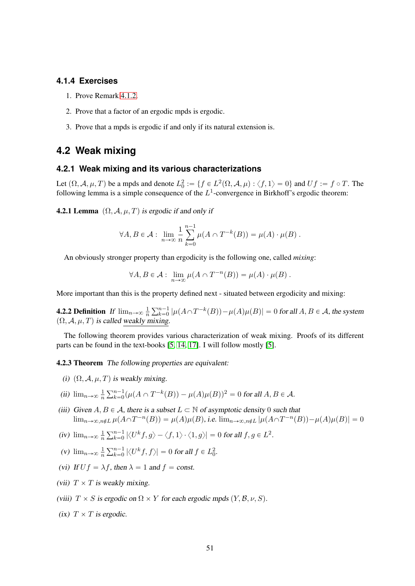### <span id="page-50-0"></span>**4.1.4 Exercises**

- 1. Prove Remark [4.1.2.](#page-49-0)
- 2. Prove that a factor of an ergodic mpds is ergodic.
- 3. Prove that a mpds is ergodic if and only if its natural extension is.

# <span id="page-50-1"></span>**4.2 Weak mixing**

# <span id="page-50-2"></span>**4.2.1 Weak mixing and its various characterizations**

Let  $(\Omega, \mathcal{A}, \mu, T)$  be a mpds and denote  $L_0^2 := \{ f \in L^2(\Omega, \mathcal{A}, \mu) : \langle f, 1 \rangle = 0 \}$  and  $Uf := f \circ T$ . The following lemma is a simple consequence of the  $L^1$ -convergence in Birkhoff's ergodic theorem:

<span id="page-50-3"></span>**4.2.1 Lemma**  $(\Omega, \mathcal{A}, \mu, T)$  is ergodic if and only if

$$
\forall A, B \in \mathcal{A} : \lim_{n \to \infty} \frac{1}{n} \sum_{k=0}^{n-1} \mu(A \cap T^{-k}(B)) = \mu(A) \cdot \mu(B) .
$$

An obviously stronger property than ergodicity is the following one, called *mixing*:

$$
\forall A, B \in \mathcal{A} : \lim_{n \to \infty} \mu(A \cap T^{-n}(B)) = \mu(A) \cdot \mu(B) .
$$

More important than this is the property defined next - situated between ergodicity and mixing:

**4.2.2 Definition** If  $\lim_{n\to\infty} \frac{1}{n}$ n  $\sum_{n=1}$  ${}_{k=0}^{n-1}$   $|\mu(A \cap T^{-k}(B)) - \mu(A)\mu(B)| = 0$  for all  $A, B \in \mathcal{A}$ , the system  $(\Omega, \mathcal{A}, \mu, T)$  is called weakly mixing.

The following theorem provides various characterization of weak mixing. Proofs of its different parts can be found in the text-books [\[5,](#page-64-10) [14,](#page-64-11) [17\]](#page-64-2). I will follow mostly [\[5\]](#page-64-10).

<span id="page-50-4"></span>4.2.3 Theorem The following properties are equivalent:

- (i)  $(\Omega, \mathcal{A}, \mu, T)$  is weakly mixing.
- (ii)  $\lim_{n\to\infty}\frac{1}{n}$  $\overline{n}$  $\sum_{n=1}$  ${}_{k=0}^{n-1}(\mu(A \cap T^{-k}(B)) - \mu(A)\mu(B))^2 = 0$  for all  $A, B \in \mathcal{A}$ .
- (iii) Given  $A, B \in \mathcal{A}$ , there is a subset  $L \subset \mathbb{N}$  of asymptotic density 0 such that  $\lim_{n\to\infty,n\notin L}\mu(A\cap T^{-n}(B)) = \mu(A)\mu(B)$ , i.e.  $\lim_{n\to\infty,n\notin L}|\mu(A\cap T^{-n}(B)) - \mu(A)\mu(B)| = 0$
- $(iv)$   $\lim_{n\to\infty}\frac{1}{n}$ n  $\sum_{n=1}$  $\int\limits_{k=0}^{n-1}\left|\left\langle U^{k}f,g\right\rangle -\left\langle f,1\right\rangle \cdot\left\langle 1,g\right\rangle \right|=0$  for all  $f,g\in L^{2}.$
- (v)  $\lim_{n\to\infty}\frac{1}{n}$  $\overline{n}$  $\sum_{n=1}$  $\lim_{k=0}^{n-1} |\langle U^k f, f \rangle| = 0$  for all  $f \in L^2_0$ .
- (vi) If  $Uf = \lambda f$ , then  $\lambda = 1$  and  $f = \text{const.}$
- (vii)  $T \times T$  is weakly mixing.
- (viii)  $T \times S$  is ergodic on  $\Omega \times Y$  for each ergodic mpds  $(Y, \mathcal{B}, \nu, S)$ .
- (ix)  $T \times T$  is ergodic.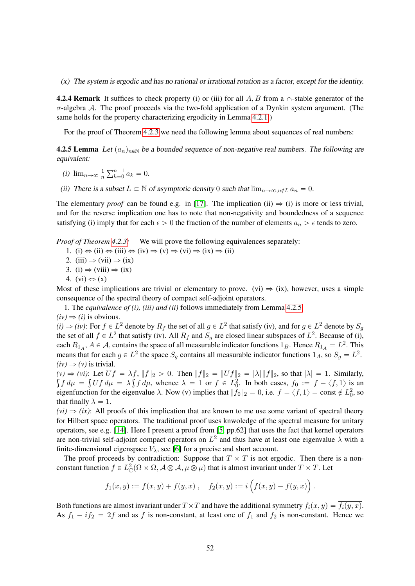(x) The system is ergodic and has no rational or irrational rotation as a factor, except for the identity.

<span id="page-51-1"></span>**4.2.4 Remark** It suffices to check property (i) or (iii) for all  $A, B$  from a  $\cap$ -stable generator of the  $\sigma$ -algebra A. The proof proceeds via the two-fold application of a Dynkin system argument. (The same holds for the property characterizing ergodicity in Lemma [4.2.1.](#page-50-3))

For the proof of Theorem [4.2.3](#page-50-4) we need the following lemma about sequences of real numbers:

<span id="page-51-0"></span>**4.2.5 Lemma** Let  $(a_n)_{n\in\mathbb{N}}$  be a bounded sequence of non-negative real numbers. The following are equivalent:

- (i)  $\lim_{n\to\infty}\frac{1}{n}$ n  $\sum_{n=1}$  $_{k=0}^{n-1} a_k = 0.$
- (ii) There is a subset  $L \subset \mathbb{N}$  of asymptotic density 0 such that  $\lim_{n\to\infty,n\notin L} a_n = 0$ .

The elementary *proof* can be found e.g. in [\[17\]](#page-64-2). The implication (ii)  $\Rightarrow$  (i) is more or less trivial, and for the reverse implication one has to note that non-negativity and boundedness of a sequence satisfying (i) imply that for each  $\epsilon > 0$  the fraction of the number of elements  $a_n > \epsilon$  tends to zero.

*Proof of Theorem [4.2.3:](#page-50-4)* We will prove the following equivalences separately:

- 1. (i)  $\Leftrightarrow$  (ii)  $\Leftrightarrow$  (iii)  $\Leftrightarrow$  (iv)  $\Rightarrow$  (v)  $\Leftrightarrow$  (vi)  $\Leftrightarrow$  (ix)  $\Leftrightarrow$  (ii)
- 2. (iii)  $\Rightarrow$  (vii)  $\Rightarrow$  (ix)
- 3. (i)  $\Rightarrow$  (viii)  $\Rightarrow$  (ix)
- 4.  $(vi) \Leftrightarrow (x)$

Most of these implications are trivial or elementary to prove. (vi)  $\Rightarrow$  (ix), however, uses a simple consequence of the spectral theory of compact self-adjoint operators.

1. The *equivalence of (i), (iii) and (ii)* follows immediately from Lemma [4.2.5.](#page-51-0)

 $(iv) \Rightarrow (i)$  is obvious.

 $(i) \Rightarrow (iv)$ : For  $f \in L^2$  denote by  $R_f$  the set of all  $g \in L^2$  that satisfy (iv), and for  $g \in L^2$  denote by  $S_g$ the set of all  $f \in L^2$  that satisfy (iv). All  $R_f$  and  $S_g$  are closed linear subspaces of  $L^2$ . Because of (i), each  $R_{1_A}$ ,  $A \in \mathcal{A}$ , contains the space of all measurable indicator functions  $1_B$ . Hence  $R_{1_A} = L^2$ . This means that for each  $g \in L^2$  the space  $S_g$  contains all measurable indicator functions  $1_A$ , so  $S_g = L^2$ .  $(iv) \Rightarrow (v)$  is trivial.

 $(v) \Rightarrow (vi)$ : Let  $Uf = \lambda f$ ,  $||f||_2 > 0$ . Then  $||f||_2 = ||Uf||_2 = |\lambda| ||f||_2$ , so that  $|\lambda| = 1$ . Similarly,  $f d\mu = \int U f d\mu = \lambda \int f d\mu$ , whence  $\lambda = 1$  or  $f \in L_0^2$ . In both cases,  $f_0 := f - \langle f, 1 \rangle$  is an eigenfunction for the eigenvalue  $\lambda$ . Now (v) implies that  $||f_0||_2 = 0$ , i.e.  $f = \langle f, 1 \rangle = \text{const} \notin L_0^2$ , so that finally  $\lambda = 1$ .

 $(vi) \Rightarrow (ix)$ : All proofs of this implication that are known to me use some variant of spectral theory for Hilbert space operators. The traditional proof uses knwoledge of the spectral measure for unitary operators, see e.g. [\[14\]](#page-64-11). Here I present a proof from [\[5,](#page-64-10) pp.62] that uses the fact that kernel operators are non-trivial self-adjoint compact operators on  $L^2$  and thus have at least one eigenvalue  $\lambda$  with a finite-dimensional eigenspace  $V_{\lambda}$ , see [\[6\]](#page-64-12) for a precise and short account.

The proof proceeds by contradiction: Suppose that  $T \times T$  is not ergodic. Then there is a nonconstant function  $f \in L^2_{\mathbb{C}}(\Omega \times \Omega, \mathcal{A} \otimes \mathcal{A}, \mu \otimes \mu)$  that is almost invariant under  $T \times T$ . Let

$$
f_1(x, y) := f(x, y) + \overline{f(y, x)}, \quad f_2(x, y) := i \left( f(x, y) - \overline{f(y, x)} \right)
$$

.

Both functions are almost invariant under  $T \times T$  and have the additional symmetry  $f_i(x, y) = \overline{f_i(y, x)}$ . As  $f_1 - if_2 = 2f$  and as f is non-constant, at least one of  $f_1$  and  $f_2$  is non-constant. Hence we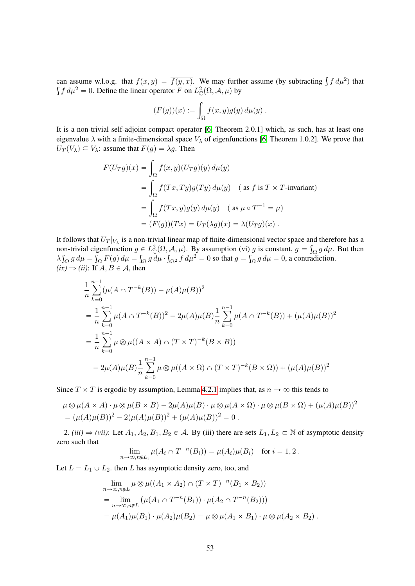can assume w.l.o.g. that  $f(x, y) = \overline{f(y, x)}$ . We may further assume (by subtracting  $\int f d\mu^2$ ) that  $f d\mu^2 = 0$ . Define the linear operator F on  $L^2(\Omega, \mathcal{A}, \mu)$  by

$$
(F(g))(x) := \int_{\Omega} f(x, y)g(y) d\mu(y) .
$$

It is a non-trivial self-adjoint compact operator [\[6,](#page-64-12) Theorem 2.0.1] which, as such, has at least one eigenvalue  $\lambda$  with a finite-dimensional space  $V_{\lambda}$  of eigenfunctions [\[6,](#page-64-12) Theorem 1.0.2]. We prove that  $U_T(V_\lambda) \subseteq V_\lambda$ : assume that  $F(g) = \lambda g$ . Then

$$
F(U_T g)(x) = \int_{\Omega} f(x, y)(U_T g)(y) d\mu(y)
$$
  
= 
$$
\int_{\Omega} f(Tx, Ty)g(Ty) d\mu(y) \quad \text{(as } f \text{ is } T \times T\text{-invariant)}
$$
  
= 
$$
\int_{\Omega} f(Tx, y)g(y) d\mu(y) \quad \text{(as } \mu \circ T^{-1} = \mu)
$$
  
= 
$$
(F(g))(Tx) = U_T(\lambda g)(x) = \lambda (U_T g)(x) .
$$

It follows that  $U_T|_{V_\lambda}$  is a non-trivial linear map of finite-dimensional vector space and therefore has a non-trivial eigenfunction  $g \in L^2_{\mathbb{C}}(\Omega, \mathcal{A}, \mu)$ . By assumption (vi) g is constant,  $g =$  $\mathbf{n}$  $\int_{\Omega} g d\mu$ . But then λ  $\mathfrak{z}$  $\int_{\Omega} g d\mu =$ ş  $\int_{\Omega} F(g) d\mu =$ ş  $\int_{\Omega} g \, d\mu$  .  $\ddot{\phantom{0}}$  $\int_{\Omega^2} f d\mu^2 = 0$  so that  $g =$  $)$  $\int_{\Omega} g d\mu = 0$ , a contradiction.  $(ix) \Rightarrow (ii)$ : If  $A, B \in \mathcal{A}$ , then

$$
\frac{1}{n} \sum_{k=0}^{n-1} (\mu(A \cap T^{-k}(B)) - \mu(A)\mu(B))^2
$$
\n
$$
= \frac{1}{n} \sum_{k=0}^{n-1} \mu(A \cap T^{-k}(B))^2 - 2\mu(A)\mu(B) \frac{1}{n} \sum_{k=0}^{n-1} \mu(A \cap T^{-k}(B)) + (\mu(A)\mu(B))^2
$$
\n
$$
= \frac{1}{n} \sum_{k=0}^{n-1} \mu \otimes \mu((A \times A) \cap (T \times T)^{-k}(B \times B))
$$
\n
$$
- 2\mu(A)\mu(B) \frac{1}{n} \sum_{k=0}^{n-1} \mu \otimes \mu((A \times \Omega) \cap (T \times T)^{-k}(B \times \Omega)) + (\mu(A)\mu(B))^2
$$

Since  $T \times T$  is ergodic by assumption, Lemma [4.2.1](#page-50-3) implies that, as  $n \to \infty$  this tends to

$$
\mu \otimes \mu(A \times A) \cdot \mu \otimes \mu(B \times B) - 2\mu(A)\mu(B) \cdot \mu \otimes \mu(A \times \Omega) \cdot \mu \otimes \mu(B \times \Omega) + (\mu(A)\mu(B))^2
$$
  
= 
$$
(\mu(A)\mu(B))^2 - 2(\mu(A)\mu(B))^2 + (\mu(A)\mu(B))^2 = 0.
$$

2. *(iii)*  $\Rightarrow$  *(vii)*: Let  $A_1, A_2, B_1, B_2 \in \mathcal{A}$ . By *(iii)* there are sets  $L_1, L_2 \subset \mathbb{N}$  of asymptotic density zero such that

$$
\lim_{n\to\infty,n\neq L_i}\mu(A_i\cap T^{-n}(B_i))=\mu(A_i)\mu(B_i) \text{ for } i=1,2.
$$

Let  $L = L_1 \cup L_2$ . then L has asymptotic density zero, too, and

$$
\lim_{n \to \infty, n \notin L} \mu \otimes \mu((A_1 \times A_2) \cap (T \times T)^{-n}(B_1 \times B_2))
$$
  
= 
$$
\lim_{n \to \infty, n \notin L} (\mu(A_1 \cap T^{-n}(B_1)) \cdot \mu(A_2 \cap T^{-n}(B_2)))
$$
  
= 
$$
\mu(A_1)\mu(B_1) \cdot \mu(A_2)\mu(B_2) = \mu \otimes \mu(A_1 \times B_1) \cdot \mu \otimes \mu(A_2 \times B_2).
$$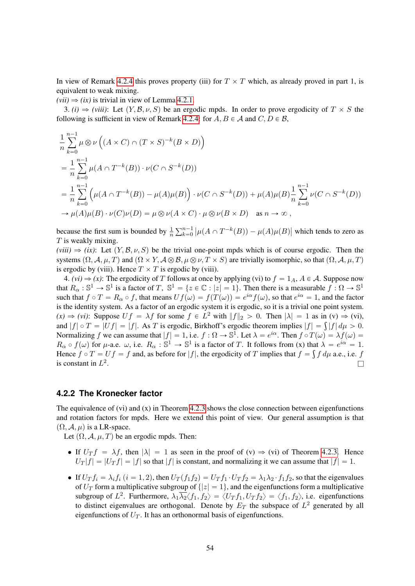In view of Remark [4.2.4](#page-51-1) this proves property (iii) for  $T \times T$  which, as already proved in part 1, is equivalent to weak mixing.

 $(vii) \Rightarrow (ix)$  is trivial in view of Lemma [4.2.1.](#page-50-3)

3.  $(i) \Rightarrow (viii)$ : Let  $(Y, \mathcal{B}, \nu, S)$  be an ergodic mpds. In order to prove ergodicity of  $T \times S$  the following is sufficient in view of Remark [4.2.4:](#page-51-1) for  $A, B \in \mathcal{A}$  and  $C, D \in \mathcal{B}$ ,

$$
\frac{1}{n}\sum_{k=0}^{n-1}\mu\otimes\nu\left((A\times C)\cap(T\times S)^{-k}(B\times D)\right)
$$
\n
$$
=\frac{1}{n}\sum_{k=0}^{n-1}\mu(A\cap T^{-k}(B))\cdot\nu(C\cap S^{-k}(D))
$$
\n
$$
=\frac{1}{n}\sum_{k=0}^{n-1}\left(\mu(A\cap T^{-k}(B))-\mu(A)\mu(B)\right)\cdot\nu(C\cap S^{-k}(D))+\mu(A)\mu(B)\frac{1}{n}\sum_{k=0}^{n-1}\nu(C\cap S^{-k}(D))
$$
\n
$$
\to\mu(A)\mu(B)\cdot\nu(C)\nu(D)=\mu\otimes\nu(A\times C)\cdot\mu\otimes\nu(B\times D)\quad\text{as }n\to\infty,
$$

because the first sum is bounded by  $\frac{1}{n}$  $\sum_{n=1}$  $k=0$  $\vert \mu(A \cap T^{-k}(B)) - \mu(A)\mu(B) \vert$ which tends to zero as  $T$  is weakly mixing.

 $(viii) \Rightarrow (ix)$ : Let  $(Y, \mathcal{B}, \nu, S)$  be the trivial one-point mpds which is of course ergodic. Then the systems  $(\Omega, \mathcal{A}, \mu, T)$  and  $(\Omega \times Y, \mathcal{A} \otimes \mathcal{B}, \mu \otimes \nu, T \times S)$  are trivially isomorphic, so that  $(\Omega, \mathcal{A}, \mu, T)$ is ergodic by (viii). Hence  $T \times T$  is ergodic by (viii).

4. *(vi)*  $\Rightarrow$  *(x)*: The ergodicity of T follows at once by applying (vi) to  $f = 1_A$ ,  $A \in \mathcal{A}$ . Suppose now that  $R_{\alpha}: \mathbb{S}^1 \to \mathbb{S}^1$  is a factor of T,  $\mathbb{S}^1 = \{z \in \mathbb{C} : |z| = 1\}$ . Then there is a measurable  $f: \Omega \to \mathbb{S}^1$ such that  $f \circ T = R_\alpha \circ f$ , that means  $Uf(\omega) = f(T(\omega)) = e^{i\alpha}f(\omega)$ , so that  $e^{i\alpha} = 1$ , and the factor is the identity system. As a factor of an ergodic system it is ergodic, so it is a trivial one point system.  $f(x) \Rightarrow (vi)$ : Suppose  $Uf = \lambda f$  for some  $f \in L^2$  with  $||f||_2 > 0$ . Then  $|\lambda| = 1$  as in  $(v) \Rightarrow (vi)$ ,  $f(x) \Rightarrow (vi)$ : Suppose  $Uf = \lambda f$  for some  $f \in L^2$  with  $||f||_2 > 0$ . Then  $|\lambda| = 1$  as in  $(v) \Rightarrow (vi)$ , and  $|f| \circ T = |Uf| = |f|$ . As T is ergodic, Birkhoff's ergodic theorem implies  $|f| = \int |f| d\mu > 0$ . Normalizing f we can assume that  $|f| = 1$ , i.e.  $f : \Omega \to \mathbb{S}^1$ . Let  $\lambda = e^{i\alpha}$ . Then  $f \circ T(\omega) = \lambda f(\omega) =$  $R_{\alpha} \circ f(\omega)$  for  $\mu$ -a.e.  $\omega$ , i.e.  $R_{\alpha} : \mathbb{S}^1 \to \mathbb{S}^1$  is a factor of T. It follows from (x) that  $\lambda = e^{i\alpha} = 1$ . Hence  $f \circ T = Uf = f$  and, as before for  $|f|$ , the ergodicity of T implies that  $f = \int f d\mu$  a.e., i.e. f is constant in  $L^2$ . The contract of the contract of the contract of the contract of the contract of  $\Box$ 

# <span id="page-53-0"></span>**4.2.2 The Kronecker factor**

The equivalence of  $(vi)$  and  $(x)$  in Theorem [4.2.3](#page-50-4) shows the close connection between eigenfunctions and rotation factors for mpds. Here we extend this point of view. Our general assumption is that  $(\Omega, \mathcal{A}, \mu)$  is a LR-space.

Let  $(\Omega, \mathcal{A}, \mu, T)$  be an ergodic mpds. Then:

- If  $U_T f = \lambda f$ , then  $|\lambda| = 1$  as seen in the proof of  $(v) \Rightarrow (vi)$  of Theorem [4.2.3.](#page-50-4) Hence  $U_T |f| = |U_T f| = |f|$  so that  $|f|$  is constant, and normalizing it we can assume that  $|f| = 1$ .
- If  $U_T f_i = \lambda_i f_i$   $(i = 1, 2)$ , then  $U_T (f_1 f_2) = U_T f_1 \cdot U_T f_2 = \lambda_1 \lambda_2 \cdot f_1 f_2$ , so that the eigenvalues of  $U_T$  form a multiplicative subgroup of  $\{|z| = 1\}$ , and the eigenfunctions form a multiplicative subgroup of  $L^2$ . Furthermore,  $\lambda_1 \overline{\lambda_2} \langle f_1, f_2 \rangle = \langle U_T f_1, U_T f_2 \rangle = \langle f_1, f_2 \rangle$ , i.e. eigenfunctions to distinct eigenvalues are orthogonal. Denote by  $E_T$  the subspace of  $L^2$  generated by all eigenfunctions of  $U_T$ . It has an orthonormal basis of eigenfunctions.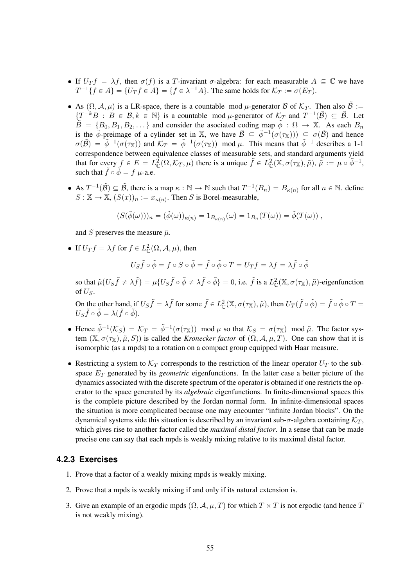- If  $U_T f = \lambda f$ , then  $\sigma(f)$  is a T-invariant  $\sigma$ -algebra: for each measurable  $A \subseteq \mathbb{C}$  we have  $T^{-1}{f \in A} = {U_T f \in A} = {f \in \lambda^{-1}A}$ . The same holds for  $\mathcal{K}_T := \sigma(E_T)$ .
- As  $(\Omega, \mathcal{A}, \mu)$  is a LR-space, there is a countable mod  $\mu$ -generator B of  $\mathcal{K}_T$ . Then also  $\tilde{\mathcal{B}}$  :=  $\{T^{-k}B : B \in \mathcal{B}, k \in \mathbb{N}\}\$ is a countable mod  $\mu$ -generator of  $\mathcal{K}_T$  and  $T^{-1}(\tilde{\mathcal{B}}) \subseteq \tilde{\mathcal{B}}$ . Let  $\tilde{B} = \{B_0, B_1, B_2, \dots\}$  and consider the asociated coding map  $\tilde{\phi} : \Omega \to \mathbb{X}$ . As each  $B_n$ is the  $\tilde{\phi}$ -preimage of a cylinder set in X, we have  $\tilde{\mathcal{B}} \subseteq \tilde{\phi}^{-1}(\sigma(\tau_{\mathbb{X}})) \subseteq \sigma(\tilde{\mathcal{B}})$  and hence  $\sigma(\tilde{\beta}) = \tilde{\phi}^{-1}(\sigma(\tau_{\mathbb{X}}))$  and  $\mathcal{K}_T = \tilde{\phi}^{-1}(\sigma(\tau_{\mathbb{X}}))$  mod  $\mu$ . This means that  $\tilde{\phi}^{-1}$  describes a 1-1 correspondence between equivalence classes of measurable sets, and standard arguments yield that for every  $f \in E = L^2_{\mathbb{C}}(\Omega,\mathcal{K}_T,\mu)$  there is a unique  $\tilde{f} \in L^2_{\mathbb{C}}(\mathbb{X},\sigma(\tau_{\mathbb{X}}),\tilde{\mu})$ ,  $\tilde{\mu} := \mu \circ \tilde{\phi}^{-1}$ , such that  $\tilde{f} \circ \tilde{\phi} = f \mu$ -a.e.
- As  $T^{-1}(\tilde{\beta}) \subseteq \tilde{\beta}$ , there is a map  $\kappa : \mathbb{N} \to \mathbb{N}$  such that  $T^{-1}(B_n) = B_{\kappa(n)}$  for all  $n \in \mathbb{N}$ . define  $S: \mathbb{X} \to \mathbb{X}, (S(x))_n := x_{\kappa(n)}$ . Then S is Borel-measurable,

$$
(S(\tilde{\phi}(\omega)))_n = (\tilde{\phi}(\omega))_{\kappa(n)} = 1_{B_{\kappa(n)}}(\omega) = 1_{B_n}(T(\omega)) = \tilde{\phi}(T(\omega)),
$$

and S preserves the measure  $\tilde{\mu}$ .

• If  $U_T f = \lambda f$  for  $f \in L^2_{\mathbb{C}}(\Omega, \mathcal{A}, \mu)$ , then

$$
U_S\tilde{f}\circ\tilde{\phi}=f\circ S\circ\tilde{\phi}=\tilde{f}\circ\tilde{\phi}\circ T=U_Tf=\lambda f=\lambda\tilde{f}\circ\tilde{\phi}
$$

so that  $\tilde{\mu} \{ U_S \tilde{f} \neq \lambda \tilde{f} \} = \mu \{ U_S \tilde{f} \circ \tilde{\phi} \neq \lambda \tilde{f} \circ \tilde{\phi} \} = 0$ , i.e.  $\tilde{f}$  is a  $L^2_{\mathbb{C}}(\mathbb{X}, \sigma(\tau_{\mathbb{X}}), \tilde{\mu})$ -eigenfunction of  $U_s$ .

On the other hand, if  $U_S \tilde{f} = \lambda \tilde{f}$  for some  $\tilde{f} \in L^2_{\mathbb{C}}(\mathbb{X}, \sigma(\tau_{\mathbb{X}}), \tilde{\mu})$ , then  $U_T(\tilde{f} \circ \tilde{\phi}) = \tilde{f} \circ \tilde{\phi} \circ T =$  $U_S \tilde{f} \circ \tilde{\phi} = \lambda (\tilde{f} \circ \tilde{\phi}).$ 

- Hence  $\tilde{\phi}^{-1}(\mathcal{K}_S) = \mathcal{K}_T = \tilde{\phi}^{-1}(\sigma(\tau_X)) \mod \mu$  so that  $\mathcal{K}_S = \sigma(\tau_X) \mod \tilde{\mu}$ . The factor system  $(X, \sigma(\tau_X), \tilde{\mu}, S)$  is called the *Kronecker factor* of  $(\Omega, \mathcal{A}, \mu, T)$ . One can show that it is isomorphic (as a mpds) to a rotation on a compact group equipped with Haar measure.
- Restricting a system to  $K_T$  corresponds to the restriction of the linear operator  $U_T$  to the subspace  $E_T$  generated by its *geometric* eigenfunctions. In the latter case a better picture of the dynamics associated with the discrete spectrum of the operator is obtained if one restricts the operator to the space generated by its *algebraic* eigenfunctions. In finite-dimensional spaces this is the complete picture described by the Jordan normal form. In infinite-dimensional spaces the situation is more complicated because one may encounter "infinite Jordan blocks". On the dynamical systems side this situation is described by an invariant sub- $\sigma$ -algebra containing  $K_T$ , which gives rise to another factor called the *maximal distal factor*. In a sense that can be made precise one can say that each mpds is weakly mixing relative to its maximal distal factor.

## <span id="page-54-0"></span>**4.2.3 Exercises**

- 1. Prove that a factor of a weakly mixing mpds is weakly mixing.
- 2. Prove that a mpds is weakly mixing if and only if its natural extension is.
- 3. Give an example of an ergodic mpds  $(\Omega, \mathcal{A}, \mu, T)$  for which  $T \times T$  is not ergodic (and hence T is not weakly mixing).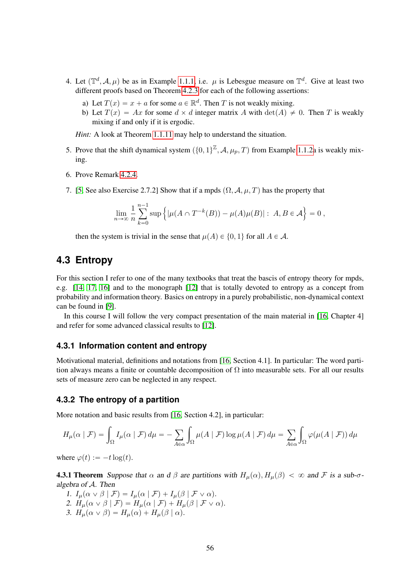- 4. Let  $(\mathbb{T}^d, \mathcal{A}, \mu)$  be as in Example [1.1.1,](#page-3-4) i.e.  $\mu$  is Lebesgue measure on  $\mathbb{T}^d$ . Give at least two different proofs based on Theorem [4.2.3](#page-50-4) for each of the following assertions:
	- a) Let  $T(x) = x + a$  for some  $a \in \mathbb{R}^d$ . Then T is not weakly mixing.
	- b) Let  $T(x) = Ax$  for some  $d \times d$  integer matrix A with  $det(A) \neq 0$ . Then T is weakly mixing if and only if it is ergodic.

*Hint*: A look at Theorem [1.1.11](#page-5-1) may help to understand the situation.

- 5. Prove that the shift dynamical system  $({0, 1})^{\mathbb{Z}}, \mathcal{A}, \mu_p, T$  from Example [1.1.2a](#page-3-5) is weakly mixing.
- 6. Prove Remark [4.2.4.](#page-51-1)
- 7. [\[5,](#page-64-10) See also Exercise 2.7.2] Show that if a mpds  $(\Omega, \mathcal{A}, \mu, T)$  has the property that

$$
\lim_{n \to \infty} \frac{1}{n} \sum_{k=0}^{n-1} \sup \left\{ |\mu(A \cap T^{-k}(B)) - \mu(A)\mu(B)| : A, B \in \mathcal{A} \right\} = 0,
$$

then the system is trivial in the sense that  $\mu(A) \in \{0, 1\}$  for all  $A \in \mathcal{A}$ .

# <span id="page-55-0"></span>**4.3 Entropy**

For this section I refer to one of the many textbooks that treat the bascis of entropy theory for mpds, e.g. [\[14,](#page-64-11) [17,](#page-64-2) [16\]](#page-64-13) and to the monograph [\[12\]](#page-64-14) that is totally devoted to entropy as a concept from probability and information theory. Basics on entropy in a purely probabilistic, non-dynamical context can be found in [\[9\]](#page-64-15).

In this course I will follow the very compact presentation of the main material in [\[16,](#page-64-13) Chapter 4] and refer for some advanced classical results to [\[12\]](#page-64-14).

### <span id="page-55-1"></span>**4.3.1 Information content and entropy**

Motivational material, definitions and notations from [\[16,](#page-64-13) Section 4.1]. In particular: The word partition always means a finite or countable decomposition of  $\Omega$  into measurable sets. For all our results sets of measure zero can be neglected in any respect.

#### <span id="page-55-2"></span>**4.3.2 The entropy of a partition**

More notation and basic results from [\[16,](#page-64-13) Section 4.2], in particular:

$$
H_{\mu}(\alpha \mid \mathcal{F}) = \int_{\Omega} I_{\mu}(\alpha \mid \mathcal{F}) d\mu = -\sum_{A \in \alpha} \int_{\Omega} \mu(A \mid \mathcal{F}) \log \mu(A \mid \mathcal{F}) d\mu = \sum_{A \in \alpha} \int_{\Omega} \varphi(\mu(A \mid \mathcal{F})) d\mu
$$

<span id="page-55-3"></span>where  $\varphi(t) := -t \log(t)$ .

**4.3.1 Theorem** Suppose that  $\alpha$  an d  $\beta$  are partitions with  $H_u(\alpha)$ ,  $H_u(\beta) < \infty$  and F is a sub- $\sigma$ algebra of A. Then

<span id="page-55-4"></span>1.  $I_{\mu}(\alpha \vee \beta \mid \mathcal{F}) = I_{\mu}(\alpha \mid \mathcal{F}) + I_{\mu}(\beta \mid \mathcal{F} \vee \alpha).$ 2.  $H_\mu(\alpha \vee \beta \mid \mathcal{F}) = H_\mu(\alpha \mid \mathcal{F}) + H_\mu(\beta \mid \mathcal{F} \vee \alpha).$ 3.  $H_\mu(\alpha \vee \beta) = H_\mu(\alpha) + H_\mu(\beta \mid \alpha)$ .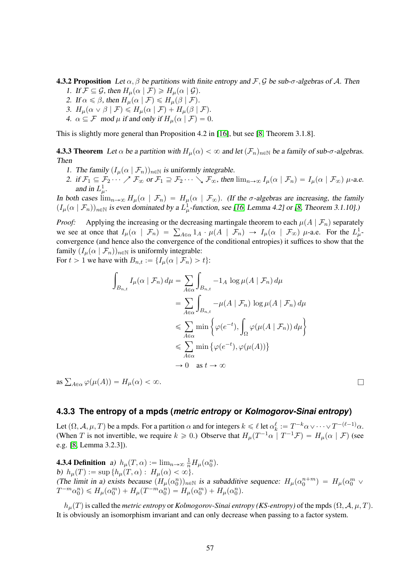**4.3.2 Proposition** Let  $\alpha$ ,  $\beta$  be partitions with finite entropy and F, G be sub- $\sigma$ -algebras of A. Then

- 1. If  $\mathcal{F} \subseteq \mathcal{G}$ , then  $H_u(\alpha \mid \mathcal{F}) \ge H_u(\alpha \mid \mathcal{G})$ .
- 2. If  $\alpha \leq \beta$ , then  $H_{\mu}(\alpha \mid \mathcal{F}) \leq H_{\mu}(\beta \mid \mathcal{F})$ .
- 3.  $H_\mu(\alpha \vee \beta \mid \mathcal{F}) \leq H_\mu(\alpha \mid \mathcal{F}) + H_\mu(\beta \mid \mathcal{F}).$
- 4.  $\alpha \subseteq \mathcal{F} \mod \mu$  if and only if  $H_u(\alpha \mid \mathcal{F}) = 0$ .

<span id="page-56-1"></span>This is slightly more general than Proposition 4.2 in [\[16\]](#page-64-13), but see [\[8,](#page-64-16) Theorem 3.1.8].

**4.3.3 Theorem** Let  $\alpha$  be a partition with  $H_u(\alpha) < \infty$  and let  $(\mathcal{F}_n)_{n \in \mathbb{N}}$  be a family of sub- $\sigma$ -algebras. Then

- 1. The family  $(I_\mu(\alpha | \mathcal{F}_n))_{n \in \mathbb{N}}$  is uniformly integrable.
- 2. if  $\mathcal{F}_1 \subseteq \mathcal{F}_2 \cdots \nearrow \mathcal{F}_{\infty}$  or  $\mathcal{F}_1 \supseteq \mathcal{F}_2 \cdots \searrow \mathcal{F}_{\infty}$ , then  $\lim_{n\to\infty} I_\mu(\alpha \mid \mathcal{F}_n) = I_\mu(\alpha \mid \mathcal{F}_{\infty})$   $\mu$ -a.e. and in  $L^1_\mu$ .

In both cases  $\lim_{n\to\infty} H_\mu(\alpha \mid \mathcal{F}_n) = H_\mu(\alpha \mid \mathcal{F}_\infty)$ . (If the  $\sigma$ -algebras are increasing, the family  $(I_\mu(\alpha \mid \mathcal{F}_n))_{n \in \mathbb{N}}$  is even dominated by a  $L^1_\mu$ -function, see [\[16,](#page-64-13) Lemma 4.2] or [\[8,](#page-64-16) Theorem 3.1.10].)

*Proof:* Applying the increasing or the decreasing martingale theorem to each  $\mu(A | \mathcal{F}_n)$  separately *Proof:* Applying the increasing or the decreasing martingale theorem to each  $\mu(A | \mathcal{F}_n)$  separately we see at once that  $I_\mu(\alpha | \mathcal{F}_n) = \sum_{A \in \alpha} 1_A \cdot \mu(A | \mathcal{F}_n) \rightarrow I_\mu(\alpha | \mathcal{F}_\infty)$   $\mu$ -a.e. For the  $L^1_\mu$ convergence (and hence also the convergence of the conditional entropies) it suffices to show that the family  $(I_\mu(\alpha | \mathcal{F}_n))_{n \in \mathbb{N}}$  is uniformly integrable:

For  $t > 1$  we have with  $B_{n,t} := \{I_\mu(\alpha \mid \mathcal{F}_n) > t\}$ :

$$
\int_{B_{n,t}} I_{\mu}(\alpha \mid \mathcal{F}_n) d\mu = \sum_{A \in \alpha} \int_{B_{n,t}} -1_A \log \mu(A \mid \mathcal{F}_n) d\mu
$$
  
\n
$$
= \sum_{A \in \alpha} \int_{B_{n,t}} -\mu(A \mid \mathcal{F}_n) \log \mu(A \mid \mathcal{F}_n) d\mu
$$
  
\n
$$
\leq \sum_{A \in \alpha} \min \left\{ \varphi(e^{-t}), \int_{\Omega} \varphi(\mu(A \mid \mathcal{F}_n)) d\mu \right\}
$$
  
\n
$$
\leq \sum_{A \in \alpha} \min \left\{ \varphi(e^{-t}), \varphi(\mu(A)) \right\}
$$
  
\n
$$
\to 0 \text{ as } t \to \infty
$$

as  $\sum_{A \in \alpha} \varphi(\mu(A)) = H_{\mu}(\alpha) < \infty$ .

#### <span id="page-56-0"></span>**4.3.3 The entropy of a mpds (***metric entropy* **or** *Kolmogorov-Sinai entropy***)**

Let  $(\Omega, \mathcal{A}, \mu, T)$  be a mpds. For a partition  $\alpha$  and for integers  $k \leq \ell$  let  $\alpha_k^{\ell} := T^{-k}\alpha \vee \cdots \vee T^{-(\ell-1)}\alpha$ . (When T is not invertible, we require  $k \geq 0$ .) Observe that  $H_{\mu}(T^{-1}\alpha \mid T^{-1}\mathcal{F}) = H_{\mu}(\alpha \mid \mathcal{F})$  (see e.g. [\[8,](#page-64-16) Lemma 3.2.3]).

**4.3.4 Definition** a)  $h_{\mu}(T, \alpha) := \lim_{n \to \infty} \frac{1}{n} H_{\mu}(\alpha_0^n)$ . b)  $h_\mu(T) := \sup \{ h_\mu(T, \alpha) : H_\mu(\alpha) < \infty \}.$ (The limit in a) exists because  $(H_\mu(\alpha_0^n))_{n\in\mathbb{N}}$  is a subadditive sequence:  $H_\mu(\alpha_0^{n+m}) = H_\mu(\alpha_0^m \vee$  $T^{-m}\alpha_0^n$ )  $\leq H_\mu(\alpha_0^m) + H_\mu(T^{-m}\alpha_0^n) = H_\mu(\alpha_0^m) + H_\mu(\alpha_0^n).$ 

<span id="page-56-2"></span> $h_\mu(T)$  is called the *metric entropy* or *Kolmogorov-Sinai entropy (KS-entropy)* of the mpds  $(\Omega, \mathcal{A}, \mu, T)$ . It is obviously an isomorphism invariant and can only decrease when passing to a factor system.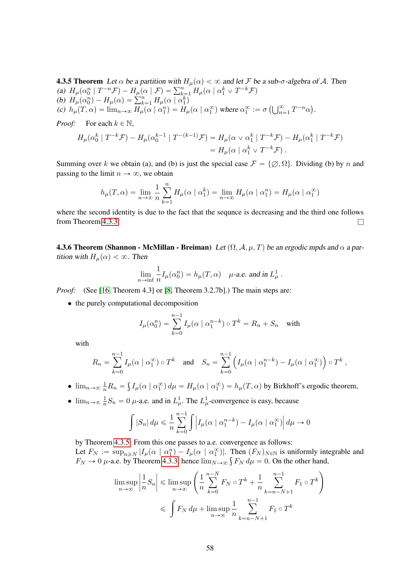**4.3.5 Theorem** Let  $\alpha$  be a partition with  $H_{\mu}(\alpha) < \infty$  and let F be a sub- $\sigma$ -algebra of A. Then **4.5.5 Theorem** Let  $\alpha$  be a partition with  $H_{\mu}(\alpha) < \infty$  and let  $\mathcal{F}$  b<br>
(a)  $H_{\mu}(\alpha_0^n | T^{-n}\mathcal{F}) - H_{\mu}(\alpha | \mathcal{F}) = \sum_{k=1}^n H_{\mu}(\alpha | \alpha_1^k \vee T^{-k}\mathcal{F})$ (a)  $H_{\mu}(\alpha_0^n | T^{n} \mathcal{F}) - H_{\mu}(\alpha | \mathcal{F}) = \sum_{k=1}^{\infty}$ <br>
(b)  $H_{\mu}(\alpha_0^n) - H_{\mu}(\alpha) = \sum_{k=1}^n H_{\mu}(\alpha | \alpha_1^k)$ (b)  $H_{\mu}(\alpha_0^n) - H_{\mu}(\alpha) = \sum_{k=1}^n H_{\mu}(\alpha | \alpha_1^n)$ <br>
(c)  $h_{\mu}(T, \alpha) = \lim_{n \to \infty} H_{\mu}(\alpha | \alpha_1^n) = H_{\mu}(\alpha | \alpha_1^{\infty})$  where  $\alpha_1^{\infty} := \sigma(\bigcup_{n=1}^{\infty}$  $_{n=1}^{\infty} T^{-n} \alpha$ .

*Proof:* For each  $k \in \mathbb{N}$ ,

$$
H_{\mu}(\alpha_0^k \mid T^{-k}\mathcal{F}) - H_{\mu}(\alpha_0^{k-1} \mid T^{-(k-1)}\mathcal{F}) = H_{\mu}(\alpha \vee \alpha_1^k \mid T^{-k}\mathcal{F}) - H_{\mu}(\alpha_1^k \mid T^{-k}\mathcal{F})
$$
  
= 
$$
H_{\mu}(\alpha \mid \alpha_1^k \vee T^{-k}\mathcal{F}).
$$

Summing over k we obtain (a), and (b) is just the special case  $\mathcal{F} = \{ \emptyset, \Omega \}$ . Dividing (b) by n and passing to the limit  $n \to \infty$ , we obtain

$$
h_{\mu}(T,\alpha) = \lim_{n \to \infty} \frac{1}{n} \sum_{k=1}^{n} H_{\mu}(\alpha \mid \alpha_1^k) = \lim_{n \to \infty} H_{\mu}(\alpha \mid \alpha_1^n) = H_{\mu}(\alpha \mid \alpha_1^{\infty})
$$

where the second identity is due to the fact that the sequnce is decreasing and the third one follows from Theorem [4.3.3.](#page-56-1)  $\Box$ 

**4.3.6 Theorem (Shannon - McMillan - Breiman)** Let  $(\Omega, \mathcal{A}, \mu, T)$  be an ergodic mpds and  $\alpha$  a partition with  $H_{\mu}(\alpha) < \infty$ . Then

$$
\lim_{n\to\inf} \frac{1}{n} I_\mu(\alpha_0^n) = h_\mu(T,\alpha) \quad \text{$\mu$-a.e. and in $L^1_\mu$}.
$$

*Proof:* (See [\[16,](#page-64-13) Theorem 4.3] or [\[8,](#page-64-16) Theorem 3.2.7b].) The main steps are:

• the purely computational decomposition

$$
I_{\mu}(\alpha_0^n) = \sum_{k=0}^{n-1} I_{\mu}(\alpha \mid \alpha_1^{n-k}) \circ T^k = R_n + S_n \quad \text{with}
$$

with

$$
R_n = \sum_{k=0}^{n-1} I_{\mu}(\alpha \mid \alpha_1^{\infty}) \circ T^k \quad \text{and} \quad S_n = \sum_{k=0}^{n-1} \left( I_{\mu}(\alpha \mid \alpha_1^{n-k}) - I_{\mu}(\alpha \mid \alpha_1^{\infty}) \right) \circ T^k,
$$

- $\lim_{n\to\infty} \frac{1}{n} R_n =$  $I_{\mu}(\alpha \mid \alpha_1^{\infty}) d\mu = H_{\mu}(\alpha \mid \alpha_1^{\infty}) = h_{\mu}(T, \alpha)$  by Birkhoff's ergodic theorem,
- $\lim_{n\to\infty} \frac{1}{n}$  $\frac{1}{n}S_n = 0$   $\mu$ -a.e. and in  $L^1_\mu$ . The  $L^1_\mu$ -convergence is easy, because

$$
\int |S_n| d\mu \leq \frac{1}{n} \sum_{k=0}^{n-1} \int \left| I_{\mu}(\alpha \mid \alpha_1^{n-k}) - I_{\mu}(\alpha \mid \alpha_1^{\infty}) \right| d\mu \to 0
$$

by Theorem [4.3.5.](#page-56-2) From this one passes to a.e. convergence as follows: Let  $F_N := \sup_{n \ge N} |I_\mu(\alpha | \alpha_1^n) - I_\mu(\alpha | \alpha_1^\infty)|$ . Then  $(F_N)_{N \in \mathbb{N}}$  is uniformly integrable and Let  $F_N := \sup_{n \ge N} |I_\mu(\alpha \mid \alpha_1^n) - I_\mu(\alpha \mid \alpha_1^\vee)|$ . Then  $(F_N)_{N \in \mathbb{N}}$  is uniformly inter-<br> $F_N \to 0$   $\mu$ -a.e. by Theorem [4.3.3,](#page-56-1) hence  $\lim_{N \to \infty} \int F_N d\mu = 0$ . On the other hand, į,

$$
\limsup_{n \to \infty} \left| \frac{1}{n} S_n \right| \le \limsup_{n \to \infty} \left( \frac{1}{n} \sum_{k=0}^{n-N} F_N \circ T^k + \frac{1}{n} \sum_{k=n-N+1}^{n-1} F_1 \circ T^k \right)
$$
  

$$
\le \int F_N d\mu + \limsup_{n \to \infty} \frac{1}{n} \sum_{k=n-N+1}^{n-1} F_1 \circ T^k
$$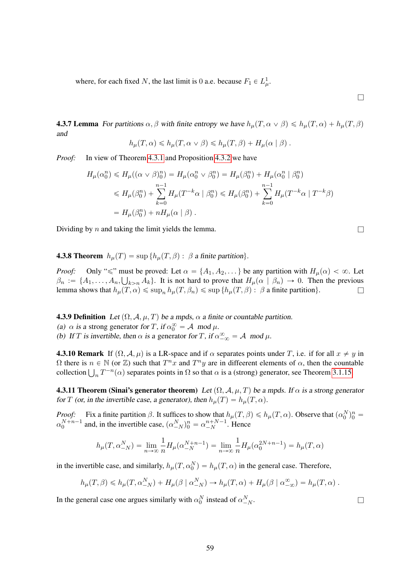where, for each fixed N, the last limit is 0 a.e. because  $F_1 \in L^1_{\mu}$ .

<span id="page-58-0"></span>**4.3.7 Lemma** For partitions  $\alpha, \beta$  with finite entropy we have  $h_\mu(T, \alpha \vee \beta) \leq h_\mu(T, \alpha) + h_\mu(T, \beta)$ and

$$
h_{\mu}(T,\alpha) \leq h_{\mu}(T,\alpha \vee \beta) \leq h_{\mu}(T,\beta) + H_{\mu}(\alpha \mid \beta).
$$

*Proof:* In view of Theorem [4.3.1](#page-55-3) and Proposition [4.3.2](#page-55-4) we have

$$
H_{\mu}(\alpha_0^n) \le H_{\mu}((\alpha \vee \beta)_0^n) = H_{\mu}(\alpha_0^n \vee \beta_0^n) = H_{\mu}(\beta_0^n) + H_{\mu}(\alpha_0^n \mid \beta_0^n)
$$
  
\n
$$
\le H_{\mu}(\beta_0^n) + \sum_{k=0}^{n-1} H_{\mu}(T^{-k}\alpha \mid \beta_0^n) \le H_{\mu}(\beta_0^n) + \sum_{k=0}^{n-1} H_{\mu}(T^{-k}\alpha \mid T^{-k}\beta)
$$
  
\n
$$
= H_{\mu}(\beta_0^n) + nH_{\mu}(\alpha \mid \beta).
$$

Dividing by *n* and taking the limit yields the lemma.

 $\Box$ 

<span id="page-58-1"></span>**4.3.8 Theorem**  $h_u(T) = \sup \{ h_u(T, \beta) : \beta \}$  a finite partition.

*Proof:* Only " $\leq$ " must be proved: Let  $\alpha = \{A_1, A_2, \dots\}$  be any partition with  $H_\mu(\alpha) < \infty$ . Let  $\beta_n := \{A_1, \ldots, A_n, \bigcup_{k>n} A_k\}.$  It is not hard to prove that  $H_\mu(\alpha \mid \beta_n) \to 0.$  Then the previous lemma shows that  $h_\mu(T, \alpha) \leq \sup_n h_\mu(T, \beta_n) \leq \sup \{h_\mu(T, \beta) : \beta \text{ a finite partition}\}.$ 

**4.3.9 Definition** Let  $(\Omega, \mathcal{A}, \mu, T)$  be a mpds,  $\alpha$  a finite or countable partition. (a)  $\alpha$  is a strong generator for T, if  $\alpha_0^{\infty} = A \mod \mu$ .

(b) If T is invertible, then  $\alpha$  is a generator for T, if  $\alpha_{-\infty}^{\infty} = A \mod \mu$ .

**4.3.10 Remark** If  $(\Omega, \mathcal{A}, \mu)$  is a LR-space and if  $\alpha$  separates points under T, i.e. if for all  $x \neq y$  in  $\Omega$  there is  $n \in \mathbb{N}$  (or  $\mathbb{Z}$ ) such that  $T^n x$  and  $T^n y$  are in diffeerent elements of  $\alpha$ , then the countable  $\Omega$  there is  $n \in \mathbb{N}$  (or  $\mathbb{Z}$ ) such that  $T^n x$  and  $T^n y$  are in different elements of  $\alpha$ , then the countarion  $\bigcup_n T^{-n}(\alpha)$  separates points in  $\Omega$  so that  $\alpha$  is a (strong) generator, see Theorem [3.1.15.](#page-29-1)

**4.3.11 Theorem (Sinai's generator theorem)** Let  $(\Omega, \mathcal{A}, \mu, T)$  be a mpds. If  $\alpha$  is a strong generator for T (or, in the invertible case, a generator), then  $h<sub>u</sub>(T) = h<sub>u</sub>(T, \alpha)$ .

*Proof:* Fix a finite partition  $\beta$ . It suffices to show that  $h_\mu(T, \beta) \leq h_\mu(T, \alpha)$ . Observe that  $(\alpha_0^N)_0^n =$  $\alpha_0^{N+n-1}$  and, in the invertible case,  $(\alpha_{-N}^N)_0^n = \alpha_{-N}^{n+N-1}$ . Hence

$$
h_{\mu}(T, \alpha_{-N}^N) = \lim_{n \to \infty} \frac{1}{n} H_{\mu}(\alpha_{-N}^{N+n-1}) = \lim_{n \to \infty} \frac{1}{n} H_{\mu}(\alpha_0^{2N+n-1}) = h_{\mu}(T, \alpha)
$$

in the invertible case, and similarly,  $h_{\mu}(T, \alpha_0^N) = h_{\mu}(T, \alpha)$  in the general case. Therefore,

$$
h_{\mu}(T,\beta) \leq h_{\mu}(T,\alpha_{-N}^{N}) + H_{\mu}(\beta \mid \alpha_{-N}^{N}) \to h_{\mu}(T,\alpha) + H_{\mu}(\beta \mid \alpha_{-\infty}^{\infty}) = h_{\mu}(T,\alpha) .
$$

In the general case one argues similarly with  $\alpha_0^N$  instead of  $\alpha_-^N$  $\frac{N}{-N}$ .

59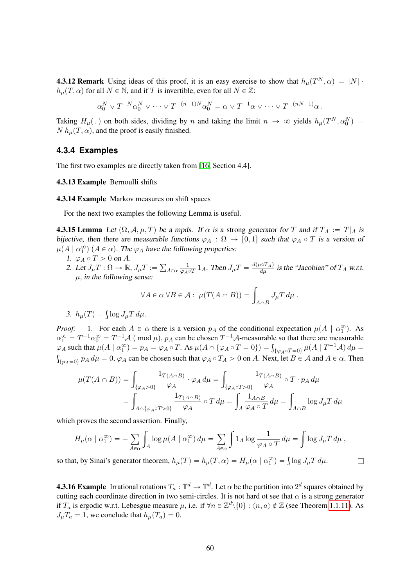**4.3.12 Remark** Using ideas of this proof, it is an easy exercise to show that  $h_{\mu}(T^N, \alpha) = |N|$ .  $h<sub>\mu</sub>(T, \alpha)$  for all  $N \in \mathbb{N}$ , and if T is invertible, even for all  $N \in \mathbb{Z}$ :

$$
\alpha_0^N \vee T^{-N} \alpha_0^N \vee \cdots \vee T^{-(n-1)N} \alpha_0^N = \alpha \vee T^{-1} \alpha \vee \cdots \vee T^{-(nN-1)} \alpha.
$$

Taking  $H_\mu(.)$  on both sides, dividing by n and taking the limit  $n \to \infty$  yields  $h_\mu(T^N, \alpha_0^N) =$  $N h<sub>\mu</sub>(T, \alpha)$ , and the proof is easily finished.

#### <span id="page-59-0"></span>**4.3.4 Examples**

The first two examples are directly taken from [\[16,](#page-64-13) Section 4.4].

#### 4.3.13 Example Bernoulli shifts

#### 4.3.14 Example Markov measures on shift spaces

For the next two examples the following Lemma is useful.

**4.3.15 Lemma** Let  $(\Omega, \mathcal{A}, \mu, T)$  be a mpds. If  $\alpha$  is a strong generator for T and if  $T_A := T|_A$  is bijective, then there are measurable functions  $\varphi_A : \Omega \to [0, 1]$  such that  $\varphi_A \circ T$  is a version of  $\mu(A \mid \alpha_1^{\infty})$   $(A \in \alpha)$ . The  $\varphi_A$  have the following properties:

- 1.  $\varphi_A \circ T > 0$  on A.
- 2. Let  $J_{\mu}T : \Omega \to \mathbb{R}$ ,  $J_{\mu}T :=$  $A \in \alpha$   $\frac{1}{\varphi_{A}}$  $\frac{1}{\varphi_A \circ T} 1_A$ . Then  $J_\mu T = \frac{d(\mu \circ T_A)}{d\mu}$  is the "Jacobian" of  $T_A$  w.r.t.  $\mu$ , in the following sense:

$$
\forall A \in \alpha \ \forall B \in \mathcal{A} : \ \mu(T(A \cap B)) = \int_{A \cap B} J_{\mu} T \, d\mu \, .
$$

$$
3. h_{\mu}(T) = \int \log J_{\mu} T d\mu.
$$

*Proof:* 1. For each  $A \in \alpha$  there is a version  $p_A$  of the conditional expectation  $\mu(A \mid \alpha_1^{\infty})$ . As  $\alpha_1^{\infty} = T^{-1}\alpha_0^{\infty} = T^{-1}\mathcal{A}$  (mod  $\mu$ ),  $p_A$  can be chosen  $T^{-1}\mathcal{A}$ -measurable so that there are measurable  $\alpha_1^{\infty} = T^{-1} \alpha_0^{\infty} = T^{-1} \mathcal{A}$  (mod  $\mu$ ),  $p_A$  can be chosen  $T^{-1} \mathcal{A}$ -measurable so that there are measurable  $\varphi_A$  such that  $\mu(A | \alpha_1^{\infty}) = p_A = \varphi_A \circ T$ . As  $\mu(A \cap {\varphi_A \circ T = 0}) = \int_{\{\varphi_A \circ T = 0\}} \mu(A | T^{-1} A) d\mu =$  $\{p_A=0\}$   $p_A d\mu = 0$ ,  $\varphi_A$  can be chosen such that  $\varphi_A \circ T_A > 0$  on A. Next, let  $B \in \mathcal{A}$  and  $A \in \alpha$ . Then

$$
\mu(T(A \cap B)) = \int_{\{\varphi_A > 0\}} \frac{1_{T(A \cap B)}}{\varphi_A} \cdot \varphi_A d\mu = \int_{\{\varphi_A \circ T > 0\}} \frac{1_{T(A \cap B)}}{\varphi_A} \circ T \cdot p_A d\mu
$$

$$
= \int_{A \cap \{\varphi_A \circ T > 0\}} \frac{1_{T(A \cap B)}}{\varphi_A} \circ T d\mu = \int_A \frac{1_{A \cap B}}{\varphi_A \circ T} d\mu = \int_{A \cap B} \log J_{\mu} T d\mu
$$

which proves the second assertion. Finally,

$$
H_{\mu}(\alpha \mid \alpha_1^{\infty}) = -\sum_{A \in \alpha} \int_A \log \mu(A \mid \alpha_1^{\infty}) d\mu = \sum_{A \in \alpha} \int 1_A \log \frac{1}{\varphi_A \circ T} d\mu = \int \log J_{\mu} T d\mu,
$$

so that, by Sinai's generator theorem,  $h_{\mu}(T) = h_{\mu}(T, \alpha) = H_{\mu}(\alpha | \alpha_1^{\infty}) = \int \log J_{\mu} T d\mu$ .

**4.3.16 Example** Irrational rotations  $T_a : \mathbb{T}^d \to \mathbb{T}^d$ . Let  $\alpha$  be the partition into  $2^d$  squares obtained by cutting each coordinate direction in two semi-circles. It is not hard ot see that  $\alpha$  is a strong generator if  $T_a$  is ergodic w.r.t. Lebesgue measure  $\mu$ , i.e. if  $\forall n \in \mathbb{Z}^d \setminus \{0\} : \langle n, a \rangle \notin \mathbb{Z}$  (see Theorem [1.1.11\)](#page-5-1). As  $J_{\mu}T_a = 1$ , we conclude that  $h_{\mu}(T_a) = 0$ .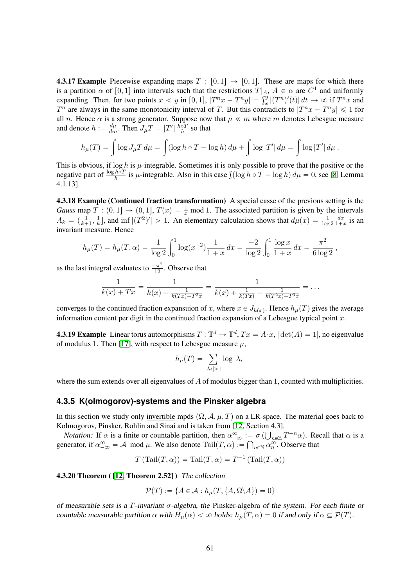**4.3.17 Example** Piecewise expanding maps  $T : [0, 1] \rightarrow [0, 1]$ . These are maps for which there is a partition  $\alpha$  of [0, 1] into intervals such that the restrictions  $T|_A$ ,  $A \in \alpha$  are  $C^1$  and uniformly is a partition  $\alpha$  of [0, 1] into intervals such that the restrictions  $T|_A$ ,  $A \in \alpha$  are  $C^1$  and uniformly expanding. Then, for two points  $x < y$  in [0, 1],  $|T^n x - T^n y| = \int_x^y |(T^n)'(t)| dt \to \infty$  if  $T^n x$  and  $T^n$  are always in the same monotonicity interval of T. But this contradicts to  $|T^n x - T^n y| \leq 1$  for all n. Hence  $\alpha$  is a strong generator. Suppose now that  $\mu \ll m$  where m denotes Lebesgue measure and denote  $h := \frac{d\mu}{dm}$ . Then  $J_{\mu}T = |T'| \frac{\hbar \circ T}{h}$  so that

$$
h_{\mu}(T) = \int \log J_{\mu} T \, d\mu = \int (\log h \circ T - \log h) \, d\mu + \int \log |T'| \, d\mu = \int \log |T'| \, d\mu.
$$

This is obvious, if  $\log h$  is  $\mu$ -integrable. Sometimes it is only possible to prove that the positive or the This is obvious, if  $\log h$  is  $\mu$ -integrable. Sometimes it is only possible to prove that the positive or the negative part of  $\frac{\log h \circ T}{h}$  is  $\mu$ -integrable. Also in this case  $\int (\log h \circ T - \log h) d\mu = 0$ , see [\[8,](#page-64-16) Lemma 4.1.13].

4.3.18 Example (Continued fraction transformation) A special casse of the previous setting is the *Gauss* map  $T : (0, 1] \rightarrow (0, 1]$ ,  $T(x) = \frac{1}{x}$  mod 1. The associated partition is given by the intervals  $A_k = \left(\frac{1}{k+1}, \frac{1}{k}\right)$  $\frac{1}{k}$ , and inf  $|(T^2)'| > 1$ . An elementary calculation shows that  $d\mu(x) = \frac{1}{\log 2}$  $dx$  $\frac{dx}{1+x}$  is an invariant measure. Hence

$$
h_{\mu}(T) = h_{\mu}(T,\alpha) = \frac{1}{\log 2} \int_0^1 \log(x^{-2}) \frac{1}{1+x} dx = \frac{-2}{\log 2} \int_0^1 \frac{\log x}{1+x} dx = \frac{\pi^2}{6 \log 2},
$$

as the last integral evaluates to  $\frac{-\pi^2}{12}$ . Observe that

$$
\frac{1}{k(x) + Tx} = \frac{1}{k(x) + \frac{1}{k(Tx) + T^2x}} = \frac{1}{k(x) + \frac{1}{k(Tx)} + \frac{1}{k(T^2x) + T^3x}} = \dots
$$

converges to the continued fraction expansuion of x, where  $x \in J_{k(x)}$ . Hence  $h_{\mu}(T)$  gives the average information content per digit in the continued fraction expansion of a Lebesgue typical point  $x$ .

**4.3.19 Example** Linear torus automorphisms  $T: \mathbb{T}^d \to \mathbb{T}^d$ ,  $Tx = A \cdot x$ ,  $|\det(A) = 1|$ , no eigenvalue of modulus 1. Then [\[17\]](#page-64-2), with respect to Lebesgue measure  $\mu$ ,

$$
h_{\mu}(T) = \sum_{|\lambda_i|>1} \log |\lambda_i|
$$

where the sum extends over all eigenvalues of A of modulus bigger than 1, counted with multiplicities.

### <span id="page-60-0"></span>**4.3.5 K(olmogorov)-systems and the Pinsker algebra**

In this section we study only invertible mpds  $(\Omega, \mathcal{A}, \mu, T)$  on a LR-space. The material goes back to Kolmogorov, Pinsker, Rohlin and Sinai and is taken from [\[12,](#page-64-14) Section 4.3]. Ť

*Notation:* If  $\alpha$  is a finite or countable partition, then  $\alpha_{-\infty}^{\infty} := \sigma(\bigcup_{n \in \mathbb{Z}} T^{-n} \alpha)$ . Recall that  $\alpha$  is a generator, if  $\alpha_{-\infty}^{\infty} = A \mod \mu$ . We also denote  $\text{Tail}(T, \alpha) := \bigcap_{n \in \mathbb{N}} \alpha_n^{\infty}$ . Observe that

$$
T(\text{Tail}(T,\alpha)) = \text{Tail}(T,\alpha) = T^{-1}(\text{Tail}(T,\alpha))
$$

4.3.20 Theorem ( [\[12,](#page-64-14) Theorem 2.52] ) The collection

$$
\mathcal{P}(T) := \{ A \in \mathcal{A} : h_{\mu}(T, \{ A, \Omega \setminus A \}) = 0 \}
$$

of measurable sets is a T-invariant  $\sigma$ -algebra, the Pinsker-algebra of the system. For each finite or countable measurable partition  $\alpha$  with  $H_{\mu}(\alpha) < \infty$  holds:  $h_{\mu}(T, \alpha) = 0$  if and only if  $\alpha \subseteq \mathcal{P}(T)$ .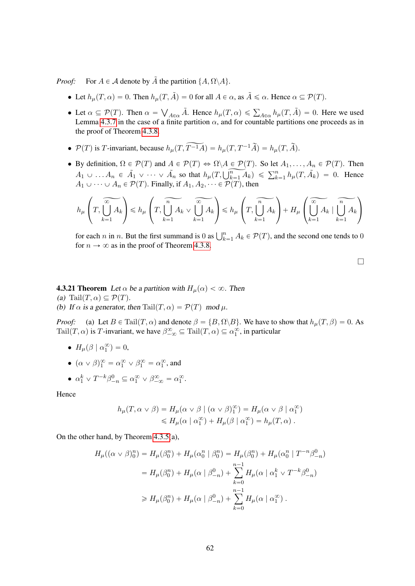*Proof:* For  $A \in \mathcal{A}$  denote by  $\tilde{A}$  the partition  $\{A, \Omega \backslash A\}$ .

- Let  $h_{\mu}(T, \alpha) = 0$ . Then  $h_{\mu}(T, \tilde{A}) = 0$  for all  $A \in \alpha$ , as  $\tilde{A} \le \alpha$ . Hence  $\alpha \subseteq \mathcal{P}(T)$ .
- Let  $\alpha \subseteq \mathcal{P}(T)$ . Then  $\alpha =$  $\bigvee_{A \in \alpha} \tilde{A}$ . Hence  $h_{\mu}(T, \alpha) \le \sum_{A \in \alpha} h_{\mu}(T, \tilde{A}) = 0$ . Here we used Lemma [4.3.7](#page-58-0) in the case of a finite partition  $\alpha$ , and for countable partitions one proceeds as in the proof of Theorem [4.3.8.](#page-58-1)
- $P(T)$  is T-invariant, because  $h_{\mu}(T, \widetilde{T^{-1}A}) = h_{\mu}(T, T^{-1}\widetilde{A}) = h_{\mu}(T, \widetilde{A}).$
- By definition,  $\Omega \in \mathcal{P}(T)$  and  $A \in \mathcal{P}(T) \Leftrightarrow \Omega \backslash A \in \mathcal{P}(T)$ . So let  $A_1, \ldots, A_n \in \mathcal{P}(T)$ . Then By definition,  $\Omega \in P(T)$  and  $A \in P(T) \Leftrightarrow \Omega \setminus A \in P(T)$ . So fiel  $A_1, \ldots, A_n \in P(T)$ . Then<br>  $A_1 \cup \ldots A_n \in \tilde{A}_1 \vee \cdots \vee \tilde{A}_n$  so that  $h_\mu(T, \bigcup_{k=1}^n A_k) \leq \sum_{k=1}^n h_\mu(T, \tilde{A}_k) = 0$ . Hence  $A_1 \cup \cdots \cup A_n \in \mathcal{P}(T)$ . Finally, if  $A_1, A_2, \cdots \in \mathcal{P}(T)$ , then

$$
h_\mu\left(T,\overline{\bigcup_{k=1}^\infty A_k}\right)\leqslant h_\mu\left(T,\overline{\bigcup_{k=1}^\infty A_k}\vee\overline{\bigcup_{k=1}^\infty A_k}\right)\leqslant h_\mu\left(T,\overline{\bigcup_{k=1}^\infty A_k}\right)+H_\mu\left(\overline{\bigcup_{k=1}^\infty A_k}\mid\overline{\bigcup_{k=1}^\infty A_k}\right)
$$

for each *n* in *n*. But the first summand is 0 as  $\bigcup_{k=1}^{n} A_k \in \mathcal{P}(T)$ , and the second one tends to 0 for  $n \to \infty$  as in the proof of Theorem [4.3.8.](#page-58-1)

 $\Box$ 

**4.3.21 Theorem** Let  $\alpha$  be a partition with  $H_u(\alpha) < \infty$ . Then (a) Tail $(T, \alpha) \subseteq \mathcal{P}(T)$ . (b) If  $\alpha$  is a generator, then Tail $(T, \alpha) = \mathcal{P}(T) \mod \mu$ .

*Proof:* (a) Let  $B \in \text{Tail}(T, \alpha)$  and denote  $\beta = \{B, \Omega \setminus B\}$ . We have to show that  $h_{\mu}(T, \beta) = 0$ . As Tail $(T, \alpha)$  is T-invariant, we have  $\beta_{-\infty}^{\infty} \subseteq \text{Tail}(T, \alpha) \subseteq \alpha_1^{\infty}$ , in particular

- $H_{\mu}(\beta \mid \alpha_1^{\infty}) = 0,$
- $(\alpha \vee \beta)_{1}^{\infty} = \alpha_{1}^{\infty} \vee \beta_{1}^{\infty} = \alpha_{1}^{\infty}$ , and
- $\alpha_1^k \vee T^{-k}\beta_{-n}^0 \subseteq \alpha_1^{\infty} \vee \beta_{-\infty}^{\infty} = \alpha_1^{\infty}$ .

Hence

$$
h_{\mu}(T, \alpha \vee \beta) = H_{\mu}(\alpha \vee \beta \mid (\alpha \vee \beta)^{\infty}) = H_{\mu}(\alpha \vee \beta \mid \alpha^{\infty})
$$
  
\$\leq H\_{\mu}(\alpha \mid \alpha^{\infty}) + H\_{\mu}(\beta \mid \alpha^{\infty}) = h\_{\mu}(T, \alpha)\$.

On the other hand, by Theorem [4.3.5\(](#page-56-2)a),

$$
H_{\mu}((\alpha \vee \beta)^{n}_{0}) = H_{\mu}(\beta^{n}_{0}) + H_{\mu}(\alpha^{n}_{0} \mid \beta^{n}_{0}) = H_{\mu}(\beta^{n}_{0}) + H_{\mu}(\alpha^{n}_{0} \mid T^{-n}\beta^{0}_{-n})
$$
  

$$
= H_{\mu}(\beta^{n}_{0}) + H_{\mu}(\alpha \mid \beta^{0}_{-n}) + \sum_{k=0}^{n-1} H_{\mu}(\alpha \mid \alpha^{k}_{1} \vee T^{-k}\beta^{0}_{-n})
$$
  

$$
\geq H_{\mu}(\beta^{n}_{0}) + H_{\mu}(\alpha \mid \beta^{0}_{-n}) + \sum_{k=0}^{n-1} H_{\mu}(\alpha \mid \alpha^{\infty}_{1}).
$$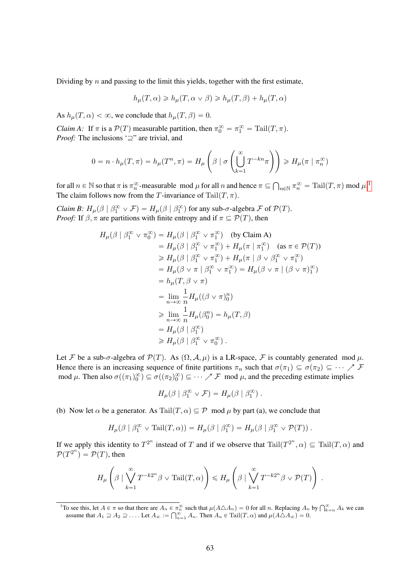Dividing by  $n$  and passing to the limit this yields, together with the first estimate,

$$
h_{\mu}(T,\alpha) \geq h_{\mu}(T,\alpha \vee \beta) \geq h_{\mu}(T,\beta) + h_{\mu}(T,\alpha)
$$

As  $h_{\mu}(T, \alpha) < \infty$ , we conclude that  $h_{\mu}(T, \beta) = 0$ .

*Claim A:* If  $\pi$  is a  $P(T)$  measurable partition, then  $\pi_0^{\infty} = \pi_1^{\infty} = \text{Tail}(T, \pi)$ . *Proof:* The inclusions  $\subseteq$ " are trivial, and

$$
0 = n \cdot h_{\mu}(T, \pi) = h_{\mu}(T^n, \pi) = H_{\mu}\left(\beta \mid \sigma\left(\bigcup_{k=1}^{\infty} T^{-kn}\pi\right)\right) \geq H_{\mu}(\pi \mid \pi_n^{\infty})
$$

for all  $n \in \mathbb{N}$  so that  $\pi$  is  $\pi_n^{\infty}$ -measurable mod  $\mu$  for all  $n$  and hence  $\pi \subseteq$  $n \in \mathbb{N}$   $\pi_n^{\infty} = \text{Tail}(T, \pi) \text{ mod } \mu$ .<sup>[1](#page-62-0)</sup> The claim follows now from the T-invariance of Tail $(T, \pi)$ .

*Claim B:*  $H_{\mu}(\beta \mid \beta_1^{\infty} \vee \mathcal{F}) = H_{\mu}(\beta \mid \beta_1^{\infty})$  for any sub- $\sigma$ -algebra  $\mathcal F$  of  $\mathcal P(T)$ . *Proof:* If  $\beta$ ,  $\pi$  are partitions with finite entropy and if  $\pi \subseteq \mathcal{P}(T)$ , then

$$
H_{\mu}(\beta \mid \beta_1^{\infty} \vee \pi_0^{\infty}) = H_{\mu}(\beta \mid \beta_1^{\infty} \vee \pi_1^{\infty}) \quad \text{(by Claim A)}
$$
\n
$$
= H_{\mu}(\beta \mid \beta_1^{\infty} \vee \pi_1^{\infty}) + H_{\mu}(\pi \mid \pi_1^{\infty}) \quad \text{(as } \pi \in \mathcal{P}(T))
$$
\n
$$
\geq H_{\mu}(\beta \mid \beta_1^{\infty} \vee \pi_1^{\infty}) + H_{\mu}(\pi \mid \beta \vee \beta_1^{\infty} \vee \pi_1^{\infty})
$$
\n
$$
= H_{\mu}(\beta \vee \pi \mid \beta_1^{\infty} \vee \pi_1^{\infty}) = H_{\mu}(\beta \vee \pi \mid (\beta \vee \pi)_1^{\infty})
$$
\n
$$
= h_{\mu}(T, \beta \vee \pi)
$$
\n
$$
= \lim_{n \to \infty} \frac{1}{n} H_{\mu}((\beta \vee \pi)_0^n)
$$
\n
$$
\geq \lim_{n \to \infty} \frac{1}{n} H_{\mu}(\beta_0^n) = h_{\mu}(T, \beta)
$$
\n
$$
= H_{\mu}(\beta \mid \beta_1^{\infty})
$$
\n
$$
\geq H_{\mu}(\beta \mid \beta_1^{\infty} \vee \pi_0^{\infty}).
$$

Let F be a sub-σ-algebra of  $\mathcal{P}(T)$ . As  $(\Omega, \mathcal{A}, \mu)$  is a LR-space, F is countably generated mod  $\mu$ . Hence there is an increasing sequence of finite partitions  $\pi_n$  such that  $\sigma(\pi_1) \subseteq \sigma(\pi_2) \subseteq \cdots \nearrow \mathcal{F}$ mod  $\mu$ . Then also  $\sigma((\pi_1)_0^{\infty}) \subseteq \sigma((\pi_2)_0^{\infty}) \subseteq \cdots \nearrow \mathcal{F}$  mod  $\mu$ , and the preceding estimate implies

$$
H_{\mu}(\beta \mid \beta_1^{\infty} \vee \mathcal{F}) = H_{\mu}(\beta \mid \beta_1^{\infty}) .
$$

(b) Now let  $\alpha$  be a generator. As Tail $(T, \alpha) \subseteq \mathcal{P}$  mod  $\mu$  by part (a), we conclude that

$$
H_{\mu}(\beta \mid \beta_1^{\infty} \vee \mathrm{Tail}(T,\alpha)) = H_{\mu}(\beta \mid \beta_1^{\infty}) = H_{\mu}(\beta \mid \beta_1^{\infty} \vee \mathcal{P}(T)).
$$

If we apply this identity to  $T^{2^n}$  instead of T and if we observe that  $\text{Tail}(T^{2^n}, \alpha) \subseteq \text{Tail}(T, \alpha)$  and  $P(T^{2^n}) = P(T)$ , then

$$
H_{\mu}\left(\beta\mid\bigvee_{k=1}^{\infty}T^{-k2^{n}}\beta\vee\mathrm{Tail}(T,\alpha)\right)\leqslant H_{\mu}\left(\beta\mid\bigvee_{k=1}^{\infty}T^{-k2^{n}}\beta\vee\mathcal{P}(T)\right).
$$

<span id="page-62-0"></span><sup>&</sup>lt;sup>1</sup>To see this, let  $A \in \pi$  so that there are  $A_n \in \pi_n^{\infty}$  such that  $\mu(A \triangle A_n) = 0$  for all n. Replacing  $A_n$  by  $\bigcap_{k=n}^{\infty} A_k$  we can is see this, let  $A \in \pi$  so that there are  $A_n \in \pi_n^{\infty}$  such that  $\mu(A \triangle A_n) = 0$  for all n. Replacing  $A_n$  assume that  $A_1 \supseteq A_2 \supseteq \ldots$ . Let  $A_{\infty} := \bigcap_{n=1}^{\infty} A_n$ . Then  $A_n \in \text{Tail}(T, \alpha)$  and  $\mu(A \triangle A_{\infty}) = 0$ .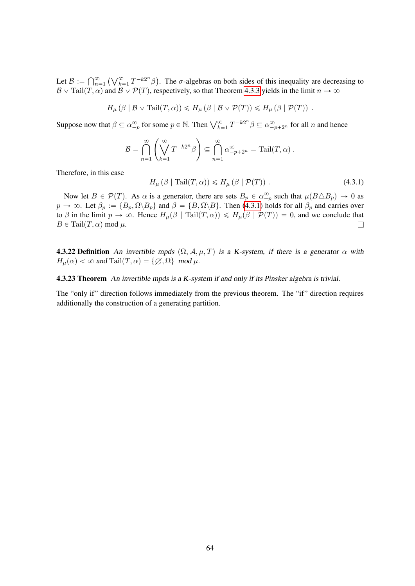Let  $\mathcal{B} := \bigcap_{n=1}^{\infty}$  $n=1$  $\bigwedge$  / $\infty$  $\sum_{k=1}^{\infty} T^{-k2^n} \beta$ Ï. . The  $\sigma$ -algebras on both sides of this inequality are decreasing to  $\mathcal{B} \vee \text{Tail}(T, \alpha)$  and  $\mathcal{B} \vee \mathcal{P}(T)$ , respectively, so that Theorem [4.3.3](#page-56-1) yields in the limit  $n \to \infty$ 

$$
H_{\mu}(\beta \mid \mathcal{B} \vee \mathrm{Tail}(T, \alpha)) \leq H_{\mu}(\beta \mid \mathcal{B} \vee \mathcal{P}(T)) \leq H_{\mu}(\beta \mid \mathcal{P}(T)).
$$

Suppose now that  $\beta \subseteq \alpha_{-p}^{\infty}$  for some  $p \in \mathbb{N}$ . Then  $\bigvee_{k=1}^{\infty} T^{-k2^n} \beta \subseteq \alpha_{-p+2^n}^{\infty}$  for all n and hence

$$
\mathcal{B} = \bigcap_{n=1}^{\infty} \left( \bigvee_{k=1}^{\infty} T^{-k2^n} \beta \right) \subseteq \bigcap_{n=1}^{\infty} \alpha_{-p+2^n}^{\infty} = \text{Tail}(T, \alpha) .
$$

Therefore, in this case

<span id="page-63-0"></span>
$$
H_{\mu}(\beta \mid \text{Tail}(T, \alpha)) \le H_{\mu}(\beta \mid \mathcal{P}(T)). \tag{4.3.1}
$$

Now let  $B \in \mathcal{P}(T)$ . As  $\alpha$  is a generator, there are sets  $B_p \in \alpha_{-p}^{\infty}$  such that  $\mu(B \triangle B_p) \to 0$  as  $p \to \infty$ . Let  $\beta_p := \{B_p, \Omega \setminus B_p\}$  and  $\beta = \{B, \Omega \setminus B\}$ . Then [\(4.3.1\)](#page-63-0) holds for all  $\beta_p$  and carries over to  $\beta$  in the limit  $p \to \infty$ . Hence  $H_{\mu}(\beta \mid \text{Tail}(T, \alpha)) \le H_{\mu}(\beta \mid \mathcal{P}(T)) = 0$ , and we conclude that  $B \in \text{Tail}(T, \alpha) \text{ mod } \mu.$ 

**4.3.22 Definition** An invertible mpds  $(\Omega, \mathcal{A}, \mu, T)$  is a K-system, if there is a generator  $\alpha$  with  $H_{\mu}(\alpha) < \infty$  and Tail $(T, \alpha) = \{ \emptyset, \Omega \} \mod \mu$ .

4.3.23 Theorem An invertible mpds is a K-system if and only if its Pinsker algebra is trivial.

The "only if" direction follows immediately from the previous theorem. The "if" direction requires additionally the construction of a generating partition.